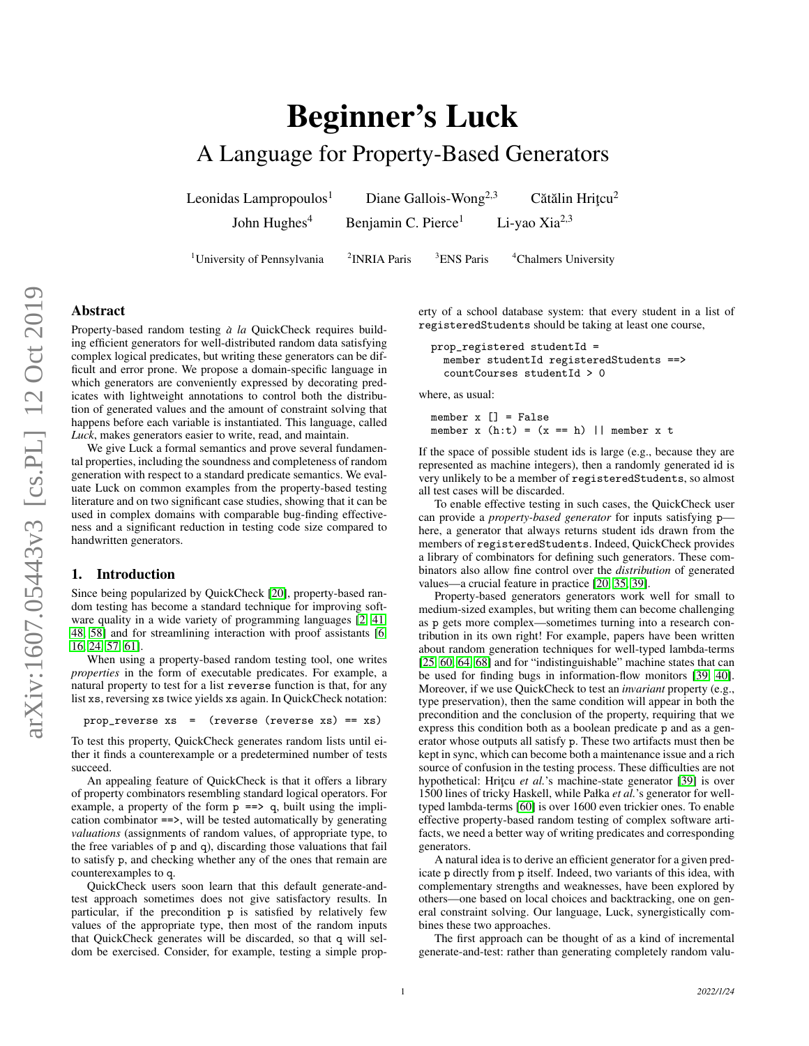# Beginner's Luck A Language for Property-Based Generators

Leonidas Lampropoulos<sup>1</sup> Diane Gallois-Wong<sup>2,3</sup>

Cătălin Hritcu<sup>2</sup>

John Hughes<sup>4</sup> Benjamin C. Pierce<sup>1</sup> Li-yao Xia<sup>2,3</sup>

<sup>1</sup>University of Pennsylvania  $\frac{2}{\text{INRIA}}$  Paris

 ${}^{3}ENS$  Paris  ${}^{4}Chalmers$  University

# Abstract

Property-based random testing  $\dot{a}$  *la* QuickCheck requires building efficient generators for well-distributed random data satisfying complex logical predicates, but writing these generators can be difficult and error prone. We propose a domain-specific language in which generators are conveniently expressed by decorating predicates with lightweight annotations to control both the distribution of generated values and the amount of constraint solving that happens before each variable is instantiated. This language, called *Luck*, makes generators easier to write, read, and maintain.

We give Luck a formal semantics and prove several fundamental properties, including the soundness and completeness of random generation with respect to a standard predicate semantics. We evaluate Luck on common examples from the property-based testing literature and on two significant case studies, showing that it can be used in complex domains with comparable bug-finding effectiveness and a significant reduction in testing code size compared to handwritten generators.

## 1. Introduction

Since being popularized by QuickCheck [\[20\]](#page-26-0), property-based random testing has become a standard technique for improving software quality in a wide variety of programming languages [\[2,](#page-25-0) [41,](#page-26-1) [48,](#page-26-2) [58\]](#page-26-3) and for streamlining interaction with proof assistants [\[6,](#page-25-1) [16,](#page-25-2) [24,](#page-26-4) [57,](#page-26-5) [61\]](#page-27-0).

When using a property-based random testing tool, one writes *properties* in the form of executable predicates. For example, a natural property to test for a list reverse function is that, for any list xs, reversing xs twice yields xs again. In QuickCheck notation:

```
prop_reverse xs = (reverse (reverse xs) == xs)
```
To test this property, QuickCheck generates random lists until either it finds a counterexample or a predetermined number of tests succeed.

An appealing feature of QuickCheck is that it offers a library of property combinators resembling standard logical operators. For example, a property of the form  $p \implies q$ , built using the implication combinator ==>, will be tested automatically by generating *valuations* (assignments of random values, of appropriate type, to the free variables of p and q), discarding those valuations that fail to satisfy p, and checking whether any of the ones that remain are counterexamples to q.

QuickCheck users soon learn that this default generate-andtest approach sometimes does not give satisfactory results. In particular, if the precondition p is satisfied by relatively few values of the appropriate type, then most of the random inputs that QuickCheck generates will be discarded, so that q will seldom be exercised. Consider, for example, testing a simple property of a school database system: that every student in a list of registeredStudents should be taking at least one course,

```
prop_registered studentId =
 member studentId registeredStudents ==>
 countCourses studentId > 0
```
where, as usual:

```
member x [] = False
member x (h:t) = (x == h) || member x t
```
If the space of possible student ids is large (e.g., because they are represented as machine integers), then a randomly generated id is very unlikely to be a member of registeredStudents, so almost all test cases will be discarded.

To enable effective testing in such cases, the QuickCheck user can provide a *property-based generator* for inputs satisfying p here, a generator that always returns student ids drawn from the members of registeredStudents. Indeed, QuickCheck provides a library of combinators for defining such generators. These combinators also allow fine control over the *distribution* of generated values—a crucial feature in practice [\[20,](#page-26-0) [35,](#page-26-6) [39\]](#page-26-7).

Property-based generators generators work well for small to medium-sized examples, but writing them can become challenging as p gets more complex—sometimes turning into a research contribution in its own right! For example, papers have been written about random generation techniques for well-typed lambda-terms [\[25,](#page-26-8) [60,](#page-27-1) [64,](#page-27-2) [68\]](#page-27-3) and for "indistinguishable" machine states that can be used for finding bugs in information-flow monitors [\[39,](#page-26-7) [40\]](#page-26-9). Moreover, if we use QuickCheck to test an *invariant* property (e.g., type preservation), then the same condition will appear in both the precondition and the conclusion of the property, requiring that we express this condition both as a boolean predicate p and as a generator whose outputs all satisfy p. These two artifacts must then be kept in sync, which can become both a maintenance issue and a rich source of confusion in the testing process. These difficulties are not hypothetical: Hritçu *et al.*'s machine-state generator [\[39\]](#page-26-7) is over 1500 lines of tricky Haskell, while Pałka *et al.*'s generator for welltyped lambda-terms [\[60\]](#page-27-1) is over 1600 even trickier ones. To enable effective property-based random testing of complex software artifacts, we need a better way of writing predicates and corresponding generators.

A natural idea is to derive an efficient generator for a given predicate p directly from p itself. Indeed, two variants of this idea, with complementary strengths and weaknesses, have been explored by others—one based on local choices and backtracking, one on general constraint solving. Our language, Luck, synergistically combines these two approaches.

The first approach can be thought of as a kind of incremental generate-and-test: rather than generating completely random valu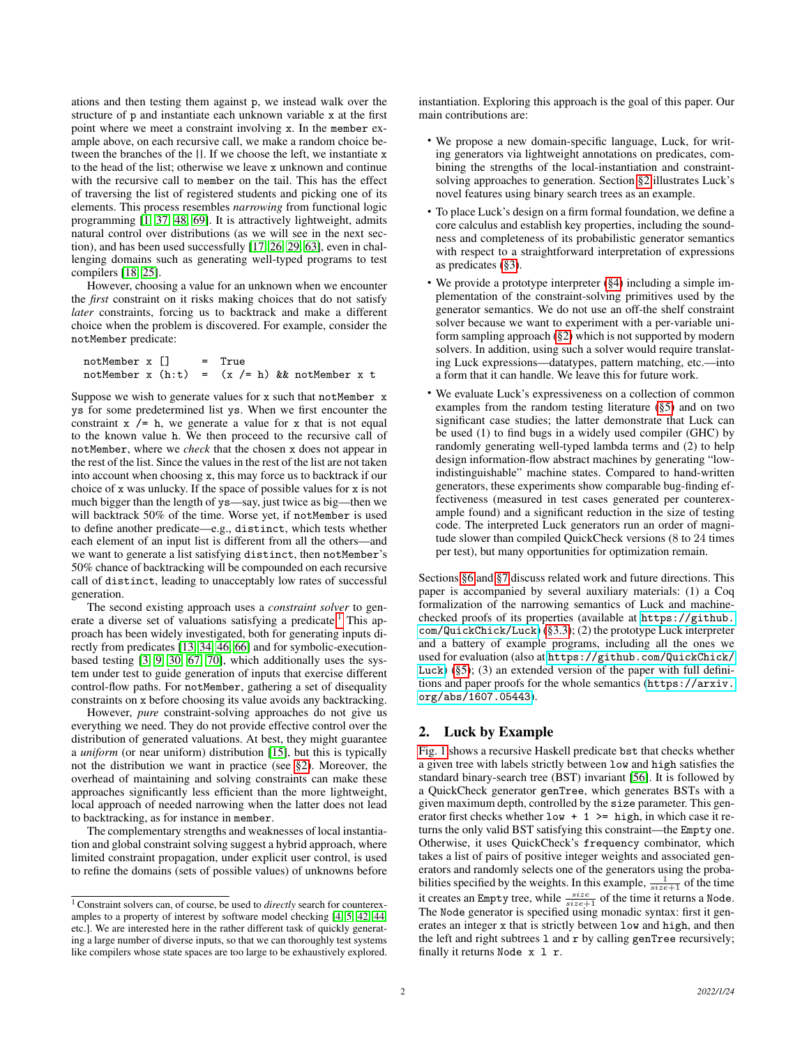ations and then testing them against p, we instead walk over the structure of p and instantiate each unknown variable x at the first point where we meet a constraint involving x. In the member example above, on each recursive call, we make a random choice between the branches of the ||. If we choose the left, we instantiate x to the head of the list; otherwise we leave x unknown and continue with the recursive call to member on the tail. This has the effect of traversing the list of registered students and picking one of its elements. This process resembles *narrowing* from functional logic programming [\[1,](#page-25-3) [37,](#page-26-10) [48,](#page-26-2) [69\]](#page-27-4). It is attractively lightweight, admits natural control over distributions (as we will see in the next section), and has been used successfully [\[17,](#page-25-4) [26,](#page-26-11) [29,](#page-26-12) [63\]](#page-27-5), even in challenging domains such as generating well-typed programs to test compilers [\[18,](#page-25-5) [25\]](#page-26-8).

However, choosing a value for an unknown when we encounter the *first* constraint on it risks making choices that do not satisfy *later* constraints, forcing us to backtrack and make a different choice when the problem is discovered. For example, consider the notMember predicate:

| notMember x [] |  | = True                                        |  |
|----------------|--|-----------------------------------------------|--|
|                |  | notMember x (h:t) = (x /= h) && notMember x t |  |

Suppose we wish to generate values for  $x$  such that notMember  $x$ ys for some predetermined list ys. When we first encounter the constraint  $x$  /= h, we generate a value for  $x$  that is not equal to the known value h. We then proceed to the recursive call of notMember, where we *check* that the chosen x does not appear in the rest of the list. Since the values in the rest of the list are not taken into account when choosing x, this may force us to backtrack if our choice of x was unlucky. If the space of possible values for x is not much bigger than the length of ys—say, just twice as big—then we will backtrack 50% of the time. Worse yet, if notMember is used to define another predicate—e.g., distinct, which tests whether each element of an input list is different from all the others—and we want to generate a list satisfying distinct, then notMember's 50% chance of backtracking will be compounded on each recursive call of distinct, leading to unacceptably low rates of successful generation.

The second existing approach uses a *constraint solver* to gen-erate a diverse set of valuations satisfying a predicate.<sup>[1](#page-1-0)</sup> This approach has been widely investigated, both for generating inputs directly from predicates [\[13,](#page-25-6) [34,](#page-26-13) [46,](#page-26-14) [66\]](#page-27-6) and for symbolic-executionbased testing [\[3,](#page-25-7) [9,](#page-25-8) [30,](#page-26-15) [67,](#page-27-7) [70\]](#page-27-8), which additionally uses the system under test to guide generation of inputs that exercise different control-flow paths. For notMember, gathering a set of disequality constraints on x before choosing its value avoids any backtracking.

However, *pure* constraint-solving approaches do not give us everything we need. They do not provide effective control over the distribution of generated valuations. At best, they might guarantee a *uniform* (or near uniform) distribution [\[15\]](#page-25-9), but this is typically not the distribution we want in practice (see [§2\)](#page-1-1). Moreover, the overhead of maintaining and solving constraints can make these approaches significantly less efficient than the more lightweight, local approach of needed narrowing when the latter does not lead to backtracking, as for instance in member.

The complementary strengths and weaknesses of local instantiation and global constraint solving suggest a hybrid approach, where limited constraint propagation, under explicit user control, is used to refine the domains (sets of possible values) of unknowns before instantiation. Exploring this approach is the goal of this paper. Our main contributions are:

- We propose a new domain-specific language, Luck, for writing generators via lightweight annotations on predicates, combining the strengths of the local-instantiation and constraintsolving approaches to generation. Section [§2](#page-1-1) illustrates Luck's novel features using binary search trees as an example.
- To place Luck's design on a firm formal foundation, we define a core calculus and establish key properties, including the soundness and completeness of its probabilistic generator semantics with respect to a straightforward interpretation of expressions as predicates [\(§3\)](#page-3-0).
- We provide a prototype interpreter [\(§4\)](#page-20-0) including a simple implementation of the constraint-solving primitives used by the generator semantics. We do not use an off-the shelf constraint solver because we want to experiment with a per-variable uniform sampling approach [\(§2\)](#page-1-1) which is not supported by modern solvers. In addition, using such a solver would require translating Luck expressions—datatypes, pattern matching, etc.—into a form that it can handle. We leave this for future work.
- We evaluate Luck's expressiveness on a collection of common examples from the random testing literature [\(§5\)](#page-21-0) and on two significant case studies; the latter demonstrate that Luck can be used (1) to find bugs in a widely used compiler (GHC) by randomly generating well-typed lambda terms and (2) to help design information-flow abstract machines by generating "lowindistinguishable" machine states. Compared to hand-written generators, these experiments show comparable bug-finding effectiveness (measured in test cases generated per counterexample found) and a significant reduction in the size of testing code. The interpreted Luck generators run an order of magnitude slower than compiled QuickCheck versions (8 to 24 times per test), but many opportunities for optimization remain.

Sections [§6](#page-23-0) and [§7](#page-24-0) discuss related work and future directions. This paper is accompanied by several auxiliary materials: (1) a Coq formalization of the narrowing semantics of Luck and machinechecked proofs of its properties (available at [https://github.](https://github.com/QuickChick/Luck) [com/QuickChick/Luck](https://github.com/QuickChick/Luck)) [\(§3.3\)](#page-5-0); (2) the prototype Luck interpreter and a battery of example programs, including all the ones we used for evaluation (also at [https://github.com/QuickChick/](https://github.com/QuickChick/Luck) [Luck](https://github.com/QuickChick/Luck)) [\(§5\)](#page-21-0); (3) an extended version of the paper with full definitions and paper proofs for the whole semantics ([https://arxiv.](https://arxiv.org/abs/1607.05443) [org/abs/1607.05443](https://arxiv.org/abs/1607.05443)).

## <span id="page-1-1"></span>2. Luck by Example

[Fig. 1](#page-2-0) shows a recursive Haskell predicate bst that checks whether a given tree with labels strictly between low and high satisfies the standard binary-search tree (BST) invariant [\[56\]](#page-26-18). It is followed by a QuickCheck generator genTree, which generates BSTs with a given maximum depth, controlled by the size parameter. This generator first checks whether  $low + 1$  >= high, in which case it returns the only valid BST satisfying this constraint—the Empty one. Otherwise, it uses QuickCheck's frequency combinator, which takes a list of pairs of positive integer weights and associated generators and randomly selects one of the generators using the probabilities specified by the weights. In this example,  $\frac{1}{size+1}$  of the time it creates an Empty tree, while  $\frac{size}{size+1}$  of the time it returns a Node. The Node generator is specified using monadic syntax: first it generates an integer x that is strictly between low and high, and then the left and right subtrees l and r by calling genTree recursively; finally it returns Node  $x \in I$  r.

<span id="page-1-0"></span><sup>1</sup> Constraint solvers can, of course, be used to *directly* search for counterexamples to a property of interest by software model checking [\[4,](#page-25-10) [5,](#page-25-11) [42,](#page-26-16) [44,](#page-26-17) etc.]. We are interested here in the rather different task of quickly generating a large number of diverse inputs, so that we can thoroughly test systems like compilers whose state spaces are too large to be exhaustively explored.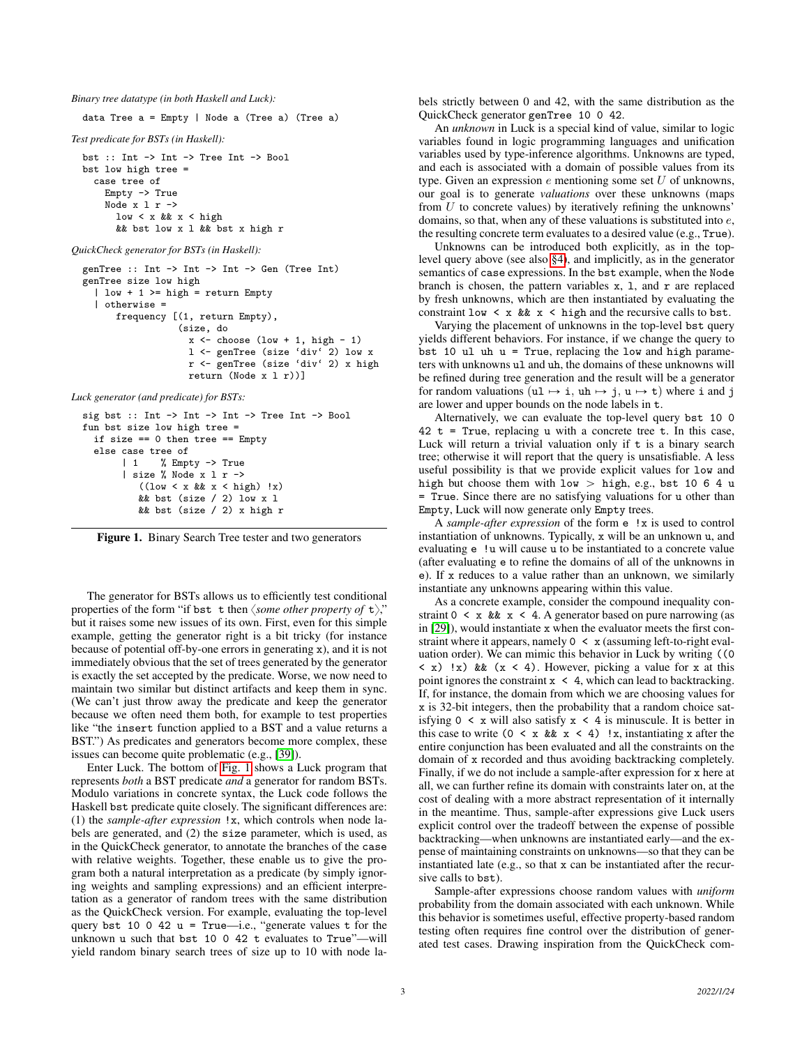*Binary tree datatype (in both Haskell and Luck):*

data Tree a = Empty | Node a (Tree a) (Tree a)

*Test predicate for BSTs (in Haskell):*

bst :: Int -> Int -> Tree Int -> Bool bst low high tree = case tree of Empty -> True Node x l r ->  $low < x$  &  $x < high$ && bst low x l && bst x high r

*QuickCheck generator for BSTs (in Haskell):*

genTree :: Int -> Int -> Int -> Gen (Tree Int) genTree size low high | low + 1 > = high = return Empty | otherwise = frequency [(1, return Empty), (size, do  $x \leftarrow$  choose (low + 1, high - 1) l <- genTree (size 'div' 2) low x r <- genTree (size 'div' 2) x high return (Node x l r))]

*Luck generator (and predicate) for BSTs:*

```
sig bst :: Int -> Int -> Int -> Tree Int -> Bool
fun bst size low high tree =
  if size == 0 then tree == Empty
  else case tree of
       | 1 % Empty -> True
       | size % Node x l r ->
          ((low < x \& x < high) \cdot x)&& bst (size / 2) low x l
          && bst (size / 2) x high r
```
<span id="page-2-0"></span>

The generator for BSTs allows us to efficiently test conditional properties of the form "if bst t then  $\langle$  *some other property of* t $\rangle$ ," but it raises some new issues of its own. First, even for this simple example, getting the generator right is a bit tricky (for instance because of potential off-by-one errors in generating x), and it is not immediately obvious that the set of trees generated by the generator is exactly the set accepted by the predicate. Worse, we now need to maintain two similar but distinct artifacts and keep them in sync. (We can't just throw away the predicate and keep the generator because we often need them both, for example to test properties like "the insert function applied to a BST and a value returns a BST.") As predicates and generators become more complex, these issues can become quite problematic (e.g., [\[39\]](#page-26-7)).

Enter Luck. The bottom of [Fig. 1](#page-2-0) shows a Luck program that represents *both* a BST predicate *and* a generator for random BSTs. Modulo variations in concrete syntax, the Luck code follows the Haskell bst predicate quite closely. The significant differences are: (1) the *sample-after expression* !x, which controls when node labels are generated, and (2) the size parameter, which is used, as in the QuickCheck generator, to annotate the branches of the case with relative weights. Together, these enable us to give the program both a natural interpretation as a predicate (by simply ignoring weights and sampling expressions) and an efficient interpretation as a generator of random trees with the same distribution as the QuickCheck version. For example, evaluating the top-level query bst 10 0 42  $u = True$ —i.e., "generate values t for the unknown u such that bst 10 0 42 t evaluates to True"—will yield random binary search trees of size up to 10 with node labels strictly between 0 and 42, with the same distribution as the QuickCheck generator genTree 10 0 42.

An *unknown* in Luck is a special kind of value, similar to logic variables found in logic programming languages and unification variables used by type-inference algorithms. Unknowns are typed, and each is associated with a domain of possible values from its type. Given an expression  $e$  mentioning some set  $U$  of unknowns, our goal is to generate *valuations* over these unknowns (maps from  $U$  to concrete values) by iteratively refining the unknowns' domains, so that, when any of these valuations is substituted into e, the resulting concrete term evaluates to a desired value (e.g., True).

Unknowns can be introduced both explicitly, as in the toplevel query above (see also [§4\)](#page-20-1), and implicitly, as in the generator semantics of case expressions. In the bst example, when the Node branch is chosen, the pattern variables  $x$ , 1, and  $r$  are replaced by fresh unknowns, which are then instantiated by evaluating the constraint low  $\langle x \times x \rangle$   $\langle x \times x \rangle$  and the recursive calls to bst.

Varying the placement of unknowns in the top-level bst query yields different behaviors. For instance, if we change the query to bst 10 ul uh  $u = True$ , replacing the low and high parameters with unknowns ul and uh, the domains of these unknowns will be refined during tree generation and the result will be a generator for random valuations (ul  $\mapsto$  i, uh  $\mapsto$  j, u  $\mapsto$  t) where i and j are lower and upper bounds on the node labels in t.

Alternatively, we can evaluate the top-level query bst 10 0  $42$  t = True, replacing u with a concrete tree t. In this case, Luck will return a trivial valuation only if t is a binary search tree; otherwise it will report that the query is unsatisfiable. A less useful possibility is that we provide explicit values for low and high but choose them with  $low > high$ , e.g., bst 10 6 4 u = True. Since there are no satisfying valuations for u other than Empty, Luck will now generate only Empty trees.

A *sample-after expression* of the form e !x is used to control instantiation of unknowns. Typically, x will be an unknown u, and evaluating e !u will cause u to be instantiated to a concrete value (after evaluating e to refine the domains of all of the unknowns in e). If x reduces to a value rather than an unknown, we similarly instantiate any unknowns appearing within this value.

As a concrete example, consider the compound inequality constraint  $0 \leq x \& x \leq 4$ . A generator based on pure narrowing (as in [\[29\]](#page-26-12)), would instantiate x when the evaluator meets the first constraint where it appears, namely  $0 \le x$  (assuming left-to-right evaluation order). We can mimic this behavior in Luck by writing ((0  $\langle x \rangle$  !x) &  $(x \langle 4)$ . However, picking a value for x at this point ignores the constraint  $x < 4$ , which can lead to backtracking. If, for instance, the domain from which we are choosing values for x is 32-bit integers, then the probability that a random choice satisfying  $0 \lt x$  will also satisfy  $x \lt 4$  is minuscule. It is better in this case to write ( $0 \le x \& x \le 4$ ) !x, instantiating x after the entire conjunction has been evaluated and all the constraints on the domain of x recorded and thus avoiding backtracking completely. Finally, if we do not include a sample-after expression for x here at all, we can further refine its domain with constraints later on, at the cost of dealing with a more abstract representation of it internally in the meantime. Thus, sample-after expressions give Luck users explicit control over the tradeoff between the expense of possible backtracking—when unknowns are instantiated early—and the expense of maintaining constraints on unknowns—so that they can be instantiated late (e.g., so that x can be instantiated after the recursive calls to bst).

Sample-after expressions choose random values with *uniform* probability from the domain associated with each unknown. While this behavior is sometimes useful, effective property-based random testing often requires fine control over the distribution of generated test cases. Drawing inspiration from the QuickCheck com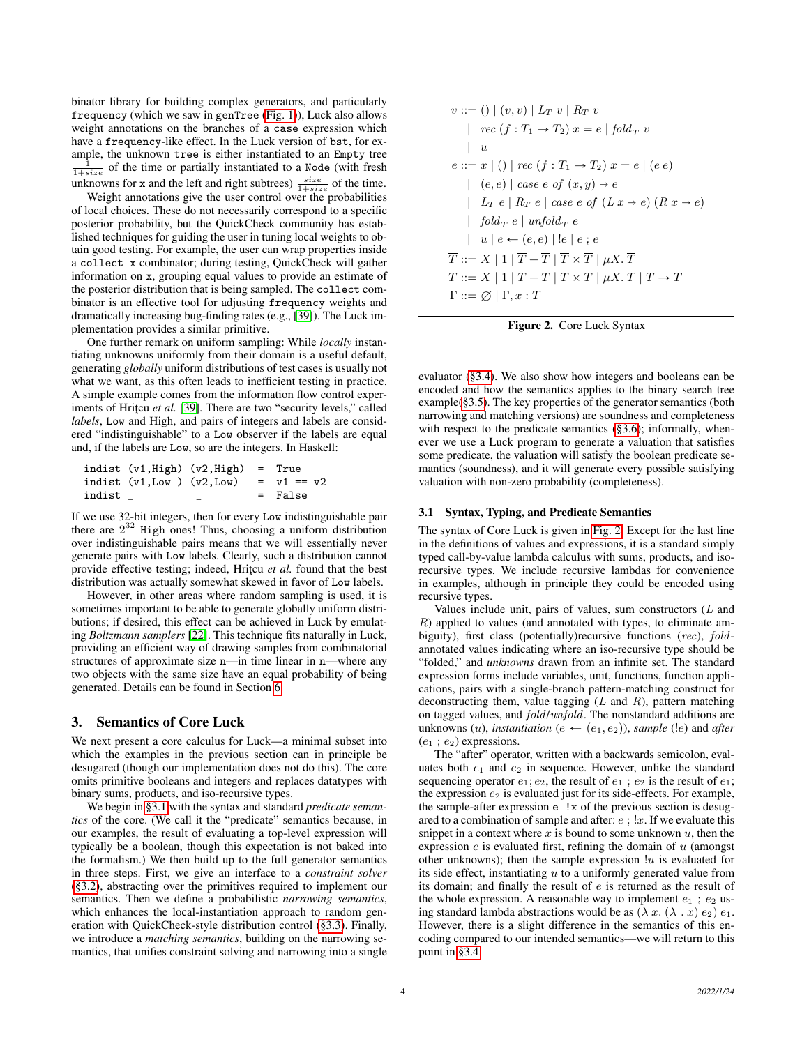binator library for building complex generators, and particularly frequency (which we saw in genTree [\(Fig. 1\)](#page-2-0)), Luck also allows weight annotations on the branches of a case expression which have a frequency-like effect. In the Luck version of bst, for example, the unknown tree is either instantiated to an Empty tree  $\frac{1}{1+size}$  of the time or partially instantiated to a Node (with fresh unknowns for x and the left and right subtrees)  $\frac{size}{1+size}$  of the time.

Weight annotations give the user control over the probabilities of local choices. These do not necessarily correspond to a specific posterior probability, but the QuickCheck community has established techniques for guiding the user in tuning local weights to obtain good testing. For example, the user can wrap properties inside a collect x combinator; during testing, QuickCheck will gather information on x, grouping equal values to provide an estimate of the posterior distribution that is being sampled. The collect combinator is an effective tool for adjusting frequency weights and dramatically increasing bug-finding rates (e.g., [\[39\]](#page-26-7)). The Luck implementation provides a similar primitive.

One further remark on uniform sampling: While *locally* instantiating unknowns uniformly from their domain is a useful default, generating *globally* uniform distributions of test cases is usually not what we want, as this often leads to inefficient testing in practice. A simple example comes from the information flow control exper-iments of Hrit<sub>cu</sub> et al. [\[39\]](#page-26-7). There are two "security levels," called *labels*, Low and High, and pairs of integers and labels are considered "indistinguishable" to a Low observer if the labels are equal and, if the labels are Low, so are the integers. In Haskell:

|        | indist $(v1, High)$ $(v2, High) = True$     |         |
|--------|---------------------------------------------|---------|
|        | indist $(v1, Low)$ $(v2, Low)$ = $v1 == v2$ |         |
| indist |                                             | = False |

If we use 32-bit integers, then for every Low indistinguishable pair there are  $2^{32}$  High ones! Thus, choosing a uniform distribution over indistinguishable pairs means that we will essentially never generate pairs with Low labels. Clearly, such a distribution cannot provide effective testing; indeed, Hrit<sub>cu</sub> et al. found that the best distribution was actually somewhat skewed in favor of Low labels.

However, in other areas where random sampling is used, it is sometimes important to be able to generate globally uniform distributions; if desired, this effect can be achieved in Luck by emulating *Boltzmann samplers* [\[22\]](#page-26-19). This technique fits naturally in Luck, providing an efficient way of drawing samples from combinatorial structures of approximate size n—in time linear in n—where any two objects with the same size have an equal probability of being generated. Details can be found in Section [6.](#page-23-0)

## <span id="page-3-0"></span>3. Semantics of Core Luck

We next present a core calculus for Luck—a minimal subset into which the examples in the previous section can in principle be desugared (though our implementation does not do this). The core omits primitive booleans and integers and replaces datatypes with binary sums, products, and iso-recursive types.

We begin in [§3.1](#page-3-1) with the syntax and standard *predicate semantics* of the core. (We call it the "predicate" semantics because, in our examples, the result of evaluating a top-level expression will typically be a boolean, though this expectation is not baked into the formalism.) We then build up to the full generator semantics in three steps. First, we give an interface to a *constraint solver* [\(§3.2\)](#page-4-0), abstracting over the primitives required to implement our semantics. Then we define a probabilistic *narrowing semantics*, which enhances the local-instantiation approach to random generation with QuickCheck-style distribution control [\(§3.3\)](#page-5-0). Finally, we introduce a *matching semantics*, building on the narrowing semantics, that unifies constraint solving and narrowing into a single

$$
v ::= () | (v, v) | L_T v | R_T v
$$
  
\n
$$
| \operatorname{rec}(f : T_1 \to T_2) x = e | \operatorname{fold}_T v
$$
  
\n
$$
| \operatorname{u}
$$
  
\n
$$
e ::= x | () | \operatorname{rec}(f : T_1 \to T_2) x = e | (e e)
$$
  
\n
$$
| (e, e) | \operatorname{case} e \text{ of } (x, y) \to e
$$
  
\n
$$
| L_T e | R_T e | \operatorname{case} e \text{ of } (L x \to e) (R x \to e)
$$
  
\n
$$
| \operatorname{fold}_T e | \operatorname{unfold}_T e
$$
  
\n
$$
| \operatorname{u} | e \leftarrow (e, e) | !e | e ; e
$$
  
\n
$$
\overline{T} ::= X | 1 | \overline{T} + \overline{T} | \overline{T} \times \overline{T} | \mu X. \overline{T}
$$
  
\n
$$
T ::= X | 1 | T + T | T \times T | \mu X. T | T \to T
$$
  
\n
$$
\Gamma ::= \varnothing | \Gamma, x : T
$$

<span id="page-3-2"></span>Figure 2. Core Luck Syntax

evaluator [\(§3.4\)](#page-7-0). We also show how integers and booleans can be encoded and how the semantics applies to the binary search tree example[\(§3.5\)](#page-9-0). The key properties of the generator semantics (both narrowing and matching versions) are soundness and completeness with respect to the predicate semantics [\(§3.6\)](#page-10-0); informally, whenever we use a Luck program to generate a valuation that satisfies some predicate, the valuation will satisfy the boolean predicate semantics (soundness), and it will generate every possible satisfying valuation with non-zero probability (completeness).

#### <span id="page-3-1"></span>3.1 Syntax, Typing, and Predicate Semantics

The syntax of Core Luck is given in [Fig. 2.](#page-3-2) Except for the last line in the definitions of values and expressions, it is a standard simply typed call-by-value lambda calculus with sums, products, and isorecursive types. We include recursive lambdas for convenience in examples, although in principle they could be encoded using recursive types.

Values include unit, pairs of values, sum constructors  $(L$  and R) applied to values (and annotated with types, to eliminate ambiguity), first class (potentially)recursive functions (rec), foldannotated values indicating where an iso-recursive type should be "folded," and *unknowns* drawn from an infinite set. The standard expression forms include variables, unit, functions, function applications, pairs with a single-branch pattern-matching construct for deconstructing them, value tagging  $(L \text{ and } R)$ , pattern matching on tagged values, and fold/unfold. The nonstandard additions are unknowns (*u*), *instantiation* ( $e \leftarrow (e_1, e_2)$ ), *sample* (!*e*) and *after*  $(e_1 : e_2)$  expressions.

The "after" operator, written with a backwards semicolon, evaluates both  $e_1$  and  $e_2$  in sequence. However, unlike the standard sequencing operator  $e_1$ ;  $e_2$ , the result of  $e_1$ ;  $e_2$  is the result of  $e_1$ ; the expression  $e_2$  is evaluated just for its side-effects. For example, the sample-after expression e !x of the previous section is desugared to a combination of sample and after:  $e$  ;  $x$ . If we evaluate this snippet in a context where  $x$  is bound to some unknown  $u$ , then the expression  $e$  is evaluated first, refining the domain of  $u$  (amongst other unknowns); then the sample expression  $\mu$  is evaluated for its side effect, instantiating  $u$  to a uniformly generated value from its domain; and finally the result of e is returned as the result of the whole expression. A reasonable way to implement  $e_1$  ;  $e_2$  using standard lambda abstractions would be as  $(\lambda x. (\lambda x. e_2) e_1)$ . However, there is a slight difference in the semantics of this encoding compared to our intended semantics—we will return to this point in [§3.4.](#page-7-0)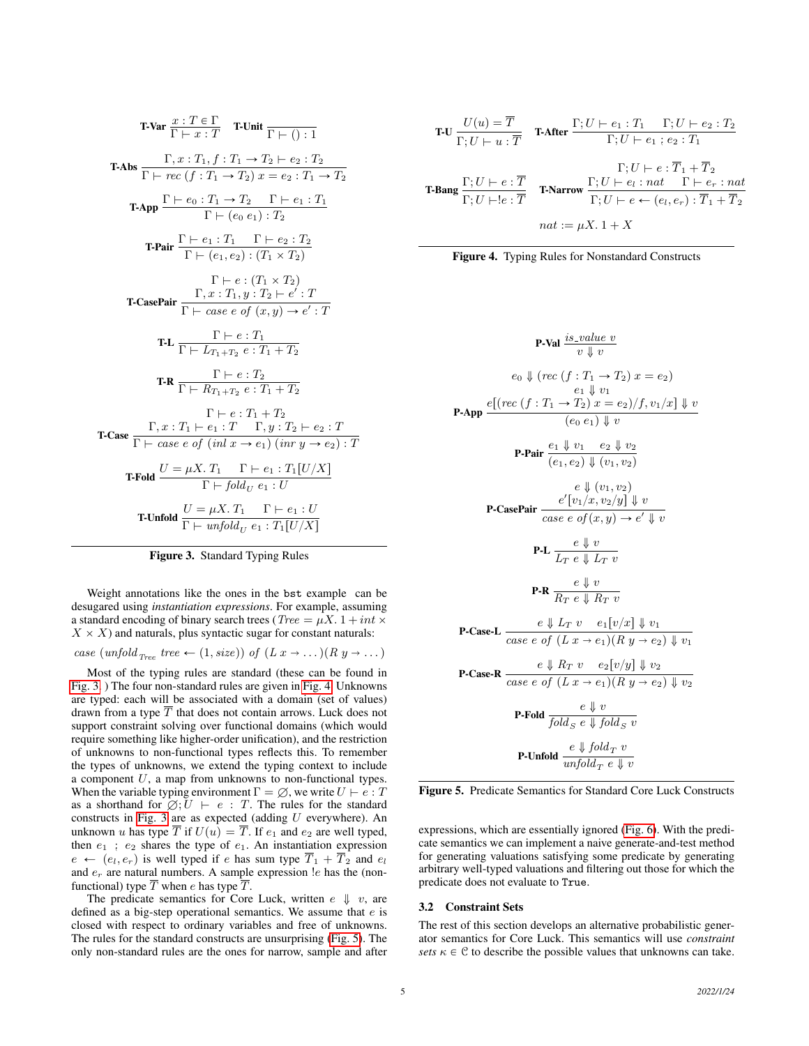T-Var 
$$
\frac{x:T \in \Gamma}{\Gamma + x:T}
$$
 T-Unit  $\frac{\Gamma}{\Gamma + \Gamma}$  : 1  
\n $\Gamma$   
\n $\Gamma$   
\n $\Gamma$   
\n $\Gamma$   
\n $\Gamma$   
\n $\Gamma$   
\n $\Gamma$   
\n $\Gamma$   
\n $\Gamma$   
\n $\Gamma$   
\n $\Gamma$   
\n $\Gamma$   
\n $\Gamma$   
\n $\Gamma$   
\n $\Gamma$   
\n $\Gamma$   
\n $\Gamma$   
\n $\Gamma$   
\n $\Gamma$   
\n $\Gamma$   
\n $\Gamma$   
\n $\Gamma$   
\n $\Gamma$   
\n $\Gamma$   
\n $\Gamma$   
\n $\Gamma$   
\n $\Gamma$   
\n $\Gamma$   
\n $\Gamma$   
\n $\Gamma$   
\n $\Gamma$   
\n $\Gamma$   
\n $\Gamma$   
\n $\Gamma$   
\n $\Gamma$   
\n $\Gamma$   
\n $\Gamma$   
\n $\Gamma$   
\n $\Gamma$   
\n $\Gamma$   
\n $\Gamma$   
\n $\Gamma$   
\n $\Gamma$   
\n $\Gamma$   
\n $\Gamma$   
\n $\Gamma$   
\n $\Gamma$   
\n $\Gamma$   
\n $\Gamma$   
\n $\Gamma$   
\n $\Gamma$   
\n $\Gamma$   
\n $\Gamma$   
\n $\Gamma$   
\n $\Gamma$   
\n $\Gamma$   
\n $\Gamma$   
\n $\Gamma$   
\n $\Gamma$   
\n $\Gamma$   
\n $\Gamma$   
\n $\Gamma$   
\n $\Gamma$   
\n $\Gamma$   
\n $\Gamma$   
\n $\Gamma$   
\n $\Gamma$   
\n $\Gamma$   
\n $\Gamma$   
\n $\Gamma$   
\n $\Gamma$   
\n $\Gamma$   
\

<span id="page-4-1"></span>

Weight annotations like the ones in the bst example can be desugared using *instantiation expressions*. For example, assuming a standard encoding of binary search trees (Tree =  $\mu X$ . 1 + int  $\times$  $X \times X$ ) and naturals, plus syntactic sugar for constant naturals:

case (unfold  $T_{\text{tree}}$  tree  $\leftarrow (1, size)$ ) of  $(L x \rightarrow \dots)(R y \rightarrow \dots)$ 

Most of the typing rules are standard (these can be found in [Fig. 3.](#page-4-1) ) The four non-standard rules are given in [Fig. 4.](#page-4-2) Unknowns are typed: each will be associated with a domain (set of values) drawn from a type  $\overline{T}$  that does not contain arrows. Luck does not support constraint solving over functional domains (which would require something like higher-order unification), and the restriction of unknowns to non-functional types reflects this. To remember the types of unknowns, we extend the typing context to include a component  $U$ , a map from unknowns to non-functional types. When the variable typing environment  $\Gamma = \emptyset$ , we write  $U \vdash e : T$ as a shorthand for  $\emptyset; U \vdash e : T$ . The rules for the standard constructs in [Fig. 3](#page-4-1) are as expected (adding  $U$  everywhere). An unknown u has type  $\overline{T}$  if  $U(u) = \overline{T}$ . If  $e_1$  and  $e_2$  are well typed, then  $e_1$  ;  $e_2$  shares the type of  $e_1$ . An instantiation expression  $e \leftarrow (e_l, e_r)$  is well typed if e has sum type  $\overline{T}_1 + \overline{T}_2$  and  $e_l$ and  $e_r$  are natural numbers. A sample expression !e has the (nonfunctional) type  $\overline{T}$  when e has type  $\overline{T}$ .

The predicate semantics for Core Luck, written  $e \Downarrow v$ , are defined as a big-step operational semantics. We assume that  $e$  is closed with respect to ordinary variables and free of unknowns. The rules for the standard constructs are unsurprising [\(Fig. 5\)](#page-4-3). The only non-standard rules are the ones for narrow, sample and after

$$
\begin{aligned}\n\textbf{T-U} \frac{U(u) = \overline{T}}{\Gamma; U \vdash u : \overline{T}} & \textbf{T-After} \frac{\Gamma; U \vdash e_1 : T_1 \quad \Gamma; U \vdash e_2 : T_2}{\Gamma; U \vdash e_1 : e_2 : T_1} \\
& \frac{\Gamma; U \vdash e : \overline{T}}{\Gamma; U \vdash e : \overline{T}} & \textbf{T-Narrow} \frac{\Gamma; U \vdash e_l : \textit{nat} \quad \Gamma \vdash e_r : \textit{nat}}{\Gamma; U \vdash e \leftarrow (e_l, e_r) : \overline{T}_1 + \overline{T}_2} \\
& \textit{nat} := \mu X. \ 1 + X\n\end{aligned}
$$

<span id="page-4-2"></span>Figure 4. Typing Rules for Nonstandard Constructs

$$
\begin{array}{c}\n\textbf{P-Val} \stackrel{i\underline{s} \text{ -value } v}{v \Downarrow v} \\
\text{e}_0 \Downarrow (rec (f : T_1 \rightarrow T_2) x = e_2) \\
\text{e}_1 \Downarrow v_1 \\
\text{P-App} \stackrel{e[}(rec (f : T_1 \rightarrow T_2) x = e_2) / f, v_1 / x] \Downarrow v}{(e_0 e_1) \Downarrow v} \\
\textbf{P-Pair} \stackrel{e_1 \Downarrow v_1}{(e_1, e_2) \Downarrow (v_1, v_2)} \\
\text{P-Pair} \stackrel{e_1 \Downarrow v_1}{(e_1, e_2) \Downarrow (v_1, v_2)} \\
\text{P-CasePair} \stackrel{e'}{case e of (x, y) \rightarrow e' \Downarrow v} \\
\textbf{P-L} \stackrel{e}{L_T} \stackrel{e}{L_T} \stackrel{v}{L_T} \stackrel{v}{v} \\
\textbf{P-R} \stackrel{e}{R_T} \stackrel{v}{R_T} \stackrel{v}{R_T} \stackrel{v}{v} \\
\textbf{P-Case-L} \stackrel{e}{case e of (L x \rightarrow e_1)(R y \rightarrow e_2) \Downarrow v_1} \\
\textbf{P-Case-R} \stackrel{e}{case e of (L x \rightarrow e_1)(R y \rightarrow e_2) \Downarrow v_2} \\
\textbf{P-Code-R} \stackrel{e}{case e of (L x \rightarrow e_1)(R y \rightarrow e_2) \Downarrow v_2} \\
\textbf{P-Fold} \stackrel{e}{folds} \stackrel{v}{folds} \stackrel{v}{v} \\
\textbf{P-Unfold} \stackrel{e}{e} \stackrel{v}{folds} \stackrel{v}{v} \\
\textbf{P-Unfold} \stackrel{e}{folds} \stackrel{v}{fabd_T} \stackrel{v}{v} \\
\end{array}
$$

<span id="page-4-3"></span>Figure 5. Predicate Semantics for Standard Core Luck Constructs

expressions, which are essentially ignored [\(Fig. 6\)](#page-5-1). With the predicate semantics we can implement a naive generate-and-test method for generating valuations satisfying some predicate by generating arbitrary well-typed valuations and filtering out those for which the predicate does not evaluate to True.

#### <span id="page-4-0"></span>3.2 Constraint Sets

The rest of this section develops an alternative probabilistic generator semantics for Core Luck. This semantics will use *constraint sets*  $\kappa \in \mathcal{C}$  to describe the possible values that unknowns can take.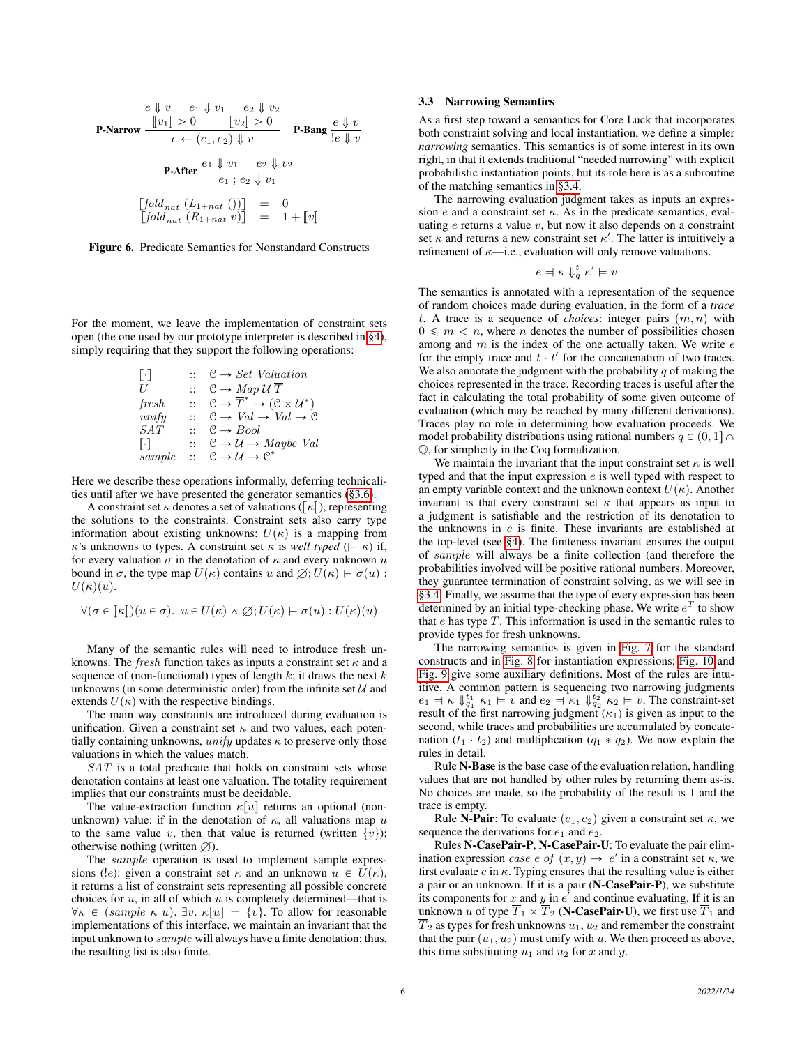$$
e \Downarrow v \quad e_1 \Downarrow v_1 \quad e_2 \Downarrow v_2
$$
\n
$$
\text{P-Narrow} \quad \frac{\llbracket v_1 \rrbracket > 0 \qquad \llbracket v_2 \rrbracket > 0 \qquad \qquad \llbracket v_2 \rrbracket > 0 \qquad \qquad \text{P-Bang} \quad \frac{e \Downarrow v}{\llbracket e \Downarrow v}
$$
\n
$$
\text{P-After} \quad \frac{e_1 \Downarrow v_1 \qquad e_2 \Downarrow v_2}{e_1 \; ; \; e_2 \Downarrow v_1}
$$
\n
$$
\llbracket fold_{nat} \left( L_{1+nat} \left( \right) \right) \rrbracket = 0
$$
\n
$$
\llbracket fold_{nat} \left( R_{1+nat} \, v \right) \rrbracket = 1 + \llbracket v \rrbracket
$$

<span id="page-5-1"></span>

For the moment, we leave the implementation of constraint sets open (the one used by our prototype interpreter is described in [§4\)](#page-20-0), simply requiring that they support the following operations:

$$
\begin{array}{llll}\n\llbracket\cdot\rrbracket & :: & \mathbb{C} \to Set \; Valuation\\ U & :: & \mathbb{C} \to Map \; U \; \overline{T} \\
\text{ fresh} & :: & \mathbb{C} \to \overline{T}^* \to (\mathbb{C} \times \mathcal{U}^*)\\ \text{unify} & :: & \mathbb{C} \to \; Val \to \mathbb{V}al \to \mathbb{C} \\
\text{SAT} & :: & \mathbb{C} \to \; BOol\\ \llbracket\cdot\rrbracket & :: & \mathbb{C} \to \mathcal{U} \to \; Maybe \; Val\\ \text{sample} & :: & \mathbb{C} \to \mathcal{U} \to \mathbb{C}^* \\
\end{array}
$$

Here we describe these operations informally, deferring technicalities until after we have presented the generator semantics [\(§3.6\)](#page-10-0).

A constraint set  $\kappa$  denotes a set of valuations ( $\lbrack \lbrack \kappa \rbrack$ ), representing the solutions to the constraints. Constraint sets also carry type information about existing unknowns:  $U(\kappa)$  is a mapping from  $κ$ 's unknowns to types. A constraint set  $κ$  is *well typed* ( $\vdash κ$ ) if, for every valuation  $\sigma$  in the denotation of  $\kappa$  and every unknown u bound in  $\sigma$ , the type map  $U(\kappa)$  contains u and  $\emptyset$ ;  $U(\kappa) \vdash \sigma(u)$ :  $U(\kappa)(u)$ .

$$
\forall (\sigma \in [\![\kappa]\!])(u \in \sigma). \ \ u \in U(\kappa) \land \varnothing; U(\kappa) \vdash \sigma(u): U(\kappa)(u)
$$

Many of the semantic rules will need to introduce fresh unknowns. The fresh function takes as inputs a constraint set  $\kappa$  and a sequence of (non-functional) types of length  $k$ ; it draws the next  $k$ unknowns (in some deterministic order) from the infinite set  $U$  and extends  $U(\kappa)$  with the respective bindings.

The main way constraints are introduced during evaluation is unification. Given a constraint set  $\kappa$  and two values, each potentially containing unknowns,  $unify$  updates  $\kappa$  to preserve only those valuations in which the values match.

SAT is a total predicate that holds on constraint sets whose denotation contains at least one valuation. The totality requirement implies that our constraints must be decidable.

The value-extraction function  $\kappa[u]$  returns an optional (nonunknown) value: if in the denotation of  $\kappa$ , all valuations map u to the same value v, then that value is returned (written  $\{v\}$ ); otherwise nothing (written  $\emptyset$ ).

The *sample* operation is used to implement sample expressions (!e): given a constraint set  $\kappa$  and an unknown  $u \in U(\kappa)$ , it returns a list of constraint sets representing all possible concrete choices for  $u$ , in all of which  $u$  is completely determined—that is  $\forall \kappa \in (sample \kappa u)$ .  $\exists v. \kappa[u] = \{v\}$ . To allow for reasonable implementations of this interface, we maintain an invariant that the input unknown to sample will always have a finite denotation; thus, the resulting list is also finite.

#### <span id="page-5-0"></span>3.3 Narrowing Semantics

As a first step toward a semantics for Core Luck that incorporates both constraint solving and local instantiation, we define a simpler *narrowing* semantics. This semantics is of some interest in its own right, in that it extends traditional "needed narrowing" with explicit probabilistic instantiation points, but its role here is as a subroutine of the matching semantics in [§3.4.](#page-7-0)

The narrowing evaluation judgment takes as inputs an expression  $e$  and a constraint set  $\kappa$ . As in the predicate semantics, evaluating  $e$  returns a value  $v$ , but now it also depends on a constraint set  $\kappa$  and returns a new constraint set  $\kappa'$ . The latter is intuitively a refinement of  $\kappa$ —i.e., evaluation will only remove valuations.

$$
e \mathrel{\Rightarrow} \kappa \Downarrow_q^t \kappa' \models v
$$

The semantics is annotated with a representation of the sequence of random choices made during evaluation, in the form of a *trace* t. A trace is a sequence of *choices*: integer pairs  $(m, n)$  with  $0 \leq m \leq n$ , where *n* denotes the number of possibilities chosen among and m is the index of the one actually taken. We write  $\epsilon$ for the empty trace and  $t \cdot t'$  for the concatenation of two traces. We also annotate the judgment with the probability  $q$  of making the choices represented in the trace. Recording traces is useful after the fact in calculating the total probability of some given outcome of evaluation (which may be reached by many different derivations). Traces play no role in determining how evaluation proceeds. We model probability distributions using rational numbers  $q \in (0, 1] \cap$ Q, for simplicity in the Coq formalization.

We maintain the invariant that the input constraint set  $\kappa$  is well typed and that the input expression  $e$  is well typed with respect to an empty variable context and the unknown context  $U(\kappa)$ . Another invariant is that every constraint set  $\kappa$  that appears as input to a judgment is satisfiable and the restriction of its denotation to the unknowns in e is finite. These invariants are established at the top-level (see [§4\)](#page-20-1). The finiteness invariant ensures the output of sample will always be a finite collection (and therefore the probabilities involved will be positive rational numbers. Moreover, they guarantee termination of constraint solving, as we will see in [§3.4.](#page-7-0) Finally, we assume that the type of every expression has been determined by an initial type-checking phase. We write  $e^T$  to show that  $e$  has type  $T$ . This information is used in the semantic rules to provide types for fresh unknowns.

The narrowing semantics is given in [Fig. 7](#page-6-0) for the standard constructs and in [Fig. 8](#page-6-1) for instantiation expressions; [Fig. 10](#page-6-2) and [Fig. 9](#page-6-3) give some auxiliary definitions. Most of the rules are intuitive. A common pattern is sequencing two narrowing judgments  $e_1 = \kappa \Downarrow_{q_1}^{t_1} \kappa_1 \models v$  and  $e_2 = \kappa_1 \Downarrow_{q_2}^{t_2} \kappa_2 \models v$ . The constraint-set result of the first narrowing judgment  $(\kappa_1)$  is given as input to the second, while traces and probabilities are accumulated by concatenation  $(t_1 \tcdot t_2)$  and multiplication  $(q_1 * q_2)$ . We now explain the rules in detail.

Rule N-Base is the base case of the evaluation relation, handling values that are not handled by other rules by returning them as-is. No choices are made, so the probability of the result is 1 and the trace is empty.

Rule N-Pair: To evaluate  $(e_1, e_2)$  given a constraint set  $\kappa$ , we sequence the derivations for  $e_1$  and  $e_2$ .

Rules N-CasePair-P, N-CasePair-U: To evaluate the pair elimination expression *case e of*  $(x, y) \rightarrow e'$  in a constraint set  $\kappa$ , we first evaluate  $e$  in  $\kappa$ . Typing ensures that the resulting value is either a pair or an unknown. If it is a pair (N-CasePair-P), we substitute its components for x and y in  $e^7$  and continue evaluating. If it is an unknown u of type  $\overline{T}_1 \times \overline{T}_2$  (**N-CasePair-U**), we first use  $\overline{T}_1$  and  $\overline{T}_2$  as types for fresh unknowns  $u_1, u_2$  and remember the constraint that the pair  $(u_1, u_2)$  must unify with u. We then proceed as above, this time substituting  $u_1$  and  $u_2$  for x and y.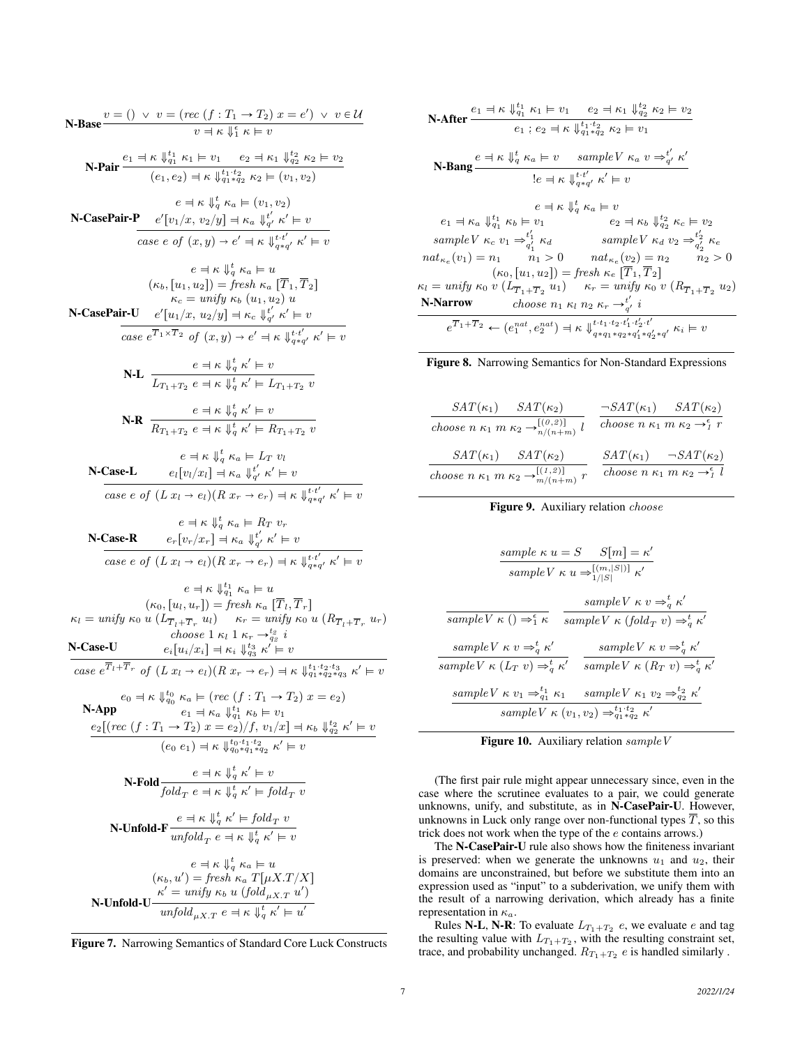N-Base 
$$
\frac{v = () \vee v = (rec (f : T_1 \rightarrow T_2) x = e') \vee v \in U}{v = \kappa \Downarrow_{1}^{\epsilon} \kappa = v}
$$
\nN-Pair 
$$
\frac{e_1 = \kappa \Downarrow_{11}^{\epsilon} \kappa_1}{(e_1, e_2) = \kappa \Downarrow_{11}^{\epsilon} \kappa_2} \kappa_2 = (v_1, v_2)
$$
\n
$$
e = \kappa \Downarrow_{11}^{\epsilon} \kappa_3 = (v_1, v_2)
$$
\nN-CasePair-P 
$$
\frac{e'[v_1/x, v_2/y] = \kappa_3 \Downarrow_{11}^{\epsilon'} \kappa_2}{(2\kappa_2 + 1)^2} = \kappa_2 \frac{e[v_1/y, v_2/y] = \kappa_3 \Downarrow_{11}^{\epsilon'} \kappa_2}{(2\kappa_2 + 1)^2} = \kappa_2 \frac{e[v_1/y, v_2/y] = \kappa_3 \Downarrow_{11}^{\epsilon'} \kappa_2}{(2\kappa_2 + 1)^2}
$$
\nN-CasePair-U 
$$
\frac{e'[v_1/x, u_2/y] = \kappa_3 \Downarrow_{11}^{\epsilon'} \kappa_2}{(2\kappa_2 + 1)^2} = \frac{e(-\kappa \Downarrow_{11}^{\epsilon'} \kappa_2)}{e(-\kappa_2 + 1)^2} = \frac{e(-\kappa \Downarrow_{11}^{\epsilon'} \kappa_2)}{e(-\kappa_2 + 1)^2} = \frac{e(-\kappa \Downarrow_{11}^{\epsilon'} \kappa_2)}{e(-\kappa_2 + 1)^2} = \frac{e(-\kappa \Downarrow_{11}^{\epsilon'} \kappa_2)}{e(-\kappa_2 + 1)^2} = \frac{e(-\kappa \Downarrow_{11}^{\epsilon'} \kappa_2)}{e(-\kappa_2 + 1)^2} = \frac{e(-\kappa \Downarrow_{11}^{\epsilon'} \kappa_2)}{e(-\kappa_2 + 1)^2} = \frac{e(-\kappa \Downarrow_{11}^{\epsilon'} \kappa_2)}{e(-\kappa_2 + 1)^2} = \frac{e(-\kappa \Downarrow_{11}^{\epsilon'} \kappa_2)}{e(-\kappa_2 + 1)^2} = \frac{e(-\kappa \Downarrow_{11}
$$

N-Unfold-U  $e \stackrel{\frown}{\vphantom{|}} \preccurlyeq \kappa \Downarrow_q^t \kappa_a \models u$  $(\kappa_b, u') = \text{fresh } \kappa_a \ T[\mu X.T/X]$  $\kappa' = \text{unify } \kappa_b \text{ u } (\text{fold}_{\mu X.T} \text{ u}')$  $\text{unfold}_{\mu X.T} e \preceq \kappa \Downarrow_q^t \kappa' \models u'$ 

<span id="page-6-0"></span>Figure 7. Narrowing Semantics of Standard Core Luck Constructs

| N-After                                                                                                                                                                                  | $e_1 = \kappa \Downarrow_{q_1}^{t_1} \kappa_1 \models v_1$ $e_2 = \kappa_1 \Downarrow_{q_2}^{t_2} \kappa_2 \models v_2$<br>$e_1$ ; $e_2 \equiv \kappa \Downarrow_{a_1 \ast a_2}^{t_1 \cdot t_2} \kappa_2 \models v_1$ |
|------------------------------------------------------------------------------------------------------------------------------------------------------------------------------------------|-----------------------------------------------------------------------------------------------------------------------------------------------------------------------------------------------------------------------|
|                                                                                                                                                                                          |                                                                                                                                                                                                                       |
| N-Bang                                                                                                                                                                                   | $e \equiv \kappa \Downarrow_q^t \kappa_a \models v$ sample $V \kappa_a v \Rightarrow_{q'}^{t'} \kappa'$                                                                                                               |
|                                                                                                                                                                                          | $!e \neq \kappa \Downarrow_{\alpha \ast \alpha'}^{t \cdot t'} \kappa' \models v$                                                                                                                                      |
| $e \equiv \kappa \Downarrow_q^t \kappa_a \models v$                                                                                                                                      |                                                                                                                                                                                                                       |
| $e_1 = \kappa_a \Downarrow_{q_1}^{t_1} \kappa_b \models v_1$                                                                                                                             | $e_2 \equiv \kappa_b \Downarrow_{q_2}^{t_2} \kappa_c \models v_2$                                                                                                                                                     |
| sample $V \kappa_c v_1 \Rightarrow_{d'_1}^{t'_1} \kappa_d$ sample $V \kappa_d v_2 \Rightarrow_{d'_2}^{t'_2} \kappa_e$                                                                    |                                                                                                                                                                                                                       |
| $nat_{\kappa_e}(v_1) = n_1$ $n_1 > 0$ $nat_{\kappa_e}(v_2) = n_2$ $n_2 > 0$                                                                                                              |                                                                                                                                                                                                                       |
| $(\kappa_0, [u_1, u_2]) = \text{fresh } \kappa_e [T_1, T_2]$                                                                                                                             |                                                                                                                                                                                                                       |
| $\kappa_l = \text{unify } \kappa_0 \ v \ (L_{\overline{T}_1 + \overline{T}_2} \ u_1) \quad \kappa_r = \text{unify } \kappa_0 \ v \ (R_{\overline{T}_1 + \overline{T}_2} \ u_2)$          |                                                                                                                                                                                                                       |
| choose $n_1 \kappa_l n_2 \kappa_r \rightarrow_{q'}^{t'} i$<br>N-Narrow                                                                                                                   |                                                                                                                                                                                                                       |
| $e^{\overline{T}_1 + \overline{T}_2} \leftarrow (e_1^{nat}, e_2^{nat}) \Rightarrow \kappa \Downarrow_{q*q_1*q_2 * q'_1 * q'_2 * q'}^{t \cdot t_1 \cdot t_2' \cdot t'} \kappa_i \vDash v$ |                                                                                                                                                                                                                       |

<span id="page-6-1"></span>Figure 8. Narrowing Semantics for Non-Standard Expressions

| $SAT(\kappa_1)$ $SAT(\kappa_2)$                                         | $\neg SAT(\kappa_1)$ $SAT(\kappa_2)$                            |
|-------------------------------------------------------------------------|-----------------------------------------------------------------|
| choose $n \kappa_1 m \kappa_2 \rightarrow \binom{[(0,2)]}{n/(n+m)} l$   | choose $n \kappa_1 m \kappa_2 \rightarrow^{\epsilon}_{\iota} r$ |
| $SAT(\kappa_1)$ $SAT(\kappa_2)$                                         | $SAT(\kappa_1) \quad -SAT(\kappa_2)$                            |
| choose $n \kappa_1$ $m \kappa_2 \rightarrow \binom{[(1,2)]}{m/(n+m)} r$ | choose $n \kappa_1 m \kappa_2 \rightarrow_l^{\epsilon} l$       |

<span id="page-6-3"></span>Figure 9. Auxiliary relation choose

| sample $\kappa u = S \quad S[m] = \kappa'$                                                                      |                                                          |  |  |
|-----------------------------------------------------------------------------------------------------------------|----------------------------------------------------------|--|--|
| $\mathit{sampleV}\ \kappa\ u\Rightarrow_{1/ S }^{[(m, S )]}\kappa'$                                             |                                                          |  |  |
|                                                                                                                 | sample $V \kappa v \Rightarrow_{a}^{t} \kappa'$          |  |  |
| sample $V \kappa() \Rightarrow_1^{\epsilon} \kappa$<br>sample $V \kappa (fold_T v) \Rightarrow_{a}^{t} \kappa'$ |                                                          |  |  |
| sample $V \kappa v \Rightarrow_{\alpha}^t \kappa'$                                                              | sample $V \kappa v \Rightarrow_{a}^{t} \kappa'$          |  |  |
| sample $V \kappa (L_T v) \Rightarrow_{\alpha}^t \kappa'$                                                        | sample $V \kappa (R_T v) \Rightarrow_{\alpha}^t \kappa'$ |  |  |
| sample $V \kappa v_1 \Rightarrow_{a_1}^{t_1} \kappa_1$                                                          | sample $V \kappa_1 v_2 \Rightarrow_{a_2}^{t_2} \kappa'$  |  |  |
| sample $V \kappa(v_1, v_2) \Rightarrow_{q_1 + q_2}^{t_1 \cdot t_2} \kappa'$                                     |                                                          |  |  |

<span id="page-6-2"></span>

|  | Figure 10. Auxiliary relation $sampleV$ |  |  |  |
|--|-----------------------------------------|--|--|--|
|--|-----------------------------------------|--|--|--|

(The first pair rule might appear unnecessary since, even in the case where the scrutinee evaluates to a pair, we could generate unknowns, unify, and substitute, as in N-CasePair-U. However, unknowns in Luck only range over non-functional types  $\overline{T}$ , so this trick does not work when the type of the e contains arrows.)

The N-CasePair-U rule also shows how the finiteness invariant is preserved: when we generate the unknowns  $u_1$  and  $u_2$ , their domains are unconstrained, but before we substitute them into an expression used as "input" to a subderivation, we unify them with the result of a narrowing derivation, which already has a finite representation in  $\kappa_a$ .

Rules N-L, N-R: To evaluate  $L_{T_1+T_2}$  e, we evaluate e and tag the resulting value with  $L_{T_1+T_2}$ , with the resulting constraint set, trace, and probability unchanged.  $R_{T_1+T_2}$  e is handled similarly.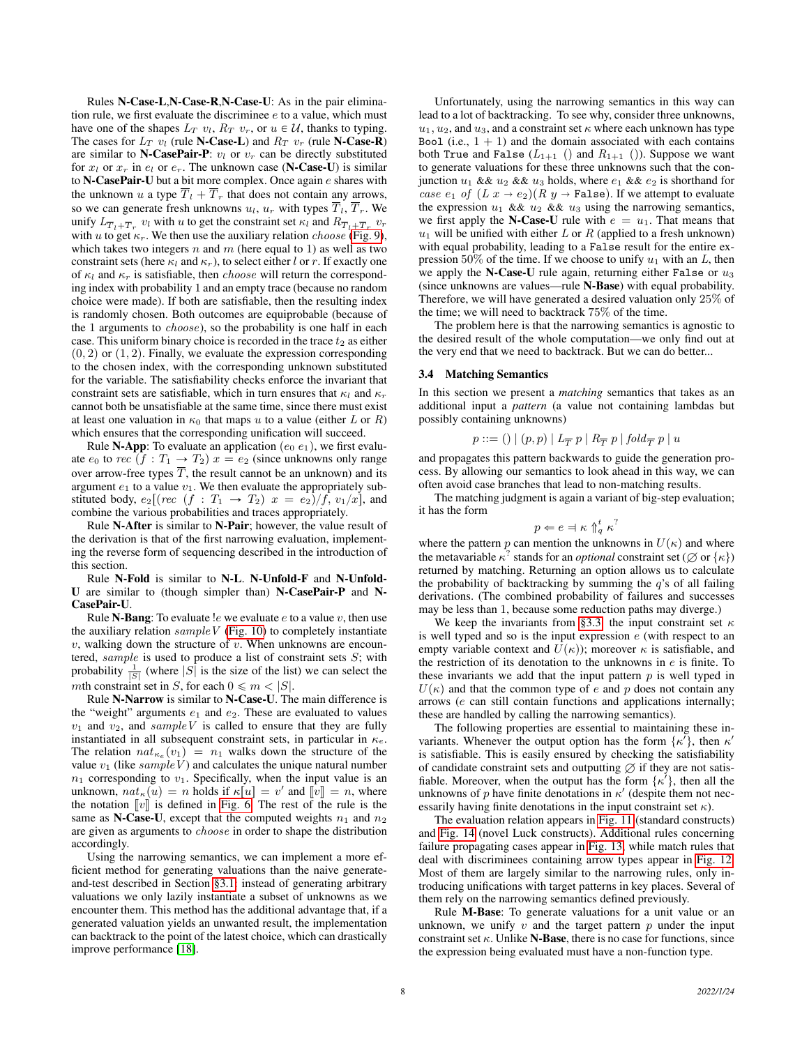Rules N-Case-L,N-Case-R,N-Case-U: As in the pair elimination rule, we first evaluate the discriminee e to a value, which must have one of the shapes  $L_T$   $v_l$ ,  $R_T$   $v_r$ , or  $u \in \mathcal{U}$ , thanks to typing. The cases for  $L_T$   $v_l$  (rule N-Case-L) and  $R_T$   $v_r$  (rule N-Case-R) are similar to N-CasePair-P:  $v_l$  or  $v_r$  can be directly substituted for  $x_l$  or  $x_r$  in  $e_l$  or  $e_r$ . The unknown case (N-Case-U) is similar to N-CasePair-U but a bit more complex. Once again  $e$  shares with the unknown u a type  $\overline{T}_l + \overline{T}_r$  that does not contain any arrows, so we can generate fresh unknowns  $u_l$ ,  $u_r$  with types  $\overline{T}_l$ ,  $\overline{T}_r$ . We unify  $L_{\overline{T}_l+\overline{T}_r}$   $v_l$  with u to get the constraint set  $\kappa_l$  and  $R_{\overline{T}_l+\overline{T}_r}$   $v_r$ with u to get  $\kappa_r$ . We then use the auxiliary relation *choose* [\(Fig. 9\)](#page-6-3), which takes two integers n and m (here equal to 1) as well as two constraint sets (here  $\kappa_l$  and  $\kappa_r$ ), to select either l or r. If exactly one of  $\kappa_l$  and  $\kappa_r$  is satisfiable, then *choose* will return the corresponding index with probability 1 and an empty trace (because no random choice were made). If both are satisfiable, then the resulting index is randomly chosen. Both outcomes are equiprobable (because of the 1 arguments to choose), so the probability is one half in each case. This uniform binary choice is recorded in the trace  $t_2$  as either  $(0, 2)$  or  $(1, 2)$ . Finally, we evaluate the expression corresponding to the chosen index, with the corresponding unknown substituted for the variable. The satisfiability checks enforce the invariant that constraint sets are satisfiable, which in turn ensures that  $\kappa_l$  and  $\kappa_r$ cannot both be unsatisfiable at the same time, since there must exist at least one valuation in  $\kappa_0$  that maps u to a value (either L or R) which ensures that the corresponding unification will succeed.

Rule N-App: To evaluate an application  $(e_0 \, e_1)$ , we first evaluate  $e_0$  to rec  $(f : T_1 \rightarrow T_2)$   $x = e_2$  (since unknowns only range over arrow-free types  $\overline{T}$ , the result cannot be an unknown) and its argument  $e_1$  to a value  $v_1$ . We then evaluate the appropriately substituted body,  $e_2$ [(rec (f :  $T_1 \rightarrow T_2$ )  $x = e_2$ )/f,  $v_1/x$ ], and combine the various probabilities and traces appropriately.

Rule N-After is similar to N-Pair; however, the value result of the derivation is that of the first narrowing evaluation, implementing the reverse form of sequencing described in the introduction of this section.

Rule N-Fold is similar to N-L. N-Unfold-F and N-Unfold-U are similar to (though simpler than) N-CasePair-P and N-CasePair-U.

Rule N-Bang: To evaluate !e we evaluate  $e$  to a value  $v$ , then use the auxiliary relation  $sampleV$  [\(Fig. 10\)](#page-6-2) to completely instantiate  $v$ , walking down the structure of  $v$ . When unknowns are encountered, sample is used to produce a list of constraint sets S; with probability  $\frac{1}{|S|}$  (where  $|S|$  is the size of the list) we can select the mth constraint set in S, for each  $0 \le m < |S|$ .

Rule N-Narrow is similar to N-Case-U. The main difference is the "weight" arguments  $e_1$  and  $e_2$ . These are evaluated to values  $v_1$  and  $v_2$ , and sample V is called to ensure that they are fully instantiated in all subsequent constraint sets, in particular in  $\kappa_e$ . The relation  $nat_{\kappa_e}(v_1) = n_1$  walks down the structure of the value  $v_1$  (like sample V) and calculates the unique natural number  $n_1$  corresponding to  $v_1$ . Specifically, when the input value is an unknown,  $nat_{\kappa}(u) = n$  holds if  $\kappa[u] = v'$  and  $[v] = n$ , where<br>the notation  $||v||$  is defined in Fig. 6. The rest of the rule is the the notation  $\llbracket v \rrbracket$  is defined in [Fig. 6.](#page-5-1) The rest of the rule is the same as N-Case-U, except that the computed weights  $n_1$  and  $n_2$ are given as arguments to choose in order to shape the distribution accordingly.

Using the narrowing semantics, we can implement a more efficient method for generating valuations than the naive generateand-test described in Section [§3.1:](#page-3-1) instead of generating arbitrary valuations we only lazily instantiate a subset of unknowns as we encounter them. This method has the additional advantage that, if a generated valuation yields an unwanted result, the implementation can backtrack to the point of the latest choice, which can drastically improve performance [\[18\]](#page-25-5).

Unfortunately, using the narrowing semantics in this way can lead to a lot of backtracking. To see why, consider three unknowns,  $u_1, u_2$ , and  $u_3$ , and a constraint set  $\kappa$  where each unknown has type Bool (i.e.,  $1 + 1$ ) and the domain associated with each contains both True and False  $(L_{1+1} \text{)}$  and  $R_{1+1} \text{)}$ . Suppose we want to generate valuations for these three unknowns such that the conjunction  $u_1$  &&  $u_2$  &&  $u_3$  holds, where  $e_1$  &&  $e_2$  is shorthand for case  $e_1$  of  $(L x \rightarrow e_2)(R y \rightarrow \text{False})$ . If we attempt to evaluate the expression  $u_1$  &&  $u_2$  &&  $u_3$  using the narrowing semantics, we first apply the N-Case-U rule with  $e = u_1$ . That means that  $u_1$  will be unified with either L or R (applied to a fresh unknown) with equal probability, leading to a False result for the entire expression 50% of the time. If we choose to unify  $u_1$  with an L, then we apply the N-Case-U rule again, returning either False or  $u_3$ (since unknowns are values—rule N-Base) with equal probability. Therefore, we will have generated a desired valuation only 25% of the time; we will need to backtrack 75% of the time.

The problem here is that the narrowing semantics is agnostic to the desired result of the whole computation—we only find out at the very end that we need to backtrack. But we can do better...

#### <span id="page-7-0"></span>3.4 Matching Semantics

In this section we present a *matching* semantics that takes as an additional input a *pattern* (a value not containing lambdas but possibly containing unknowns)

$$
p ::= () | (p, p) | L_{\overline{T}} p | R_{\overline{T}} p | fold_{\overline{T}} p | u
$$

and propagates this pattern backwards to guide the generation process. By allowing our semantics to look ahead in this way, we can often avoid case branches that lead to non-matching results.

The matching judgment is again a variant of big-step evaluation; it has the form

$$
p \Leftarrow e \Rightarrow \kappa \Uparrow_q^t \kappa^?
$$

where the pattern p can mention the unknowns in  $U(\kappa)$  and where the metavariable  $\kappa^?$  stands for an *optional* constraint set ( $\emptyset$  or  $\{\kappa\}$ ) returned by matching. Returning an option allows us to calculate the probability of backtracking by summing the  $q$ 's of all failing derivations. (The combined probability of failures and successes may be less than 1, because some reduction paths may diverge.)

We keep the invariants from [§3.3:](#page-5-0) the input constraint set  $\kappa$ is well typed and so is the input expression  $e$  (with respect to an empty variable context and  $U(\kappa)$ ; moreover  $\kappa$  is satisfiable, and the restriction of its denotation to the unknowns in  $e$  is finite. To these invariants we add that the input pattern  $p$  is well typed in  $U(\kappa)$  and that the common type of e and p does not contain any arrows (e can still contain functions and applications internally; these are handled by calling the narrowing semantics).

The following properties are essential to maintaining these invariants. Whenever the output option has the form  $\{\kappa^7\}$ , then  $\kappa^7$ is satisfiable. This is easily ensured by checking the satisfiability of candidate constraint sets and outputting  $\varnothing$  if they are not satisfiable. Moreover, when the output has the form  $\{\kappa^i\}$ , then all the unknowns of p have finite denotations in  $\kappa'$  (despite them not necessarily having finite denotations in the input constraint set  $\kappa$ ).

The evaluation relation appears in [Fig. 11](#page-8-0) (standard constructs) and [Fig. 14](#page-9-1) (novel Luck constructs). Additional rules concerning failure propagating cases appear in [Fig. 13,](#page-8-1) while match rules that deal with discriminees containing arrow types appear in [Fig. 12.](#page-8-2) Most of them are largely similar to the narrowing rules, only introducing unifications with target patterns in key places. Several of them rely on the narrowing semantics defined previously.

Rule M-Base: To generate valuations for a unit value or an unknown, we unify  $v$  and the target pattern  $p$  under the input constraint set  $\kappa$ . Unlike **N-Base**, there is no case for functions, since the expression being evaluated must have a non-function type.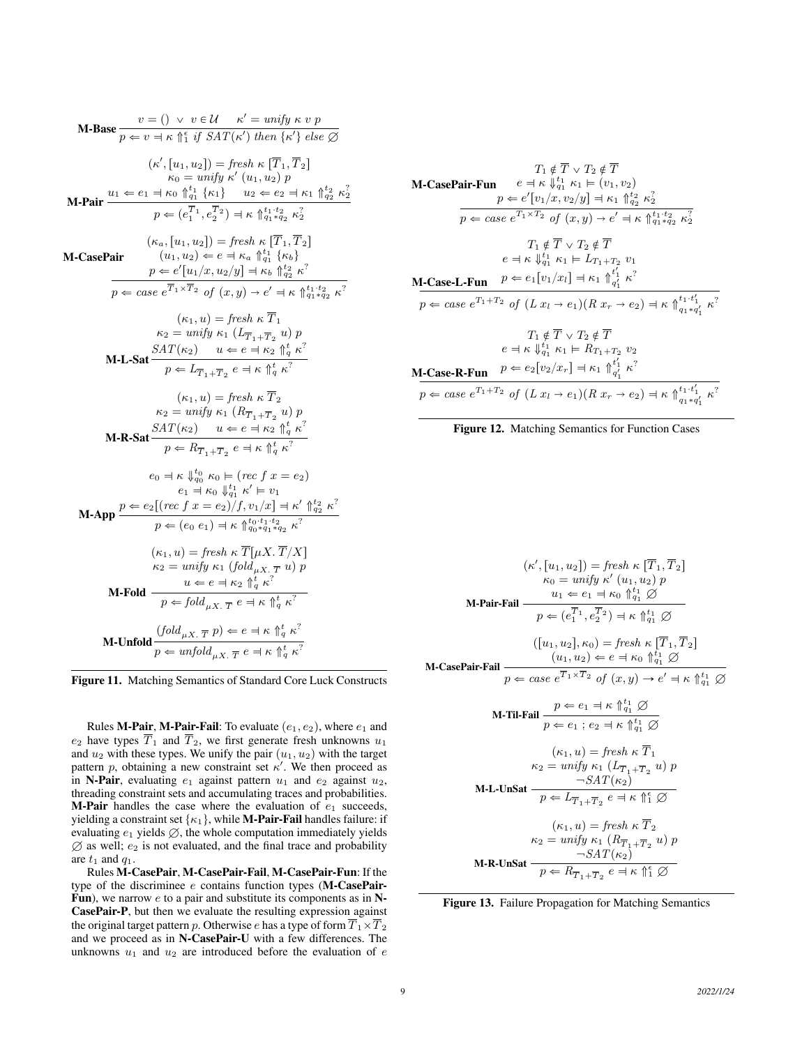M-Base 
$$
\frac{v = (\ ) \lor v \in \mathcal{U} \quad \kappa' = \text{unify } \kappa \ v \ p}{p \Leftarrow v \Rightarrow \kappa \uparrow_1^{\epsilon} \text{ if } \mathcal{SAT}(\kappa') \text{ then } \{\kappa'\} \text{ else } \mathcal{D}}
$$
\n
$$
(\kappa', [u_1, u_2]) = \text{frsh } \kappa \left[ \overline{T}_1, \overline{T}_2 \right]
$$
\n
$$
\kappa_0 = \text{unify } \kappa' \left( u_1, u_2 \right) p
$$
\nM-Pair 
$$
\frac{u_1 \Leftarrow e_1 \neq \kappa_0 \uparrow_1^{\epsilon_1} \{\kappa_1\} \quad u_2 \Leftarrow e_2 \neq \kappa_1 \uparrow_1^{\epsilon_2} \kappa_2^2}{p \Leftarrow (e_1^{\overline{T}_1}, e_2^{\overline{T}_2}) \Rightarrow \kappa \uparrow_1^{\epsilon_1 + \epsilon_2} \kappa_2^2}
$$
\n
$$
(\kappa_a, [u_1, u_2]) = \text{frsh } \kappa \left[ \overline{T}_1, \overline{T}_2 \right]
$$
\nM-CasePair 
$$
(u_1, u_2) = \text{frsh } \kappa \left[ \overline{T}_1, \overline{T}_2 \right]
$$
\nM-CasePair 
$$
u_1, u_2 = \text{frsh } \kappa \left[ \overline{T}_1, \overline{T}_2 \right]
$$
\n
$$
p \Leftarrow \text{case } e^{\overline{T}_1 \times \overline{T}_2} \text{ of } (\mathbf{x}, \mathbf{y}) \rightarrow e' \Rightarrow \kappa \uparrow_1^{\epsilon_1} \frac{\kappa_2}{2} \kappa^2
$$
\n
$$
(\kappa_1, u) = \text{frsh } \kappa \left[ \overline{T}_1 \right]
$$
\n
$$
\kappa_2 = \text{unify } \kappa_1 \left[ L_{\overline{T}_1 + \overline{T}_2} u \right] p
$$
\nM-L-Sat 
$$
p \Leftarrow L_{\overline{T}_1 + \overline{T}_2} e \Rightarrow \kappa \uparrow_1^{\epsilon_1} \frac{\kappa_2}{2} \kappa^2
$$
\n
$$
(\kappa_1, u) = \text{frsh } \kappa \left[ \overline{T}_
$$

<span id="page-8-0"></span>Figure 11. Matching Semantics of Standard Core Luck Constructs

Rules M-Pair, M-Pair-Fail: To evaluate  $(e_1, e_2)$ , where  $e_1$  and  $e_2$  have types  $\overline{T}_1$  and  $\overline{T}_2$ , we first generate fresh unknowns  $u_1$ and  $u_2$  with these types. We unify the pair  $(u_1, u_2)$  with the target pattern p, obtaining a new constraint set  $\kappa'$ . We then proceed as in N-Pair, evaluating  $e_1$  against pattern  $u_1$  and  $e_2$  against  $u_2$ , threading constraint sets and accumulating traces and probabilities. **M-Pair** handles the case where the evaluation of  $e_1$  succeeds, yielding a constraint set  $\{\kappa_1\}$ , while **M-Pair-Fail** handles failure: if evaluating  $e_1$  yields  $\emptyset$ , the whole computation immediately yields  $\varnothing$  as well;  $e_2$  is not evaluated, and the final trace and probability are  $t_1$  and  $q_1$ .

Rules M-CasePair, M-CasePair-Fail, M-CasePair-Fun: If the type of the discriminee e contains function types (M-CasePair-Fun), we narrow  $e$  to a pair and substitute its components as in N-CasePair-P, but then we evaluate the resulting expression against the original target pattern p. Otherwise e has a type of form  $\overline{T}_1 \times \overline{T}_2$ and we proceed as in N-CasePair-U with a few differences. The unknowns  $u_1$  and  $u_2$  are introduced before the evaluation of  $e$ 

|                       | $T_1 \notin \overline{T} \vee T_2 \notin \overline{T}$                                                                                                                       |
|-----------------------|------------------------------------------------------------------------------------------------------------------------------------------------------------------------------|
| <b>M-CasePair-Fun</b> | $e \neq \kappa \Downarrow_{q_1}^{t_1} \kappa_1 \models (v_1, v_2)$                                                                                                           |
|                       | $p \Leftarrow e'[v_1/x, v_2/y] \Rightarrow \kappa_1 \uparrow_{g_2}^{t_2} \kappa_2^?$                                                                                         |
|                       | $p \Leftarrow case \ e^{T_1 \times T_2} \ of \ (x, y) \rightarrow e' \equiv \kappa \ \mathbb{1}_{q_1 * q_2}^{t_1 \cdot t_2} \ \kappa_2^?$                                    |
|                       | $T_1 \notin \overline{T} \vee T_2 \notin \overline{T}$                                                                                                                       |
|                       | $e \equiv \kappa \Downarrow_{a_1}^{t_1} \kappa_1 \models L_{T_1+T_2} v_1$                                                                                                    |
| M-Case-L-Fun          | $p \Leftarrow e_1[v_1/x_l] \equiv \kappa_1 \uparrow_{a'_1}^{t'_1} \kappa^?$                                                                                                  |
|                       | $p \Leftarrow \text{case } e^{T_1+T_2} \text{ of } (L x_l \rightarrow e_1)(R x_r \rightarrow e_2) \Rightarrow \kappa \text{ } \int_{a_1 \star a'}^{t_1 \cdot t'_1} \kappa^?$ |
|                       | $T_1 \notin \overline{T} \vee T_2 \notin \overline{T}$                                                                                                                       |
|                       | $e \in \kappa \Downarrow_{q_1}^{t_1} \kappa_1 \models R_{T_1+T_2} v_2$                                                                                                       |
| <b>M-Case-R-Fun</b>   | $p \Leftarrow e_2[v_2/x_r] \equiv \kappa_1 \uparrow_{q'_1}^{t'_1} \kappa^?$                                                                                                  |
|                       | $p \Leftarrow case \ e^{T_1+T_2} \ of \ (L \ x_l \to e_1)(R \ x_r \to e_2) \ \ \ \kappa \ \ {\mathbb{I}}^{t_1 \cdot t'_1}_{a_1 \star a'_1} \ \ \kappa^?$                     |

<span id="page-8-2"></span>

$$
(\kappa', [u_1, u_2]) = \text{free } \kappa \ [\overline{T}_1, \overline{T}_2]
$$
\n
$$
\kappa_0 = \text{unify } \kappa' \ (u_1, u_2) \ p
$$
\nM-Pair-Fail\n
$$
\frac{u_1 \Leftarrow e_1 = \kappa_0 \ \uparrow_{q_1}^t \ \varnothing}{p \Leftarrow (e_1^{\overline{T}_1}, e_2^{\overline{T}_2}) \ \neq \kappa \ \uparrow_{q_1}^t \ \varnothing}
$$
\n
$$
[(u_1, u_2], \kappa_0) = \text{free } \kappa \ [\overline{T}_1, \overline{T}_2]
$$
\nM-CasePair-Fail\n
$$
\frac{(u_1, u_2) \Leftarrow e \ \neq \kappa_0 \ \uparrow_{q_1}^t \ \varnothing}{p \Leftarrow \text{case } e^{\overline{T}_1 \times \overline{T}_2} \ \text{of } (x, y) \rightarrow e' \ \neq \kappa \ \uparrow_{q_1}^t \ \varnothing}
$$
\nM-Til-Fail\n
$$
\frac{p \Leftarrow e_1 \ \neq \kappa \ \uparrow_{q_1}^t \ \varnothing}{p \Leftarrow e_1 \ \neq e_2 \ \neq \kappa \ \uparrow_{q_1}^t \ \varnothing}
$$
\n
$$
(\kappa_1, u) = \text{free } \kappa \ \overline{T}_1
$$
\n
$$
\kappa_2 = \text{unify } \kappa_1 \ (L_{\overline{T}_1 + \overline{T}_2} \ u) \ p
$$
\nM-L-UnSat\n
$$
\frac{-SAT(\kappa_2)}{p \Leftarrow L_{\overline{T}_1 + \overline{T}_2} \ e \ \neq \kappa \ \uparrow_{1}^{\epsilon} \ \varnothing}{\kappa_1 \ \text{for } \pi_1 \ \text{for } \pi_2 \ \text{for } \kappa \ \overline{T}_2}
$$
\n
$$
\kappa_2 = \text{unify } \kappa_1 \ (R_{\overline{T}_1 + \overline{T}_2} \ u) \ p
$$
\nM-R-UnSat\n
$$
\frac{-SAT(\kappa_2)}{p \Leftarrow R_{\overline{T}_1 + \overline{T}_2} \ e \ \neq \kappa \ \uparrow_{1}^{\epsilon} \ \varnothing}
$$

<span id="page-8-1"></span>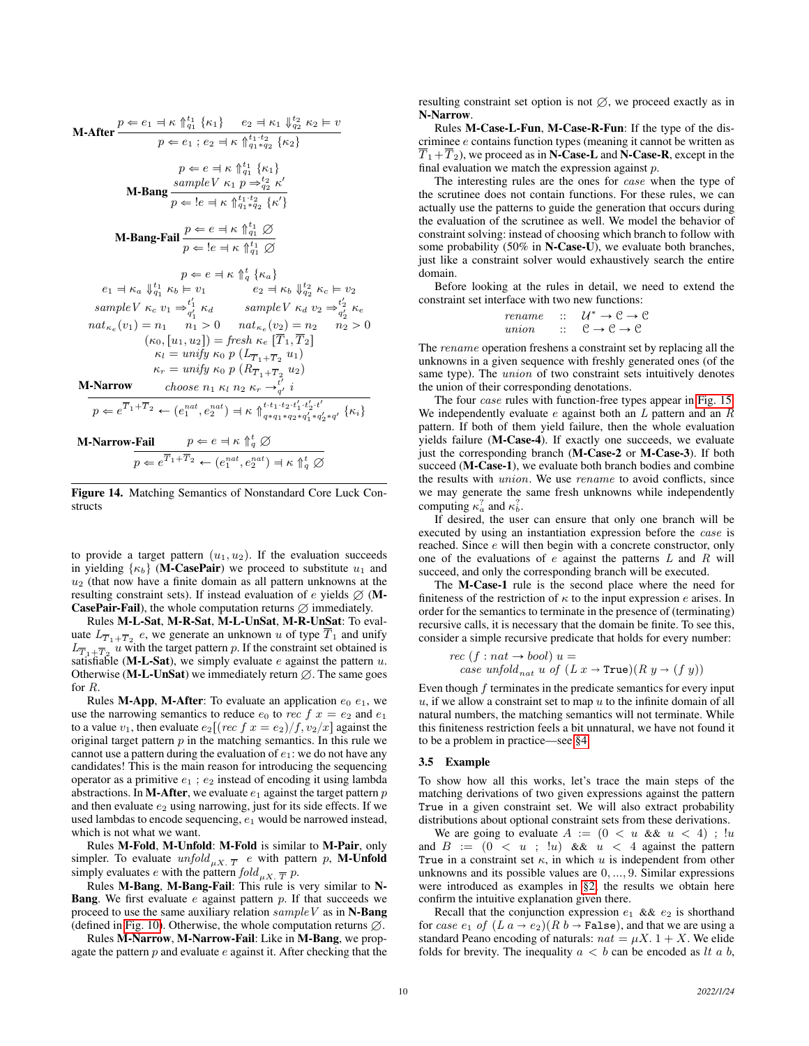$$
\mathbf{M}\text{-After} \frac{p \Leftarrow e_1 \neq k \uparrow_{q_1}^{t_1} \{k_1\} \quad e_2 \neq k_1 \downarrow_{q_2}^{t_2} k_2 \neq v}{p \Leftarrow e_1; e_2 \neq k \uparrow_{q_1}^{t_1 \cdot t_2} \{k_2\}}
$$
\n
$$
p \Leftarrow e \neq k \uparrow_{q_1}^{t_1} \{k_1\}
$$
\n
$$
\mathbf{M}\text{-Bang} \frac{sampleV k_1 p \Rightarrow_{q_2}^{t_2} k'}{p \Leftarrow le \neq k \uparrow_{q_1}^{t_1 \cdot t_2} \{k'\}}
$$
\n
$$
\mathbf{M}\text{-Bang-Fail} \frac{p \Leftarrow e \neq k \uparrow_{q_1}^{t_1 \cdot t_2} \{k'\}}{p \Leftarrow le \neq k \uparrow_{q_1}^{t_1} \emptyset}
$$
\n
$$
p \Leftarrow e \neq k \uparrow_{q_1}^{t_1} \emptyset
$$
\n
$$
p \Leftarrow e \neq k \uparrow_{q_1}^{t_1} \emptyset
$$
\n
$$
p \Leftarrow e \neq k \uparrow_{q_1}^{t_1} \emptyset
$$
\n
$$
e_1 \neq k_1 \downarrow_{q_1}^{t_1} \emptyset
$$
\n
$$
e_1 \neq k_2 \downarrow_{q_2}^{t_2} k_2 \neq v_2
$$
\n
$$
sampleV k_c v_1 \Rightarrow_{q_1}^{t_1} k_d \qquad sampleV k_d v_2 \Rightarrow_{q_2}^{t_2} k_d
$$
\n
$$
nat_{k_c}(v_1) = n_1 \qquad n_1 > 0 \qquad nat_{k_c}(v_2) = n_2 \qquad n_2 > 0
$$
\n
$$
(k_0, [u_1, u_2]) = fresh \quad k_c \left[ T_1, \overline{T}_2 \right]
$$
\n
$$
k_l = unify \quad k_0 p \left( L_{\overline{T}_1 + \overline{T}_2} u_1 \right)
$$
\n
$$
k_r = unify \quad k_0 p \left( R_{\overline{T}_1 + \overline{T}_2} u_2 \right)
$$
\n
$$
\mathbf{M}\text{-N
$$

<span id="page-9-1"></span>Figure 14. Matching Semantics of Nonstandard Core Luck Constructs

to provide a target pattern  $(u_1, u_2)$ . If the evaluation succeeds in yielding  $\{\kappa_b\}$  (M-CasePair) we proceed to substitute  $u_1$  and  $u_2$  (that now have a finite domain as all pattern unknowns at the resulting constraint sets). If instead evaluation of e yields  $\varnothing$  (M-CasePair-Fail), the whole computation returns  $\emptyset$  immediately.

Rules M-L-Sat, M-R-Sat, M-L-UnSat, M-R-UnSat: To evaluate  $L_{\overline{T}_1 + \overline{T}_2}$  e, we generate an unknown u of type  $\overline{T}_1$  and unify  $L_{\overline{T}_1+\overline{T}_2}$  u with the target pattern p. If the constraint set obtained is satisfiable (M-L-Sat), we simply evaluate  $e$  against the pattern  $u$ . Otherwise (M-L-UnSat) we immediately return  $\emptyset$ . The same goes for R.

Rules **M-App, M-After**: To evaluate an application  $e_0$   $e_1$ , we use the narrowing semantics to reduce  $e_0$  to rec  $f(x) = e_2$  and  $e_1$ to a value  $v_1$ , then evaluate  $e_2$ [(rec f  $x = e_2$ )/f,  $v_2/x$ ] against the original target pattern  $p$  in the matching semantics. In this rule we cannot use a pattern during the evaluation of  $e_1$ : we do not have any candidates! This is the main reason for introducing the sequencing operator as a primitive  $e_1$ ;  $e_2$  instead of encoding it using lambda abstractions. In M-After, we evaluate  $e_1$  against the target pattern  $p$ and then evaluate  $e_2$  using narrowing, just for its side effects. If we used lambdas to encode sequencing,  $e_1$  would be narrowed instead, which is not what we want.

Rules M-Fold, M-Unfold: M-Fold is similar to M-Pair, only simpler. To evaluate  $unfold_{\mu X.}$   $\overline{T}$  e with pattern p, **M-Unfold** simply evaluates *e* with the pattern  $fold_{\mu X.} \bar{\tau} p$ .

Rules M-Bang, M-Bang-Fail: This rule is very similar to N-**Bang**. We first evaluate  $e$  against pattern  $p$ . If that succeeds we proceed to use the same auxiliary relation  $sampleV$  as in N-Bang (defined in [Fig. 10\)](#page-6-2). Otherwise, the whole computation returns  $\varnothing$ .

Rules M-Narrow, M-Narrow-Fail: Like in M-Bang, we propagate the pattern  $p$  and evaluate  $e$  against it. After checking that the resulting constraint set option is not  $\emptyset$ , we proceed exactly as in N-Narrow.

Rules M-Case-L-Fun, M-Case-R-Fun: If the type of the discriminee e contains function types (meaning it cannot be written as  $\overline{T}_1+\overline{T}_2$ , we proceed as in N-Case-L and N-Case-R, except in the final evaluation we match the expression against  $p$ .

The interesting rules are the ones for case when the type of the scrutinee does not contain functions. For these rules, we can actually use the patterns to guide the generation that occurs during the evaluation of the scrutinee as well. We model the behavior of constraint solving: instead of choosing which branch to follow with some probability (50% in N-Case-U), we evaluate both branches, just like a constraint solver would exhaustively search the entire domain.

Before looking at the rules in detail, we need to extend the constraint set interface with two new functions:

$$
\begin{array}{rcl}\n\textit{rename} & :: & \mathcal{U}^* \to \mathcal{C} \to \mathcal{C} \\
\textit{union} & :: & \mathcal{C} \to \mathcal{C} \to \mathcal{C}\n\end{array}
$$

The rename operation freshens a constraint set by replacing all the unknowns in a given sequence with freshly generated ones (of the same type). The union of two constraint sets intuitively denotes the union of their corresponding denotations.

The four *case* rules with function-free types appear in [Fig. 15.](#page-10-1) We independently evaluate  $e$  against both an  $L$  pattern and an  $R$ pattern. If both of them yield failure, then the whole evaluation yields failure (M-Case-4). If exactly one succeeds, we evaluate just the corresponding branch (M-Case-2 or M-Case-3). If both succeed (M-Case-1), we evaluate both branch bodies and combine the results with union. We use rename to avoid conflicts, since we may generate the same fresh unknowns while independently computing  $\kappa_a^?$  and  $\kappa_b^?$ .

If desired, the user can ensure that only one branch will be executed by using an instantiation expression before the case is reached. Since e will then begin with a concrete constructor, only one of the evaluations of  $e$  against the patterns  $L$  and  $R$  will succeed, and only the corresponding branch will be executed.

The M-Case-1 rule is the second place where the need for finiteness of the restriction of  $\kappa$  to the input expression e arises. In order for the semantics to terminate in the presence of (terminating) recursive calls, it is necessary that the domain be finite. To see this, consider a simple recursive predicate that holds for every number:

$$
rec (f : nat \to bool) u =
$$
  
case  $unfold_{nat} u$  of  $(L x \to True)(R y \to (f y))$ 

Even though  $f$  terminates in the predicate semantics for every input  $u$ , if we allow a constraint set to map  $u$  to the infinite domain of all natural numbers, the matching semantics will not terminate. While this finiteness restriction feels a bit unnatural, we have not found it to be a problem in practice—see [§4.](#page-20-0)

#### <span id="page-9-0"></span>3.5 Example

To show how all this works, let's trace the main steps of the matching derivations of two given expressions against the pattern True in a given constraint set. We will also extract probability distributions about optional constraint sets from these derivations.

We are going to evaluate  $A := \{0 \le u \&\& u \le 4\}$ :  $|u|$ and  $B := \{0 \leq u : u\}$  &&  $u < 4$  against the pattern True in a constraint set  $\kappa$ , in which u is independent from other unknowns and its possible values are 0, ..., 9. Similar expressions were introduced as examples in [§2;](#page-1-1) the results we obtain here confirm the intuitive explanation given there.

Recall that the conjunction expression  $e_1$  &&  $e_2$  is shorthand for case  $e_1$  of  $(L a \rightarrow e_2)$  $(R b \rightarrow$  False), and that we are using a standard Peano encoding of naturals:  $nat = \mu X$ . 1 + X. We elide folds for brevity. The inequality  $a < b$  can be encoded as lt a b,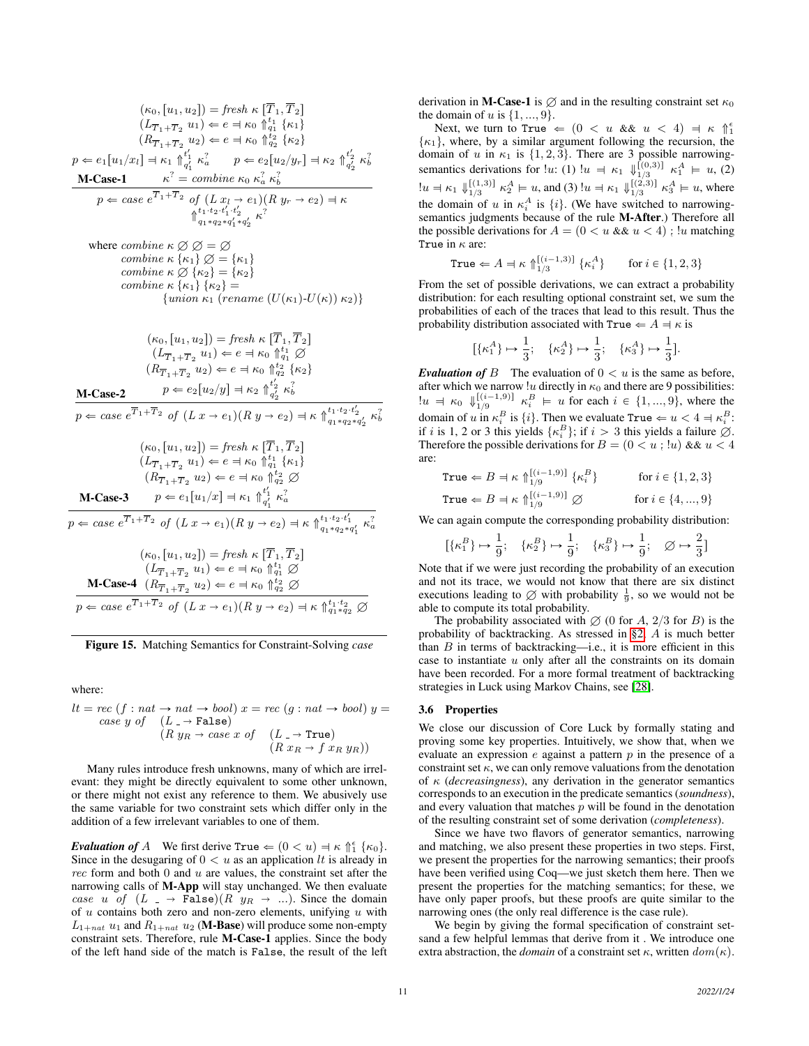$$
(\kappa_{0}, [u_{1}, u_{2}]) = \text{fcsh } \kappa [\overline{T}_{1}, \overline{T}_{2}]
$$
  
\n
$$
(L_{\overline{T}_{1} + \overline{T}_{2}} u_{1}) \Leftarrow e \Rightarrow \kappa_{0} \uparrow_{q_{1}}^{t_{1}} \{\kappa_{1}\}
$$
  
\n
$$
(R_{\overline{T}_{1} + \overline{T}_{2}} u_{2}) \Leftarrow e \Rightarrow \kappa_{0} \uparrow_{q_{2}}^{t_{2}} \{\kappa_{2}\}
$$
  
\n
$$
p \Leftarrow e_{1}[u_{1}/x_{l}] = \kappa_{1} \uparrow_{q_{1}}^{t_{1}} \kappa_{a}^{2} \qquad p \Leftarrow e_{2}[u_{2}/y_{r}] = \kappa_{2} \uparrow_{q_{2}}^{t_{2}} \kappa_{b}^{2}
$$
  
\n**M-Case-1**  $\kappa^{2} = \text{combine } \kappa_{0} \kappa_{a}^{2} \kappa_{b}^{2}$   
\n
$$
p \Leftarrow \text{case } e^{\overline{T}_{1} + \overline{T}_{2}} \text{ of } (L x_{l} \rightarrow e_{1})(R y_{r} \rightarrow e_{2}) = \kappa
$$
  
\n
$$
\uparrow_{q_{1} + q_{2} + q_{1} + q_{2}}^{t_{1} + t_{2} + t_{2} + q_{2}} \kappa^{2}
$$
  
\nwhere \text{combine } \kappa \oslash \oslash = \oslash  
\n
$$
\text{combine } \kappa \{k_{1}\} \oslash = \{\kappa_{1}\}
$$
  
\n
$$
\text{combine } \kappa \{k_{1}\} \{k_{2}\} =
$$
  
\n
$$
\text{tunion } \kappa_{1} \text{ (rename } (U(\kappa_{1}) - U(\kappa)) \kappa_{2})\}
$$
  
\n
$$
(\kappa_{0}, [u_{1}, u_{2}]) = \text{fcsh } \kappa [\overline{T}_{1}, \overline{T}_{2}]
$$
  
\n
$$
(L_{\overline{T}_{1} + \overline{T}_{2}} u_{1}) \Leftarrow e \Rightarrow \kappa_{0} \uparrow_{q_{1}}^{t_{1}} \oslash
$$
  
\n
$$
R_{\overline{T}_{1} + \overline{T}_{2}} u_{2} \Leftarrow \kappa_{0} \up
$$

$$
\mathbf{M}\text{-}\mathbf{Case\text{-}2} \qquad p \Leftarrow e_2[u_2/y] \Rightarrow \kappa_2 \uparrow_{q'_2}^{t'_2} \kappa_b^? \\
p \Leftarrow case \ e^{\overline{T}_1 + \overline{T}_2} \ of \ (L \ x \to e_1)(R \ y \to e_2) \Rightarrow \kappa \uparrow_{q_1 * q_2 * q'_2}^{t_1 \cdot t_2 \cdot t'_2} \kappa_b^?
$$

$$
(\kappa_0, [u_1, u_2]) = \text{fresh } \kappa \left[ \overline{T}_1, \overline{T}_2 \right]
$$

$$
(L_{\overline{T}_1 + \overline{T}_2} u_1) \Leftarrow e \equiv \kappa_0 \Uparrow_{q_1}^{t_1} \{\kappa_1\}
$$

$$
(R_{\overline{T}_1 + \overline{T}_2} u_2) \Leftarrow e \equiv \kappa_0 \Uparrow_{q_2}^{t_2} \varnothing
$$
**M-Case-3** 
$$
p \Leftarrow e_1[u_1/x] \equiv \kappa_1 \Uparrow_{q_1'}^{t_1'} \kappa_a^2
$$

$$
p \Leftarrow case \ e^{\overline{T}_1 + \overline{T}_2} \ of \ (L \ x \to e_1)(R \ y \to e_2) \ \# \ \mathsf{h}_{q_1 * q_2 * q'_1}^{t_1 \cdot t_2 \cdot t'_1} \ \kappa_a^2
$$

1

$$
(\kappa_0, [u_1, u_2]) = \text{fresh } \kappa [T_1, T_2]
$$

$$
(L_{\overline{T}_1 + \overline{T}_2} u_1) \Leftarrow e \Rightarrow \kappa_0 \Uparrow_{q_1}^{t_1} \varnothing
$$

$$
\mathbf{M}\text{-}\mathbf{Case-4} \quad (R_{\overline{T}_1 + \overline{T}_2} u_2) \Leftarrow e \Rightarrow \kappa_0 \Uparrow_{q_2}^{t_2} \varnothing
$$

$$
p \Leftarrow \text{case } e^{\overline{T}_1 + \overline{T}_2} \text{ of } (L x \to e_1)(R y \to e_2) \Rightarrow \kappa \Uparrow_{q_1 * q_2}^{t_1 + t_2} \varnothing
$$

<span id="page-10-1"></span>Figure 15. Matching Semantics for Constraint-Solving *case*

where:

$$
lt = rec \ (f : nat \rightarrow nat \rightarrow bool) \ x = rec \ (g : nat \rightarrow bool) \ y =
$$
  
\n
$$
case \ y \ of \quad (L \rightarrow False)
$$
  
\n
$$
(R \ y_R \rightarrow case \ x \ of \quad (L \rightarrow True)
$$
  
\n
$$
(R \ x_R \rightarrow f \ x_R \ y_R))
$$

Many rules introduce fresh unknowns, many of which are irrelevant: they might be directly equivalent to some other unknown, or there might not exist any reference to them. We abusively use the same variable for two constraint sets which differ only in the addition of a few irrelevant variables to one of them.

*Evaluation of*  $A$  We first derive True  $\Leftarrow$   $(0 < u) \Rightarrow \kappa \uparrow_1^{\epsilon} {\kappa_0}.$ Since in the desugaring of  $0 < u$  as an application lt is already in  $rec$  form and both  $0$  and  $u$  are values, the constraint set after the narrowing calls of M-App will stay unchanged. We then evaluate case u of  $(L \rightarrow$  False) $(R \, y_R \rightarrow ...)$ . Since the domain of  $u$  contains both zero and non-zero elements, unifying  $u$  with  $L_{1+nat}$  u<sub>1</sub> and  $R_{1+nat}$  u<sub>2</sub> (**M-Base**) will produce some non-empty constraint sets. Therefore, rule M-Case-1 applies. Since the body of the left hand side of the match is False, the result of the left derivation in M-Case-1 is  $\varnothing$  and in the resulting constraint set  $\kappa_0$ the domain of u is  $\{1, ..., 9\}$ .

Next, we turn to True  $\Leftarrow$   $(0 \lt u \&& u \lt 4) \Rightarrow \kappa \uparrow_1^6$  $\{\kappa_1\}$ , where, by a similar argument following the recursion, the domain of u in  $\kappa_1$  is  $\{1, 2, 3\}$ . There are 3 possible narrowingsemantics derivations for  $[u: (1) \, u \, \neq \, \kappa_1 \, \Downarrow_{1/3}^{[(0,3)]} \, \kappa_1^A \models u. (2)$  $x_1[u] \neq \kappa_1 \downarrow_{1/3}^{[(1,3)]} \kappa_2^A \models u$ , and (3)  $u \neq \kappa_1 \downarrow_{1/3}^{[(2,3)]} \kappa_3^A \models u$ , where the domain of u in  $\kappa_i^A$  is  $\{i\}$ . (We have switched to narrowingsemantics judgments because of the rule M-After.) Therefore all the possible derivations for  $A = (0 \lt u \&& u \lt 4)$ ; !u matching True in  $\kappa$  are:

$$
\text{True} \Leftarrow A \dashv \kappa \Uparrow_{1/3}^{[(i-1,3)]} {\{\kappa_i^A\}} \quad \text{for } i \in \{1, 2, 3\}
$$

From the set of possible derivations, we can extract a probability distribution: for each resulting optional constraint set, we sum the probabilities of each of the traces that lead to this result. Thus the probability distribution associated with True  $\Leftarrow$  A  $\Rightarrow$  K is

$$
[\{\kappa_1^A\} \mapsto \frac{1}{3}; \quad {\{\kappa_2^A\} \mapsto \frac{1}{3}; \quad {\{\kappa_3^A\} \mapsto \frac{1}{3}}].
$$

*Evaluation of*  $B$  The evaluation of  $0 < u$  is the same as before, after which we narrow !u directly in  $\kappa_0$  and there are 9 possibilities:  $u = \kappa_0 \sqrt{\frac{(i-1,9)}{1/9}}$   $\kappa_i^B \models u$  for each  $i \in \{1, ..., 9\}$ , where the domain of u in  $\kappa_i^B$  is  $\{i\}$ . Then we evaluate True  $\Leftarrow u < 4 \models \kappa_i^B$ : if i is 1, 2 or 3 this yields  $\{\kappa_i^B\}$ ; if  $i > 3$  this yields a failure  $\emptyset$ . Therefore the possible derivations for  $B = (0 \lt u : !u)$  &&  $u \lt 4$ are:

$$
\begin{aligned}\n\text{True} &\Leftarrow B \Rightarrow \kappa \uparrow_{1/9}^{\left[ (i-1,9) \right]} \{ \kappa_i^B \} & \text{for } i \in \{1,2,3\} \\
\text{True} &\Leftarrow B \Rightarrow \kappa \uparrow_{1/9}^{\left[ (i-1,9) \right]} \varnothing & \text{for } i \in \{4, ..., 9\}\n\end{aligned}
$$

We can again compute the corresponding probability distribution:

$$
[\{\kappa_1^B\} \mapsto \frac{1}{9}; \quad \{\kappa_2^B\} \mapsto \frac{1}{9}; \quad \{\kappa_3^B\} \mapsto \frac{1}{9}; \quad \varnothing \mapsto \frac{2}{3}]
$$

Note that if we were just recording the probability of an execution and not its trace, we would not know that there are six distinct executions leading to  $\emptyset$  with probability  $\frac{1}{9}$ , so we would not be able to compute its total probability.

The probability associated with  $\varnothing$  (0 for A, 2/3 for B) is the probability of backtracking. As stressed in [§2,](#page-1-1) A is much better than  $B$  in terms of backtracking—i.e., it is more efficient in this case to instantiate  $u$  only after all the constraints on its domain have been recorded. For a more formal treatment of backtracking strategies in Luck using Markov Chains, see [\[28\]](#page-26-20).

#### <span id="page-10-0"></span>3.6 Properties

We close our discussion of Core Luck by formally stating and proving some key properties. Intuitively, we show that, when we evaluate an expression  $e$  against a pattern  $p$  in the presence of a constraint set  $\kappa$ , we can only remove valuations from the denotation of κ (*decreasingness*), any derivation in the generator semantics corresponds to an execution in the predicate semantics (*soundness*), and every valuation that matches  $p$  will be found in the denotation of the resulting constraint set of some derivation (*completeness*).

Since we have two flavors of generator semantics, narrowing and matching, we also present these properties in two steps. First, we present the properties for the narrowing semantics; their proofs have been verified using Coq—we just sketch them here. Then we present the properties for the matching semantics; for these, we have only paper proofs, but these proofs are quite similar to the narrowing ones (the only real difference is the case rule).

We begin by giving the formal specification of constraint setsand a few helpful lemmas that derive from it . We introduce one extra abstraction, the *domain* of a constraint set  $\kappa$ , written  $dom(\kappa)$ .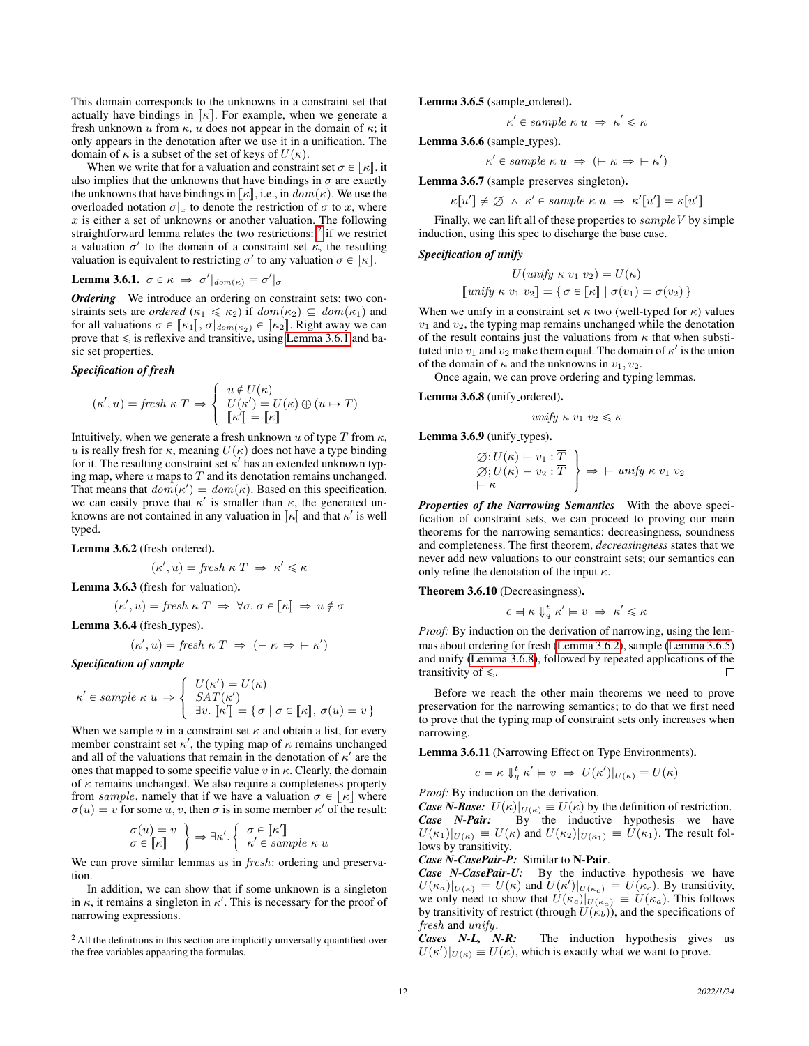This domain corresponds to the unknowns in a constraint set that actually have bindings in  $\lbrack \lbrack \kappa \rbrack \rbrack$ . For example, when we generate a fresh unknown u from  $\kappa$ , u does not appear in the domain of  $\kappa$ ; it only appears in the denotation after we use it in a unification. The domain of  $\kappa$  is a subset of the set of keys of  $U(\kappa)$ .

When we write that for a valuation and constraint set  $\sigma \in \llbracket \kappa \rrbracket$ , it also implies that the unknowns that have bindings in  $\sigma$  are exactly the unknowns that have bindings in  $\lbrack \lbrack \kappa \rbrack$ , i.e., in  $dom(\kappa)$ . We use the overloaded notation  $\sigma |x|$  to denote the restriction of  $\sigma$  to x, where  $x$  is either a set of unknowns or another valuation. The following straightforward lemma relates the two restrictions:  $2$  if we restrict a valuation  $\sigma'$  to the domain of a constraint set  $\kappa$ , the resulting valuation is equivalent to restricting  $\sigma'$  to any valuation  $\sigma \in [\![\kappa]\!]$ .

<span id="page-11-1"></span>**Lemma 3.6.1.**  $\sigma \in \kappa \Rightarrow \sigma'|_{dom(\kappa)} \equiv \sigma'|_{\sigma}$ 

*Ordering* We introduce an ordering on constraint sets: two constraints sets are *ordered* ( $\kappa_1 \leq \kappa_2$ ) if  $dom(\kappa_2) \subseteq dom(\kappa_1)$  and for all valuations  $\sigma \in [\![\kappa_1]\!]$ ,  $\sigma|_{dom(\kappa_2)} \in [\![\kappa_2]\!]$ . Right away we can prove that  $\leq$  is reflexive and transitive, using [Lemma 3.6.1](#page-11-1) and basic set properties.

#### *Specification of fresh*

$$
(\kappa', u) = \text{fresh }\kappa\; T \implies \left\{ \begin{array}{l} u \notin U(\kappa) \\ U(\kappa') = U(\kappa) \oplus (u \mapsto T) \\ \llbracket \kappa' \rrbracket = \llbracket \kappa \rrbracket \end{array} \right.
$$

Intuitively, when we generate a fresh unknown u of type  $T$  from  $\kappa$ , u is really fresh for  $\kappa$ , meaning  $U(\kappa)$  does not have a type binding for it. The resulting constraint set  $\kappa'$  has an extended unknown typing map, where  $u$  maps to  $T$  and its denotation remains unchanged. That means that  $dom(\kappa') = dom(\kappa)$ . Based on this specification, we can easily prove that  $\kappa'$  is smaller than  $\kappa$ , the generated unknowns are not contained in any valuation in  $\llbracket \kappa \rrbracket$  and that  $\kappa'$  is well typed.

<span id="page-11-2"></span>Lemma 3.6.2 (fresh\_ordered).

$$
(\kappa',u)=\text{fresh }\kappa\;T\;\Rightarrow\;\kappa'\leqslant\kappa
$$

Lemma 3.6.3 (fresh\_for\_valuation).

$$
(\kappa', u) = \text{fresh } \kappa \ T \ \Rightarrow \ \forall \sigma. \ \sigma \in [\![\kappa]\!] \ \Rightarrow \ u \notin \sigma
$$

<span id="page-11-6"></span>Lemma 3.6.4 (fresh\_types).

$$
(\kappa', u) = \text{fresh } \kappa \ T \ \Rightarrow \ (\vdash \kappa \ \Rightarrow \vdash \kappa')
$$

*Specification of sample* \$

$$
\kappa' \in sample \ \kappa \ u \ \Rightarrow \left\{ \begin{array}{l} U(\kappa') = U(\kappa) \\ SAT(\kappa') \\ \exists v. \ \llbracket \kappa' \rrbracket = \{ \sigma \mid \sigma \in \llbracket \kappa \rrbracket, \ \sigma(u) = v \} \end{array} \right.
$$

When we sample  $u$  in a constraint set  $\kappa$  and obtain a list, for every member constraint set  $\kappa'$ , the typing map of  $\kappa$  remains unchanged and all of the valuations that remain in the denotation of  $\kappa'$  are the ones that mapped to some specific value  $v$  in  $\kappa$ . Clearly, the domain of  $\kappa$  remains unchanged. We also require a completeness property from sample, namely that if we have a valuation  $\sigma \in \llbracket \kappa \rrbracket$  where  $\sigma(u) = v$  for some  $u, v$ , then  $\sigma$  is in some member  $\kappa'$  of the result:

$$
\sigma(u) = v \quad \sigma \in [\![\kappa]\!] \quad \Rightarrow \exists \kappa'. \left\{ \begin{array}{c} \sigma \in [\![\kappa']\!] \\ \kappa' \in sample \; \kappa \; u \end{array} \right.
$$

We can prove similar lemmas as in *fresh*: ordering and preservation.

In addition, we can show that if some unknown is a singleton in  $\kappa$ , it remains a singleton in  $\kappa'$ . This is necessary for the proof of narrowing expressions.

<span id="page-11-3"></span>Lemma 3.6.5 (sample\_ordered).

$$
\kappa' \in sample \; \kappa \; u \; \Rightarrow \; \kappa' \leqslant \kappa
$$

Lemma 3.6.6 (sample\_types).

$$
\kappa' \in sample \; \kappa \; u \; \Rightarrow \; (+ \; \kappa \Rightarrow + \; \kappa')
$$

<span id="page-11-8"></span>Lemma 3.6.7 (sample\_preserves\_singleton).

$$
\kappa[u'] \neq \emptyset \ \land \ \kappa' \in sample \ \kappa \ u \ \Rightarrow \ \kappa'[u'] = \kappa[u']
$$

Finally, we can lift all of these properties to  $sampleV$  by simple induction, using this spec to discharge the base case.

#### *Specification of unify*

$$
U(\text{unify } \kappa \ v_1 \ v_2) = U(\kappa)
$$

$$
[\text{unify } \kappa \ v_1 \ v_2] = \{ \sigma \in [\![\kappa]\!] \mid \sigma(v_1) = \sigma(v_2) \}
$$

When we unify in a constraint set  $\kappa$  two (well-typed for  $\kappa$ ) values  $v_1$  and  $v_2$ , the typing map remains unchanged while the denotation of the result contains just the valuations from  $\kappa$  that when substituted into  $v_1$  and  $v_2$  make them equal. The domain of  $\kappa'$  is the union of the domain of  $\kappa$  and the unknowns in  $v_1, v_2$ .

Once again, we can prove ordering and typing lemmas.

<span id="page-11-4"></span>Lemma 3.6.8 (unify\_ordered).

$$
unify \ \kappa \ v_1 \ v_2 \leqslant \kappa
$$

<span id="page-11-7"></span>Lemma 3.6.9 (unify\_types).

$$
\begin{array}{l}\n\varnothing; U(\kappa) \vdash v_1 : \overline{T} \\
\varnothing; U(\kappa) \vdash v_2 : \overline{T}\n\end{array}\right\} \Rightarrow \vdash \text{unify } \kappa \ v_1 \ v_2
$$

*Properties of the Narrowing Semantics* With the above specification of constraint sets, we can proceed to proving our main theorems for the narrowing semantics: decreasingness, soundness and completeness. The first theorem, *decreasingness* states that we never add new valuations to our constraint sets; our semantics can only refine the denotation of the input  $\kappa$ .

Theorem 3.6.10 (Decreasingness).

$$
e \stackrel{\cdot}{=} \kappa \Downarrow_q^t \kappa' \models v \implies \kappa' \leqslant \kappa
$$

*Proof:* By induction on the derivation of narrowing, using the lemmas about ordering for fresh [\(Lemma 3.6.2\)](#page-11-2), sample [\(Lemma 3.6.5\)](#page-11-3) and unify [\(Lemma 3.6.8\)](#page-11-4), followed by repeated applications of the transitivity of  $\leq$ .  $\Box$ 

Before we reach the other main theorems we need to prove preservation for the narrowing semantics; to do that we first need to prove that the typing map of constraint sets only increases when narrowing.

<span id="page-11-5"></span>Lemma 3.6.11 (Narrowing Effect on Type Environments).

$$
e \dashv \kappa \Downarrow_q^t \kappa' \models v \implies U(\kappa')|_{U(\kappa)} \equiv U(\kappa)
$$

*Proof:* By induction on the derivation.

**Case N-Base:**  $U(\kappa)|_{U(\kappa)} \equiv U(\kappa)$  by the definition of restriction.<br>**Case N-Pair:** By the inductive hypothesis we have By the inductive hypothesis we have  $U(\kappa_1)|_{U(\kappa)} \equiv U(\kappa)$  and  $U(\kappa_2)|_{U(\kappa_1)} \equiv U(\kappa_1)$ . The result follows by transitivity.

*Case N-CasePair-P:* Similar to N-Pair.

*Case N-CasePair-U:* By the inductive hypothesis we have  $U(\kappa_a)|_{U(\kappa)} \equiv U(\kappa)$  and  $U(\kappa')|_{U(\kappa_c)} \equiv U(\kappa_c)$ . By transitivity, we only need to show that  $U(\kappa_c)|_{U(\kappa_a)} \equiv U(\kappa_a)$ . This follows by transitivity of restrict (through  $U(\kappa_b)$ ), and the specifications of fresh and unify.<br>Cases  $N-L$ ,  $N-R$ :

The induction hypothesis gives us  $U(\kappa')|_{U(\kappa)} \equiv U(\kappa)$ , which is exactly what we want to prove.

<span id="page-11-0"></span> $2$  All the definitions in this section are implicitly universally quantified over the free variables appearing the formulas.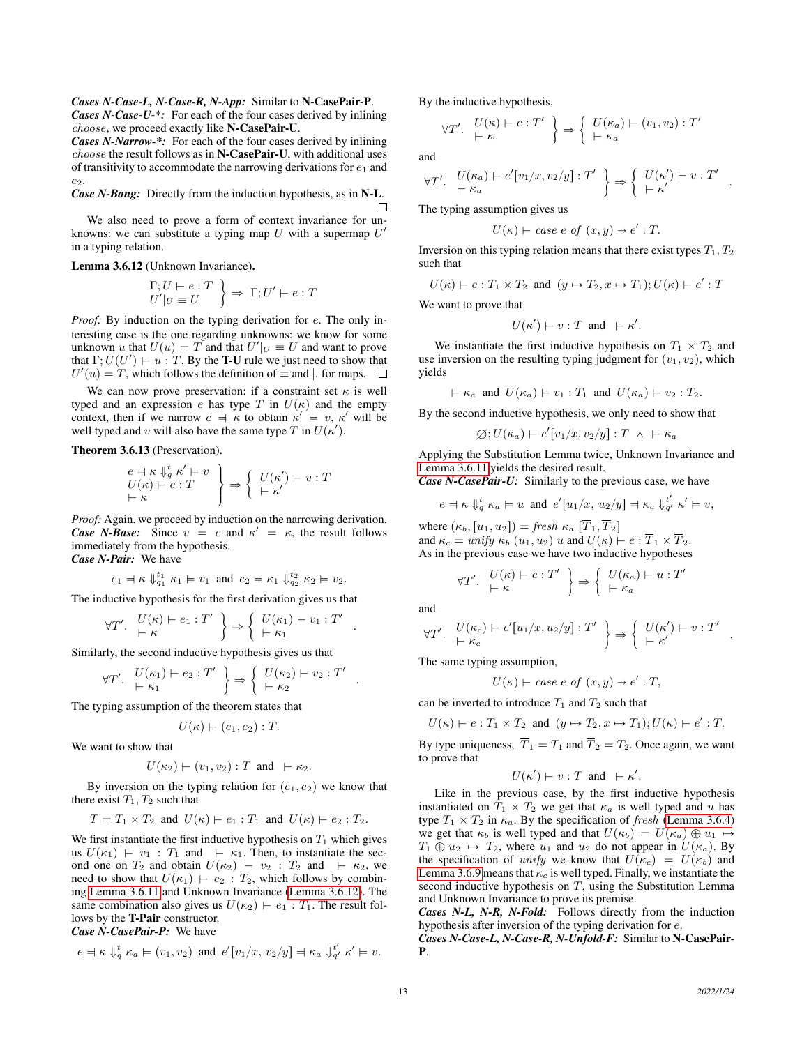## *Cases N-Case-L, N-Case-R, N-App:* Similar to N-CasePair-P.

*Cases N-Case-U-\*:* For each of the four cases derived by inlining choose, we proceed exactly like N-CasePair-U.

*Cases N-Narrow-\*:* For each of the four cases derived by inlining choose the result follows as in N-CasePair-U, with additional uses of transitivity to accommodate the narrowing derivations for  $e_1$  and e2.

*Case N-Bang:* Directly from the induction hypothesis, as in N-L. П

We also need to prove a form of context invariance for unknowns: we can substitute a typing map  $U$  with a supermap  $U'$ in a typing relation.

<span id="page-12-0"></span>Lemma 3.6.12 (Unknown Invariance).

$$
\left.\begin{array}{l} \Gamma;U\vdash e:T\\ U'|_U\equiv U\end{array}\right\}\Rightarrow\ \Gamma;U'\vdash e:T
$$

*Proof:* By induction on the typing derivation for e. The only interesting case is the one regarding unknowns: we know for some unknown u that  $U(u) = T$  and that  $U'|_{U} \equiv U$  and want to prove that  $\Gamma$ ;  $U(U') \vdash u : T$ . By the **T-U** rule we just need to show that  $U'(u) = T$ , which follows the definition of  $\equiv$  and | for maps.

We can now prove preservation: if a constraint set  $\kappa$  is well typed and an expression e has type T in  $U(\kappa)$  and the empty context, then if we narrow  $e \neq \kappa$  to obtain  $\kappa' \models v, \kappa'$  will be well typed and v will also have the same type T in  $U(\kappa')$ .

<span id="page-12-1"></span>**Theorem 3.6.13** (Preservation).

$$
\begin{array}{l}\ne \, \, \neq \, \, \kappa \Downarrow_q^t \, \kappa' \models v \\
U(\kappa) \vdash e : T \\
\vdash \, \kappa\n\end{array} \bigg\} \Rightarrow \left\{ \begin{array}{l}\nU(\kappa') \vdash v : T \\
\vdash \kappa'\n\end{array} \right.
$$

*Proof:* Again, we proceed by induction on the narrowing derivation. *Case N-Base:* Since  $v = e$  and  $\kappa' = \kappa$ , the result follows immediately from the hypothesis. *Case N-Pair:* We have

$$
e_1 = \kappa \Downarrow_{q_1}^{t_1} \kappa_1 \models v_1
$$
 and  $e_2 = \kappa_1 \Downarrow_{q_2}^{t_2} \kappa_2 \models v_2$ .

The inductive hypothesis for the first derivation gives us that \* "

$$
\forall T'. \begin{pmatrix} U(\kappa) \vdash e_1 : T' \\ \vdash \kappa \end{pmatrix} \Rightarrow \begin{cases} U(\kappa_1) \vdash v_1 : T' \\ \vdash \kappa_1 \end{cases}
$$

Similarly, the second inductive hypothesis gives us that

$$
\forall T'. \begin{array}{c} U(\kappa_1) \vdash e_2 : T' \\ \vdash \kappa_1 \end{array} \Rightarrow \begin{array}{c} U(\kappa_2) \vdash v_2 : T' \\ \vdash \kappa_2 \end{array}.
$$

The typing assumption of the theorem states that

$$
U(\kappa) \vdash (e_1, e_2) : T.
$$

We want to show that

$$
U(\kappa_2) \vdash (v_1, v_2) : T \text{ and } \vdash \kappa_2.
$$

By inversion on the typing relation for  $(e_1, e_2)$  we know that there exist  $T_1, T_2$  such that

$$
T = T_1 \times T_2 \text{ and } U(\kappa) \vdash e_1 : T_1 \text{ and } U(\kappa) \vdash e_2 : T_2.
$$

We first instantiate the first inductive hypothesis on  $T_1$  which gives us  $U(\kappa_1)$  +  $v_1$ :  $T_1$  and +  $\kappa_1$ . Then, to instantiate the second one on  $T_2$  and obtain  $U(\kappa_2)$   $\vdash v_2$  :  $T_2$  and  $\vdash \kappa_2$ , we need to show that  $U(\kappa_1) \vdash e_2 : T_2$ , which follows by combining [Lemma 3.6.11](#page-11-5) and Unknown Invariance [\(Lemma 3.6.12\)](#page-12-0). The same combination also gives us  $U(\kappa_2) \vdash e_1 : T_1$ . The result follows by the T-Pair constructor. *Case N-CasePair-P:* We have

$$
e \stackrel{}{\Rightarrow} \kappa \Downarrow_q^t \kappa_a \models (v_1, v_2) \text{ and } e'[v_1/x, v_2/y] \stackrel{}{\Rightarrow} \kappa_a \Downarrow_{q'}^{t'} \kappa' \models v.
$$

By the inductive hypothesis, \*

$$
\forall T'. \begin{array}{c} U(\kappa) \vdash e : T' \\ \vdash \kappa \end{array} \Rightarrow \left\{ \begin{array}{c} U(\kappa_a) \vdash (v_1, v_2) : T' \\ \vdash \kappa_a \end{array} \right.
$$

and

$$
\forall T'. \begin{array}{l} U(\kappa_a) \vdash e'[v_1/x, v_2/y] : T' \\ \vdash \kappa_a \end{array} \bigg\} \Rightarrow \left\{ \begin{array}{l} U(\kappa') \vdash v : T' \\ \vdash \kappa' \end{array} \right. .
$$

The typing assumption gives us

$$
U(\kappa) \vdash \text{case } e \text{ of } (x, y) \rightarrow e' : T.
$$

Inversion on this typing relation means that there exist types  $T_1, T_2$ such that

$$
U(\kappa) \vdash e : T_1 \times T_2
$$
 and  $(y \mapsto T_2, x \mapsto T_1); U(\kappa) \vdash e' : T$ 

We want to prove that

$$
U(\kappa') \vdash v : T \text{ and } \vdash \kappa'.
$$

We instantiate the first inductive hypothesis on  $T_1 \times T_2$  and use inversion on the resulting typing judgment for  $(v_1, v_2)$ , which yields

$$
\vdash \kappa_a
$$
 and  $U(\kappa_a) \vdash v_1 : T_1$  and  $U(\kappa_a) \vdash v_2 : T_2$ .

By the second inductive hypothesis, we only need to show that

$$
\varnothing; U(\kappa_a) \vdash e'[v_1/x, v_2/y]: T \ \wedge \ \vdash \kappa_a
$$

Applying the Substitution Lemma twice, Unknown Invariance and [Lemma 3.6.11](#page-11-5) yields the desired result.

*Case N-CasePair-U:* Similarly to the previous case, we have

$$
e \stackrel{\text{def}}{=} \kappa \Downarrow_q^t \kappa_a \models u \text{ and } e'[u_1/x, u_2/y] \stackrel{\text{def}}{=} \kappa_c \Downarrow_{q'}^{t'} \kappa' \models v,
$$

where  $(\kappa_b,[u_1, u_2]) = \text{fresh } \kappa_a [\overline{T}_1, \overline{T}_2]$ and  $\kappa_c = \text{unify } \kappa_b \ (u_1, u_2) \ u \text{ and } U(\kappa) \vdash e : \overline{T}_1 \times \overline{T}_2.$ As in the previous case we have two inductive hypotheses

$$
\forall T'. \begin{array}{c} U(\kappa) \vdash e : T' \\ \vdash \kappa \end{array} \bigg\} \Rightarrow \left\{ \begin{array}{c} U(\kappa_a) \vdash u : T' \\ \vdash \kappa_a \end{array} \right.
$$

and

.

$$
\forall T'.\begin{array}{l}\nU(\kappa_c) \vdash e'[u_1/x, u_2/y]: T'\n\end{array} \Rightarrow\n\left\{\n\begin{array}{l}\nU(\kappa') \vdash v : T'\n\end{array}\n\right\}.
$$

The same typing assumption,

$$
U(\kappa) \vdash \text{case } e \text{ of } (x, y) \rightarrow e' : T,
$$

can be inverted to introduce  $T_1$  and  $T_2$  such that

$$
U(\kappa) \vdash e : T_1 \times T_2
$$
 and  $(y \mapsto T_2, x \mapsto T_1); U(\kappa) \vdash e' : T$ .

By type uniqueness,  $\overline{T}_1 = T_1$  and  $\overline{T}_2 = T_2$ . Once again, we want to prove that

$$
U(\kappa') \vdash v : T
$$
 and  $\vdash \kappa'.$ 

Like in the previous case, by the first inductive hypothesis instantiated on  $T_1 \times T_2$  we get that  $\kappa_a$  is well typed and u has type  $T_1 \times T_2$  in  $\kappa_a$ . By the specification of fresh [\(Lemma 3.6.4\)](#page-11-6) we get that  $\kappa_b$  is well typed and that  $U(\kappa_b) = U(\kappa_a) \oplus u_1 \mapsto$  $T_1 \oplus u_2 \mapsto T_2$ , where  $u_1$  and  $u_2$  do not appear in  $U(\kappa_a)$ . By the specification of unify we know that  $U(\kappa_c) = U(\kappa_b)$  and [Lemma 3.6.9](#page-11-7) means that  $\kappa_c$  is well typed. Finally, we instantiate the second inductive hypothesis on  $T$ , using the Substitution Lemma and Unknown Invariance to prove its premise.

*Cases N-L, N-R, N-Fold:* Follows directly from the induction hypothesis after inversion of the typing derivation for e.

*Cases N-Case-L, N-Case-R, N-Unfold-F:* Similar to N-CasePair-P.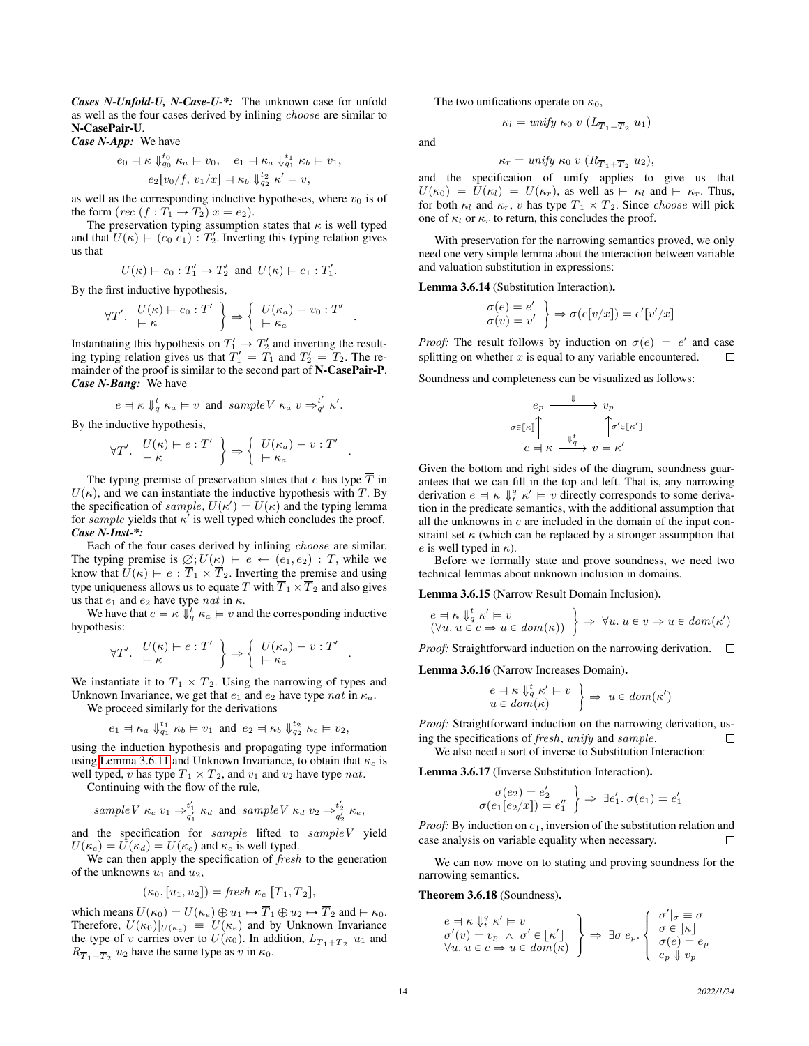*Cases N-Unfold-U, N-Case-U-\*:* The unknown case for unfold as well as the four cases derived by inlining choose are similar to N-CasePair-U.

*Case N-App:* We have

$$
e_0 \preceq \kappa \Downarrow_{q_0}^{t_0} \kappa_a \models v_0, \quad e_1 \preceq \kappa_a \Downarrow_{q_1}^{t_1} \kappa_b \models v_1, e_2[v_0/f, v_1/x] \preceq \kappa_b \Downarrow_{q_2}^{t_2} \kappa' \models v,
$$

as well as the corresponding inductive hypotheses, where  $v_0$  is of the form  $(rec (f : T_1 \rightarrow T_2) x = e_2)$ .

The preservation typing assumption states that  $\kappa$  is well typed and that  $U(\kappa) \vdash (e_0 \ e_1) : T'_2$ . Inverting this typing relation gives us that

$$
U(\kappa) \vdash e_0 : T'_1 \to T'_2 \text{ and } U(\kappa) \vdash e_1 : T'_1.
$$

By the first inductive hypothesis,

$$
\forall T'. \begin{array}{c} U(\kappa) \vdash e_0 : T' \\ \vdash \kappa \end{array} \bigg\} \Rightarrow \left\{ \begin{array}{c} U(\kappa_a) \vdash v_0 : T' \\ \vdash \kappa_a \end{array} \right.
$$

Instantiating this hypothesis on  $T_1' \rightarrow T_2'$  and inverting the resulting typing relation gives us that  $T_1' = T_1$  and  $T_2' = T_2$ . The remainder of the proof is similar to the second part of N-CasePair-P. *Case N-Bang:* We have

$$
e \equiv \kappa \Downarrow_q^t \kappa_a \models v
$$
 and  $sampleV \kappa_a v \Rightarrow_{q'}^{t'} \kappa'.$ 

By the inductive hypothesis,

$$
\forall T'. \begin{array}{c} U(\kappa) \vdash e : T' \\ \vdash \kappa \end{array} \bigg\} \Rightarrow \left\{ \begin{array}{c} U(\kappa_a) \vdash v : T' \\ \vdash \kappa_a \end{array} \right.
$$

The typing premise of preservation states that e has type  $\overline{T}$  in  $U(\kappa)$ , and we can instantiate the inductive hypothesis with  $\overline{T}$ . By the specification of *sample*,  $U(\kappa') = U(\kappa)$  and the typing lemma for sample yields that  $\kappa'$  is well typed which concludes the proof. *Case N-Inst-\*:*

Each of the four cases derived by inlining choose are similar. The typing premise is  $\emptyset$ ;  $U(\kappa) \vdash e \leftarrow (e_1, e_2) : T$ , while we know that  $U(\kappa) \vdash e : \overline{T}_1 \times \overline{T}_2$ . Inverting the premise and using type uniqueness allows us to equate T with  $\overline{T}_1 \times \overline{T}_2$  and also gives us that  $e_1$  and  $e_2$  have type nat in  $\kappa$ .

We have that  $e \neq \kappa \downarrow_q^t \kappa_a \models v$  and the corresponding inductive hypothesis:

$$
\forall T'. \begin{array}{c} U(\kappa) \vdash e : T' \\ \vdash \kappa \end{array} \bigg\} \Rightarrow \left\{ \begin{array}{c} U(\kappa_a) \vdash v : T' \\ \vdash \kappa_a \end{array} \right.
$$

We instantiate it to  $\overline{T}_1 \times \overline{T}_2$ . Using the narrowing of types and Unknown Invariance, we get that  $e_1$  and  $e_2$  have type nat in  $\kappa_a$ .

We proceed similarly for the derivations

$$
e_1 \stackrel{\cdot}{=} \kappa_a \Downarrow_{q_1}^{t_1} \kappa_b \models v_1 \text{ and } e_2 \stackrel{\cdot}{=} \kappa_b \Downarrow_{q_2}^{t_2} \kappa_c \models v_2,
$$

using the induction hypothesis and propagating type information using [Lemma 3.6.11](#page-11-5) and Unknown Invariance, to obtain that  $\kappa_c$  is well typed, v has type  $\overline{T}_1 \times \overline{T}_2$ , and  $v_1$  and  $v_2$  have type *nat*.

Continuing with the flow of the rule,

$$
sampleV \ \kappa_c \ v_1 \Rightarrow_{q'_1}^{t'_1} \ \kappa_d \ \text{ and } sampleV \ \kappa_d \ v_2 \Rightarrow_{q'_2}^{t'_2} \ \kappa_e,
$$

and the specification for  $sample$  lifted to  $sampleV$  yield  $U(\kappa_e) = U(\kappa_d) = U(\kappa_c)$  and  $\kappa_e$  is well typed.

We can then apply the specification of fresh to the generation of the unknowns  $u_1$  and  $u_2$ ,

$$
(\kappa_0, [u_1, u_2]) = \text{fresh } \kappa_e \, [\overline{T}_1, \overline{T}_2],
$$

which means  $U(\kappa_0) = U(\kappa_e) \oplus u_1 \mapsto \overline{T}_1 \oplus u_2 \mapsto \overline{T}_2$  and  $\vdash \kappa_0$ . Therefore,  $U(\kappa_0)|_{U(\kappa_e)} = U(\kappa_e)$  and by Unknown Invariance the type of v carries over to  $U(\kappa_0)$ . In addition,  $L_{\overline{T}_1+\overline{T}_2}$   $u_1$  and  $R_{\overline{T}_1 + \overline{T}_2}$  u<sub>2</sub> have the same type as v in  $\kappa_0$ .

The two unifications operate on  $\kappa_0$ ,

and

.

.

.

$$
\kappa_r = \text{unify } \kappa_0 \ v \ (R_{\overline{T}_1 + \overline{T}_2} u_2),
$$

 $\kappa_l = \text{unify } \kappa_0 \ v \ (L_{\overline{T}_1 + \overline{T}_2} \ u_1)$ 

and the specification of unify applies to give us that  $U(\kappa_0) = U(\kappa_l) = U(\kappa_r)$ , as well as  $\vdash \kappa_l$  and  $\vdash \kappa_r$ . Thus, for both  $\kappa_l$  and  $\kappa_r$ , v has type  $\overline{T}_1 \times \overline{T}_2$ . Since *choose* will pick one of  $\kappa_l$  or  $\kappa_r$  to return, this concludes the proof.

With preservation for the narrowing semantics proved, we only need one very simple lemma about the interaction between variable and valuation substitution in expressions:

<span id="page-13-3"></span>**Lemma 3.6.14** (Substitution Interaction).

$$
\begin{array}{c}\n\sigma(e) = e' \\
\sigma(v) = v'\n\end{array}\n\Rightarrow \sigma(e[v/x]) = e'[v'/x]
$$

*Proof:* The result follows by induction on  $\sigma(e) = e'$  and case splitting on whether  $x$  is equal to any variable encountered.  $\Box$ 

Soundness and completeness can be visualized as follows:

$$
e_p \xrightarrow{\qquad \qquad \downarrow} v_p
$$
  

$$
\sigma \in [\kappa] \uparrow \qquad \qquad \downarrow \tau \qquad \qquad \uparrow \sigma' \in [\kappa']
$$
  

$$
e \Rightarrow \kappa \xrightarrow{\qquad \qquad \downarrow \tau} v \models \kappa'
$$

Given the bottom and right sides of the diagram, soundness guarantees that we can fill in the top and left. That is, any narrowing derivation  $e \neq \kappa \Downarrow_i^q \kappa' \models v$  directly corresponds to some derivation in the predicate semantics, with the additional assumption that all the unknowns in e are included in the domain of the input constraint set  $\kappa$  (which can be replaced by a stronger assumption that e is well typed in  $\kappa$ ).

Before we formally state and prove soundness, we need two technical lemmas about unknown inclusion in domains.

<span id="page-13-1"></span>Lemma 3.6.15 (Narrow Result Domain Inclusion).

$$
e \neq \kappa \Downarrow_q^t \kappa' \models v
$$
  
\n
$$
(\forall u. \ u \in e \Rightarrow u \in dom(\kappa))
$$
\n
$$
\Rightarrow \forall u. \ u \in v \Rightarrow u \in dom(\kappa')
$$

*Proof:* Straightforward induction on the narrowing derivation.  $\square$ 

<span id="page-13-0"></span>Lemma 3.6.16 (Narrow Increases Domain).

$$
\left. \begin{array}{l} e \, \text{in} \, \, \kappa \, \Downarrow_q^t \kappa' \vDash v \\ u \in \mathit{dom}(\kappa) \end{array} \right\} \Rightarrow \, \, u \in \mathit{dom}(\kappa')
$$

*Proof:* Straightforward induction on the narrowing derivation, using the specifications of fresh, unify and sample.  $\Box$ 

We also need a sort of inverse to Substitution Interaction:

<span id="page-13-2"></span>Lemma 3.6.17 (Inverse Substitution Interaction).

$$
\begin{array}{c}\n\sigma(e_2) = e'_2 \\
\sigma(e_1[e_2/x]) = e''_1\n\end{array} \Rightarrow \exists e'_1.\ \sigma(e_1) = e'_1
$$

*Proof:* By induction on  $e_1$ , inversion of the substitution relation and case analysis on variable equality when necessary.  $\Box$ 

We can now move on to stating and proving soundness for the narrowing semantics.

Theorem 3.6.18 (Soundness).

$$
\begin{array}{l} e \rightrightarrows \kappa \Downarrow^q_t \kappa' \vDash v \\ \sigma'(v) = v_p \;\wedge\; \sigma' \in [\![\kappa']\!] \\ \forall u. \; u \in e \Rightarrow u \in \mathit{dom}(\kappa) \end{array} \Biggr\} \Rightarrow \; \exists \sigma \: e_p. \left\{ \begin{array}{l} \sigma'|_\sigma \equiv \sigma \\ \sigma \in [\![\kappa]\!] \\ \sigma(e) = e_p \\ e_p \Downarrow v_p \end{array} \right. \end{array}
$$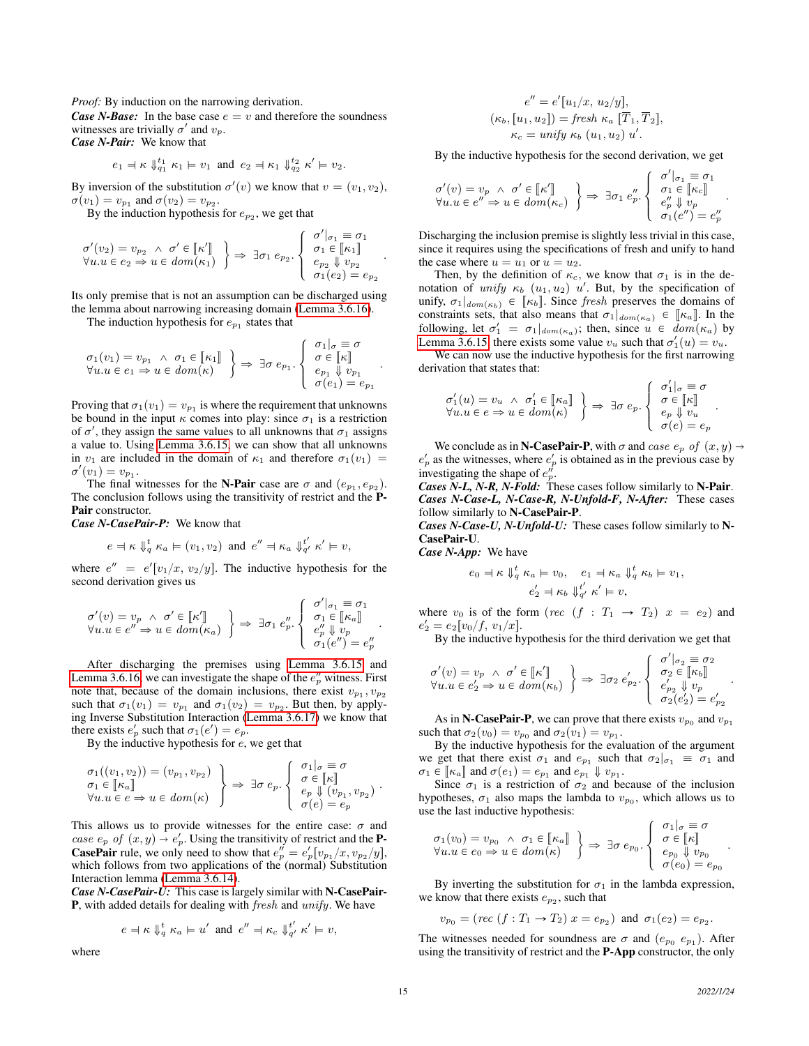*Proof:* By induction on the narrowing derivation.

*Case N-Base:* In the base case  $e = v$  and therefore the soundness witnesses are trivially  $\sigma'$  and  $v_p$ . *Case N-Pair:* We know that

$$
e_1 = \kappa \Downarrow_{q_1}^{t_1} \kappa_1 \models v_1
$$
 and  $e_2 = \kappa_1 \Downarrow_{q_2}^{t_2} \kappa' \models v_2$ .

By inversion of the substitution  $\sigma'(v)$  we know that  $v = (v_1, v_2)$ ,  $\sigma(v_1) = v_{p_1}$  and  $\sigma(v_2) = v_{p_2}$ .

By the induction hypothesis for  $e_{p_2}$ , we get that

$$
\sigma'(v_2) = v_{p_2} \wedge \sigma' \in [\![\kappa' ]\!]\!]\right\} \Rightarrow \exists \sigma_1 \; e_{p_2}. \left\{ \begin{array}{l} \sigma'|_{\sigma_1} \equiv \sigma_1 \\ \sigma_1 \in [\![\kappa_1 ]\!]\!] \\ e_{p_2} \Downarrow v_{p_2} \\ \sigma_1(e_2) = e_{p_2} \end{array} \right.
$$

Its only premise that is not an assumption can be discharged using the lemma about narrowing increasing domain [\(Lemma 3.6.16\)](#page-13-0).

The induction hypothesis for  $e_{p_1}$  states that

$$
\sigma_1(v_1) = v_{p_1} \wedge \sigma_1 \in [\![\kappa_1]\!]\!]\rangle \Rightarrow \exists \sigma \, e_{p_1} \cdot \left\{\begin{array}{l} \sigma_1|_{\sigma} \equiv \sigma \\ \sigma \in [\![\kappa]\!]\!]\end{array}\right.\\ \forall u.u \in e_1 \Rightarrow u \in \text{dom}(\kappa) \qquad \right\} \Rightarrow \exists \sigma \, e_{p_1} \cdot \left\{\begin{array}{l} \sigma_1|_{\sigma} \equiv \sigma \\ \sigma \in [\![\kappa]\!]\!]\end{array}\right.\\ e_{p_1} \downarrow v_{p_1} \\ \sigma(e_1) = e_{p_1} \end{array}.
$$

Proving that  $\sigma_1(v_1) = v_{p_1}$  is where the requirement that unknowns be bound in the input  $\kappa$  comes into play: since  $\sigma_1$  is a restriction of  $\sigma'$ , they assign the same values to all unknowns that  $\sigma_1$  assigns a value to. Using [Lemma 3.6.15,](#page-13-1) we can show that all unknowns in  $v_1$  are included in the domain of  $\kappa_1$  and therefore  $\sigma_1(v_1)$  =  $\sigma'(v_1) = v_{p_1}.$ 

The final witnesses for the **N-Pair** case are  $\sigma$  and  $(e_{p_1}, e_{p_2})$ . The conclusion follows using the transitivity of restrict and the P-Pair constructor.

*Case N-CasePair-P:* We know that

$$
e \stackrel{\text{def}}{=} \kappa \Downarrow_q^t \kappa_a \models (v_1, v_2) \text{ and } e'' \stackrel{\text{def}}{=} \kappa_a \Downarrow_{q'}^{t'} \kappa' \models v,
$$

where  $e'' = e'[v_1/x, v_2/y]$ . The inductive hypothesis for the second derivation gives us

$$
\begin{array}{l}\sigma'(v)=v_p \;\wedge\; \sigma' \in \llbracket \kappa' \rrbracket\\\forall u.u \in e'' \Rightarrow u \in dom(\kappa_a)\end{array}\bigg\} \Rightarrow \exists \sigma_1 \; e_p'' \cdot \left\{ \begin{array}{l}\sigma' \vert_{\sigma_1} \equiv \sigma_1\\\sigma_1 \in \llbracket \kappa_a \rrbracket\\\varepsilon_p'' \Downarrow v_p\\\sigma_1(e'') = e_p''\end{array}\right..
$$

After discharging the premises using [Lemma 3.6.15](#page-13-1) and [Lemma 3.6.16,](#page-13-0) we can investigate the shape of the  $e_p''$  witness. First note that, because of the domain inclusions, there exist  $v_{p_1}, v_{p_2}$ such that  $\sigma_1(v_1) = v_{p_1}$  and  $\sigma_1(v_2) = v_{p_2}$ . But then, by applying Inverse Substitution Interaction [\(Lemma 3.6.17\)](#page-13-2) we know that there exists  $e'_p$  such that  $\sigma_1(e') = e_p$ .

By the inductive hypothesis for  $e$ , we get that

$$
\begin{array}{l}\n\sigma_1((v_1, v_2)) = (v_{p_1}, v_{p_2}) \\
\sigma_1 \in [\![\kappa_a]\!]\n\forall u.u \in e \Rightarrow u \in dom(\kappa)\n\end{array}\n\right\} \Rightarrow \exists \sigma \, e_p. \begin{cases}\n\sigma_1|_{\sigma} \equiv \sigma \\
\sigma \in [\![\kappa]\!]\n\\ e_p \Downarrow (v_{p_1}, v_{p_2})\n\\ \sigma(e) = e_p\n\end{cases}
$$

This allows us to provide witnesses for the entire case:  $\sigma$  and case  $e_p$  of  $(x, y) \rightarrow e'_p$ . Using the transitivity of restrict and the **P-**<br>**Case Pair** rule, we only need to show that  $e'' = e' \cdot x \cdot (x \cdot e' \cdot e' \cdot e'$ **CasePair** rule, we only need to show that  $e''_p = e'_p[v_{p_1}/x, v_{p_2}/y]$ , which follows from two applications of the (normal) Substitution Interaction lemma [\(Lemma 3.6.14\)](#page-13-3).

*Case N-CasePair-U:* This case is largely similar with N-CasePair-P, with added details for dealing with *fresh* and *unify*. We have

$$
e \stackrel{\text{def}}{=} \kappa \Downarrow_q^t \kappa_a \models u' \text{ and } e'' \stackrel{\text{def}}{=} \kappa_c \Downarrow_{q'}^{t'} \kappa' \models v,
$$

where

$$
e'' = e'[u_1/x, u_2/y],
$$
  
\n
$$
(\kappa_b, [u_1, u_2]) = \text{fresh } \kappa_a [\overline{T}_1, \overline{T}_2],
$$
  
\n
$$
\kappa_c = \text{unify } \kappa_b (u_1, u_2) u'.
$$

By the inductive hypothesis for the second derivation, we get

$$
\begin{array}{l} \sigma'(v) = v_p \;\wedge\; \sigma' \in \llbracket \kappa' \rrbracket \\ \forall u.u \in e'' \Rightarrow u \in dom(\kappa_c) \end{array} \Bigg\} \Rightarrow \; \exists \sigma_1 \; e_p'' \cdot \left\{ \begin{array}{l} \sigma'|_{\sigma_1} \equiv \sigma_1 \\ \sigma_1 \in \llbracket \kappa_c \rrbracket \\ e_p'' \;\Downarrow\; v_p \\ \sigma_1(e'') = e_p'' \end{array} \right. \end{array}
$$

.

.

Discharging the inclusion premise is slightly less trivial in this case, since it requires using the specifications of fresh and unify to hand the case where  $u = u_1$  or  $u = u_2$ .

Then, by the definition of  $\kappa_c$ , we know that  $\sigma_1$  is in the denotation of unify  $\kappa_b$   $(u_1, u_2)$  u'. But, by the specification of unify,  $\sigma_1|_{dom(\kappa_b)} \in [\![\kappa_b]\!]$ . Since *fresh* preserves the domains of constraints sets that also means that  $\sigma_1|_{\kappa_b} \in [\![\kappa, \cdot]\!]$ . In the constraints sets, that also means that  $\sigma_1|_{dom(\kappa_a)} \in [\![\kappa_a]\!]$ . In the following let  $\sigma' = \sigma_1|_{\kappa_a}$ , it then since  $u \in dom(\kappa_a)$  by following, let  $\sigma'_1 = \sigma_1|_{dom(\kappa_a)}$ ; then, since  $u \in dom(\kappa_a)$  by [Lemma 3.6.15,](#page-13-1) there exists some value  $v_u$  such that  $\sigma'_1(u) = v_u$ .

We can now use the inductive hypothesis for the first narrowing derivation that states that:

$$
\sigma'_1(u) = v_u \wedge \sigma'_1 \in [\![\kappa_a]\!]\!] \Rightarrow \exists \sigma e_p. \begin{cases} \sigma'_1|_{\sigma} \equiv \sigma \\ \sigma \in [\![\kappa]\!] \\ e_p \Downarrow v_u \\ \sigma(e) = e_p \end{cases}
$$

We conclude as in N-CasePair-P, with  $\sigma$  and case  $e_p$  of  $(x, y) \rightarrow$  $e'_{p}$  as the witnesses, where  $e'_{p}$  is obtained as in the previous case by investigating the shape of  $e_p''$ .

*Cases N-L, N-R, N-Fold:* These cases follow similarly to N-Pair. *Cases N-Case-L, N-Case-R, N-Unfold-F, N-After:* These cases follow similarly to N-CasePair-P.

*Cases N-Case-U, N-Unfold-U:* These cases follow similarly to N-CasePair-U.

*Case N-App:* We have

.

$$
e_0 \stackrel{\doteq}{\rightarrow} \kappa \Downarrow_q^t \kappa_a \stackrel{\doteq}{\leftarrow} v_0, \quad e_1 \stackrel{\doteq}{\rightarrow} \kappa_a \Downarrow_q^t \kappa_b \stackrel{\doteq}{\leftarrow} v_1, e_2' \stackrel{\doteq}{\rightarrow} \kappa_b \Downarrow_{q'}^{t'} \kappa' \stackrel{\doteq}{\leftarrow} v,
$$

where  $v_0$  is of the form (rec  $(f : T_1 \rightarrow T_2)$ )  $x = e_2$  and  $e'_2 = e_2[v_0/f, v_1/x].$ 

By the inductive hypothesis for the third derivation we get that

$$
\sigma'(v) = v_p \wedge \sigma' \in [\![\kappa' ]\!]\!] \Rightarrow \exists \sigma_2 \, e'_{p_2} \cdot \left\{ \begin{array}{l} \sigma' \vert_{\sigma_2} \equiv \sigma_2 \\ \sigma_2 \in [\![\kappa_b]\!] \\ e'_{p_2} \Downarrow v_p \\ \sigma_2(e'_2) = e'_{p_2} \end{array} \right\}.
$$

As in N-CasePair-P, we can prove that there exists  $v_{p_0}$  and  $v_{p_1}$ such that  $\sigma_2(v_0) = v_{p_0}$  and  $\sigma_2(v_1) = v_{p_1}$ .

By the inductive hypothesis for the evaluation of the argument we get that there exist  $\sigma_1$  and  $e_{p_1}$  such that  $\sigma_2|_{\sigma_1} \equiv \sigma_1$  and  $\sigma_1 \in [\![ \kappa_a \!] \!]$  and  $\sigma(e_1) = e_{p_1}$  and  $e_{p_1} \Downarrow v_{p_1}$ .<br>Since  $\sigma_1$  is a restriction of  $\sigma_2$  and be

Since  $\sigma_1$  is a restriction of  $\sigma_2$  and because of the inclusion hypotheses,  $\sigma_1$  also maps the lambda to  $v_{p_0}$ , which allows us to use the last inductive hypothesis:

$$
\sigma_1(v_0) = v_{p_0} \wedge \sigma_1 \in [\![\kappa_a]\!]\!]
$$
\n
$$
\forall u.u \in e_0 \Rightarrow u \in dom(\kappa)
$$
\n
$$
\downarrow \sigma \in [\![\kappa]\!]
$$
\n
$$
\Rightarrow \exists \sigma \, e_{p_0} \downarrow \, e_{p_0} \downarrow v_{p_0}
$$
\n
$$
\sigma(e_0) = e_{p_0}
$$

By inverting the substitution for  $\sigma_1$  in the lambda expression, we know that there exists  $e_{p_2}$ , such that

$$
v_{p_0} = (rec \ (f : T_1 \to T_2) \ x = e_{p_2})
$$
 and  $\sigma_1(e_2) = e_{p_2}$ .

The witnesses needed for soundness are  $\sigma$  and  $(e_{p_0}, e_{p_1})$ . After using the transitivity of restrict and the P-App constructor, the only

.

.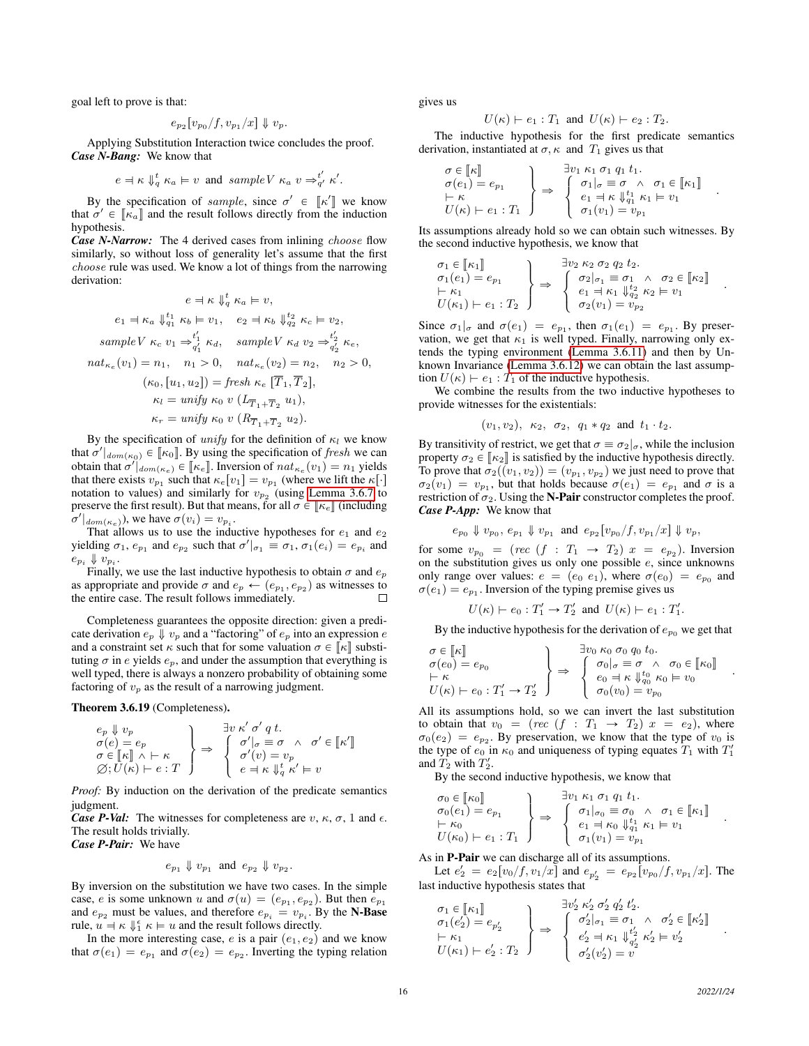goal left to prove is that:

$$
e_{p_2}[v_{p_0}/f, v_{p_1}/x] \Downarrow v_p.
$$

Applying Substitution Interaction twice concludes the proof. *Case N-Bang:* We know that

$$
e \equiv \kappa \Downarrow_q^t \kappa_a \models v
$$
 and  $sampleV \kappa_a v \Rightarrow_{q'}^{t'} \kappa'.$ 

By the specification of *sample*, since  $\sigma' \in [\![\kappa']\!]$  we know that  $\sigma' \in [\![\kappa_a]\!]$  and the result follows directly from the induction by prothesis hypothesis.

*Case N-Narrow:* The 4 derived cases from inlining choose flow similarly, so without loss of generality let's assume that the first choose rule was used. We know a lot of things from the narrowing derivation:

$$
e \equiv \kappa \Downarrow_q^t \kappa_a \vDash v,
$$
  
\n
$$
e_1 \equiv \kappa_a \Downarrow_{q_1}^{t_1} \kappa_b \vDash v_1, \quad e_2 \equiv \kappa_b \Downarrow_{q_2}^{t_2} \kappa_c \vDash v_2,
$$
  
\n
$$
sampleV \kappa_c v_1 \Rightarrow_{q_1}^{t_1} \kappa_d, \quad sampleV \kappa_d v_2 \Rightarrow_{q_2}^{t_2} \kappa_e,
$$
  
\n
$$
nat_{\kappa_e}(v_1) = n_1, \quad n_1 > 0, \quad nat_{\kappa_e}(v_2) = n_2, \quad n_2 > 0,
$$
  
\n
$$
(\kappa_0, [u_1, u_2]) = fresh \kappa_e \left[ \overline{T}_1, \overline{T}_2 \right],
$$
  
\n
$$
\kappa_l = unify \kappa_0 v \left( L_{\overline{T}_1 + \overline{T}_2} u_1 \right),
$$
  
\n
$$
\kappa_r = unify \kappa_0 v \left( R_{\overline{T}_1 + \overline{T}_2} u_2 \right).
$$

By the specification of unify for the definition of  $\kappa_l$  we know that  $\sigma'|_{dom(\kappa_0)} \in [\![\kappa_0]\!]$ . By using the specification of *fresh* we can<br>obtain that  $\sigma'|_{\kappa}$   $\in [\![\kappa_0]\!]$ . Inversion of *nat*  $(\alpha_k) = n$ , vields obtain that  $\sigma'$ <sup> $\big|_{dom(\kappa_e)} \in [\![\kappa_e]\!]$ . Inversion of  $nat_{\kappa_e}(v_1) = n_1$  yields<br>that there exists  $v$ , such that  $\kappa$   $[v_1] = v$ , (where we lift the  $\kappa$ .)</sup> that there exists  $v_{p_1}$  such that  $\kappa_e[v_1] = v_{p_1}$  (where we lift the  $\kappa[\cdot]$ notation to values) and similarly for  $v_{p_2}$  (using [Lemma 3.6.7](#page-11-8) to preserve the first result). But that means, for all  $\sigma \in \llbracket \kappa_e \rrbracket$  (including  $\sigma'|_{\text{dom}(\kappa_e)}$ ), we have  $\sigma(v_i) = v_{p_i}$ .

That allows us to use the inductive hypotheses for  $e_1$  and  $e_2$ yielding  $\sigma_1$ ,  $e_{p_1}$  and  $e_{p_2}$  such that  $\sigma'|_{\sigma_1} \equiv \sigma_1$ ,  $\sigma_1(e_i) = e_{p_i}$  and  $e_{p_i} \Downarrow v_{p_i}.$ 

Finally, we use the last inductive hypothesis to obtain  $\sigma$  and  $e_p$ as appropriate and provide  $\sigma$  and  $e_p \leftarrow (e_{p_1}, e_{p_2})$  as witnesses to the entire case. The result follows immediately. П

Completeness guarantees the opposite direction: given a predicate derivation  $e_p \Downarrow v_p$  and a "factoring" of  $e_p$  into an expression e and a constraint set  $\kappa$  such that for some valuation  $\sigma \in [\![\kappa]\!]$  substituting  $\sigma$  in e yields  $e_p$ , and under the assumption that everything is well typed, there is always a nonzero probability of obtaining some factoring of  $v_p$  as the result of a narrowing judgment.

Theorem 3.6.19 (Completeness).

$$
\begin{array}{l}\n e_p \Downarrow v_p \\
 \sigma(e) = e_p \\
 \sigma \in [\![\kappa]\!] \land \vdash \kappa \\
 \varnothing; U(\kappa) \vdash e : T\n\end{array}\n\bigg\} \Rightarrow\n\begin{array}{l}\n \exists v \, \kappa' \, \sigma' \, q \, t.\n \\ \sigma' \vert_{\sigma} \equiv \sigma \ \land \ \sigma' \in [\![\kappa']\!] \\
 \sigma'(v) = v_p \\
 e \equiv \kappa \, \Downarrow_q^t \, \kappa' \models v\n\end{array}
$$

*Proof:* By induction on the derivation of the predicate semantics judgment.

*Case P-Val:* The witnesses for completeness are  $v, \kappa, \sigma, 1$  and  $\epsilon$ . The result holds trivially.

*Case P-Pair:* We have

$$
e_{p_1}\Downarrow v_{p_1} \text{ and } e_{p_2}\Downarrow v_{p_2}
$$

.

By inversion on the substitution we have two cases. In the simple case, *e* is some unknown u and  $\sigma(u) = (e_{p_1}, e_{p_2})$ . But then  $e_{p_1}$ and  $e_{p_2}$  must be values, and therefore  $e_{p_i} = v_{p_i}$ . By the **N-Base** rule,  $u = \kappa \Downarrow_1^{\epsilon} \kappa \models u$  and the result follows directly.

In the more interesting case,  $e$  is a pair  $(e_1, e_2)$  and we know that  $\sigma(e_1) = e_{p_1}$  and  $\sigma(e_2) = e_{p_2}$ . Inverting the typing relation gives us

$$
U(\kappa) \vdash e_1 : T_1 \text{ and } U(\kappa) \vdash e_2 : T_2.
$$

The inductive hypothesis for the first predicate semantics derivation, instantiated at  $\sigma$ ,  $\kappa$  and  $T_1$  gives us that

$$
\begin{array}{l}\n\sigma \in [\![\kappa]\!] \\
\sigma(e_1) = e_{p_1} \\
\vdots \\
\sigma(\kappa) \vdash e_1 : T_1\n\end{array}\n\right\} \Rightarrow\n\begin{array}{l}\n\exists v_1 \kappa_1 \sigma_1 q_1 t_1. \\
\sigma_1|_{\sigma} \equiv \sigma \ \wedge \ \sigma_1 \in [\![\kappa_1]\!] \\
e_1 \equiv \kappa \ \Downarrow_{q_1}^{t_1} \kappa_1 \models v_1 \\
\sigma_1(v_1) = v_{p_1}\n\end{array}
$$

.

.

Its assumptions already hold so we can obtain such witnesses. By the second inductive hypothesis, we know that  $\ddot{\phantom{0}}$ 

$$
\begin{array}{l}\n\sigma_1 \in [\![\kappa_1]\!] \\
\sigma_1(e_1) = e_{p_1} \\
\vdots \\
\sigma_{k-1} \in \mathbb{Z} \n\end{array}\n\right\} \Rightarrow\n\begin{array}{l}\n\exists v_2 \kappa_2 \sigma_2 q_2 t_2 \\
\sigma_2 |_{\sigma_1} \equiv \sigma_1 \quad \land \quad \sigma_2 \in [\![\kappa_2]\!]\n\end{array}
$$
\n
$$
\begin{array}{l}\nU(\kappa_1) = e_{p_1} \\
U(\kappa_1) + e_1 : T_2\n\end{array}\n\right\} \Rightarrow\n\begin{array}{l}\n\exists v_2 \kappa_2 \sigma_2 q_2 t_2 \\
\sigma_2 |_{\sigma_1} \equiv \sigma_1 \quad \land \quad \sigma_2 \in [\![\kappa_2]\!]\n\end{array}
$$

Since  $\sigma_1|_{\sigma}$  and  $\sigma(e_1) = e_{p_1}$ , then  $\sigma_1(e_1) = e_{p_1}$ . By preservation, we get that  $\kappa_1$  is well typed. Finally, narrowing only extends the typing environment [\(Lemma 3.6.11\)](#page-11-5) and then by Unknown Invariance [\(Lemma 3.6.12\)](#page-12-0) we can obtain the last assumption  $U(\kappa) \vdash e_1 : T_1$  of the inductive hypothesis.

We combine the results from the two inductive hypotheses to provide witnesses for the existentials:

$$
(v_1, v_2), \kappa_2, \sigma_2, q_1 * q_2 \text{ and } t_1 \cdot t_2.
$$

By transitivity of restrict, we get that  $\sigma \equiv \sigma_2|_{\sigma}$ , while the inclusion property  $\sigma_2 \in [\![\kappa_2]\!]$  is satisfied by the inductive hypothesis directly. To prove that  $\sigma_2((v_1, v_2)) = (v_{p_1}, v_{p_2})$  we just need to prove that  $\sigma_2(v_1) = v_{p_1}$ , but that holds because  $\sigma(e_1) = e_{p_1}$  and  $\sigma$  is a restriction of  $\sigma_2$ . Using the **N-Pair** constructor completes the proof. *Case P-App:* We know that

$$
e_{p_0} \Downarrow v_{p_0}, e_{p_1} \Downarrow v_{p_1}
$$
 and  $e_{p_2}[v_{p_0}/f, v_{p_1}/x] \Downarrow v_p$ ,

for some  $v_{p_0} = (rec (f : T_1 \rightarrow T_2) x = e_{p_2})$ . Inversion on the substitution gives us only one possible  $e$ , since unknowns only range over values:  $e = (e_0 \ e_1)$ , where  $\sigma(e_0) = e_{p_0}$  and  $\sigma(e_1) = e_{p_1}$ . Inversion of the typing premise gives us

$$
U(\kappa) \vdash e_0 : T'_1 \to T'_2 \text{ and } U(\kappa) \vdash e_1 : T'_1.
$$

By the inductive hypothesis for the derivation of  $e_{p_0}$  we get that

$$
\begin{array}{l}\n\sigma \in [\![\kappa]\!] \\
\sigma(e_0) = e_{p_0} \\
\vdash \kappa \\
U(\kappa) \vdash e_0 : T'_1 \to T'_2\n\end{array}\n\right\} \Rightarrow\n\begin{array}{l}\n\exists v_0 \kappa_0 \,\sigma_0 \, q_0 \, t_0. \\
\sigma_0 |_{\sigma} \equiv \sigma \ \wedge \ \sigma_0 \in [\![\kappa_0]\!]\! \\
e_0 \equiv \kappa \ \Downarrow_{q_0}^{t_0} \kappa_0 \vDash v_0 \\
\sigma_0(v_0) = v_{p_0}\n\end{array}.
$$

All its assumptions hold, so we can invert the last substitution to obtain that  $v_0 = (rec \ (f : T_1 \rightarrow T_2) \ x = e_2)$ , where  $\sigma_0(e_2) = e_{p_2}$ . By preservation, we know that the type of  $v_0$  is the type of  $e_0$  in  $\kappa_0$  and uniqueness of typing equates  $T_1$  with  $T_1'$ and  $T_2$  with  $T_2'$ .

By the second inductive hypothesis, we know that

$$
\begin{array}{l}\n\sigma_0 \in [\![\kappa_0]\!] \\
\sigma_0(e_1) = e_{p_1} \\
\vdash \kappa_0 \\
U(\kappa_0) \vdash e_1 : T_1\n\end{array}\n\right\} \Rightarrow\n\begin{array}{l}\n\exists v_1 \; \kappa_1 \; \sigma_1 \; q_1 \; t_1. \\
\sigma_1 |_{\sigma_0} \equiv \sigma_0 \; \wedge \; \sigma_1 \in [\![\kappa_1]\!] \\
e_1 \equiv \kappa_0 \; \Downarrow_{q_1}^{t_1} \kappa_1 \models v_1 \\
\sigma_1(v_1) = v_{p_1}\n\end{array}
$$

As in P-Pair we can discharge all of its assumptions.

Let  $e'_2 = e_2[v_0/f, v_1/x]$  and  $e_{p'_2} = e_{p_2}[v_{p_0}/f, v_{p_1}/x]$ . The last inductive hypothesis states that

<sup>σ</sup><sup>1</sup> <sup>P</sup> <sup>J</sup>κ<sup>1</sup><sup>K</sup> σ1pe 1 <sup>2</sup>q = e<sup>p</sup> 1 2 \$ κ<sup>1</sup> Upκ1q \$ e 1 <sup>2</sup> : T<sup>2</sup> /. / ñ Dv 1 1 1 <sup>2</sup> κ <sup>2</sup> σ <sup>2</sup> q 1 2 t 1 \$ <sup>2</sup>. '& '% σ 1 <sup>2</sup>|<sup>σ</sup><sup>1</sup> " σ<sup>1</sup> ^ σ 1 <sup>2</sup> <sup>P</sup> <sup>J</sup><sup>κ</sup> 1 2K e 1 <sup>2</sup> ) κ<sup>1</sup> ó t 1 2 q 1 2 κ 1 <sup>2</sup> ( v 1 2 σ 1 <sup>2</sup>pv 1 <sup>2</sup>q = v

.

.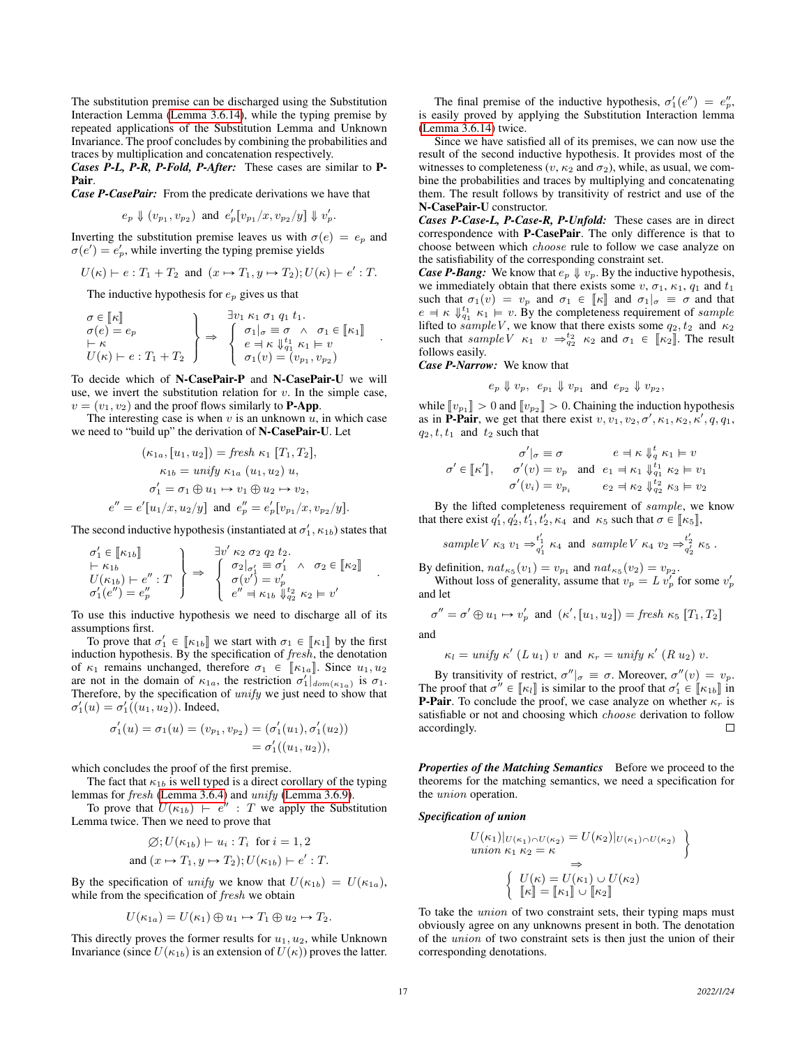The substitution premise can be discharged using the Substitution Interaction Lemma [\(Lemma 3.6.14\)](#page-13-3), while the typing premise by repeated applications of the Substitution Lemma and Unknown Invariance. The proof concludes by combining the probabilities and traces by multiplication and concatenation respectively.

*Cases P-L, P-R, P-Fold, P-After:* These cases are similar to P-Pair.

*Case P-CasePair:* From the predicate derivations we have that

$$
e_p \nparallel (v_{p_1}, v_{p_2})
$$
 and  $e'_p[v_{p_1}/x, v_{p_2}/y] \nparallel v'_p$ .

Inverting the substitution premise leaves us with  $\sigma(e) = e_p$  and  $\sigma(e') = e'_p$ , while inverting the typing premise yields

$$
U(\kappa) \vdash e : T_1 + T_2 \text{ and } (x \mapsto T_1, y \mapsto T_2); U(\kappa) \vdash e' : T.
$$

The inductive hypothesis for  $e_p$  gives us that

$$
\begin{array}{c}\n\sigma \in [\![\kappa]\!] \\
\sigma(e) = e_p \\
\vdash \kappa \\
U(\kappa) \vdash e : T_1 + T_2\n\end{array}\n\right\} \Rightarrow\n\begin{array}{c}\n\exists v_1 \kappa_1 \sigma_1 q_1 t_1.\n\cr\n\sigma_1 |_{\sigma} \equiv \sigma \ \wedge \ \sigma_1 \in [\![\kappa_1]\!]\r\n\end{array}\n\right\}
$$

To decide which of N-CasePair-P and N-CasePair-U we will use, we invert the substitution relation for  $v$ . In the simple case,  $v = (v_1, v_2)$  and the proof flows similarly to **P-App.** 

The interesting case is when  $v$  is an unknown  $u$ , in which case we need to "build up" the derivation of N-CasePair-U. Let

$$
(\kappa_{1a}, [u_1, u_2]) = \text{fresh } \kappa_1 [T_1, T_2],
$$

$$
\kappa_{1b} = \text{unify } \kappa_{1a} (u_1, u_2) u,
$$

$$
\sigma'_1 = \sigma_1 \oplus u_1 \mapsto v_1 \oplus u_2 \mapsto v_2,
$$

$$
e'' = e'[u_1/x, u_2/y] \text{ and } e''_p = e'_p[v_{p_1}/x, v_{p_2}/y].
$$

The second inductive hypothesis (instantiated at  $\sigma'_1$ ,  $\kappa_{1b}$ ) states that

$$
\begin{aligned}\n\sigma'_1 &\in \llbracket \kappa_{1b} \rrbracket \\
&\vdash \kappa_{1b} \\
U(\kappa_{1b}) &\vdash e'': T \\
\sigma'_1(e'') &\in e''_p\n\end{aligned}\n\right\} \Rightarrow\n\begin{cases}\n\exists v' \kappa_2 \sigma_2 q_2 t_2 \\
\sigma_2|_{\sigma'_1} \equiv \sigma'_1 \quad \land \quad \sigma_2 \in \llbracket \kappa_2 \rrbracket \\
\sigma(v') = v'_p \\
e'' &\dashv \kappa_{1b} \Downarrow_{q_2}^{t_2} \kappa_2 \models v'\n\end{cases}
$$

To use this inductive hypothesis we need to discharge all of its assumptions first.

To prove that  $\sigma'_1 \in [\![k_{1b}]\!]$  we start with  $\sigma_1 \in [\![k_1]\!]$  by the first<br>uction hypothesis. By the specification of *fresh*, the denotation induction hypothesis. By the specification of fresh, the denotation of  $\kappa_1$  remains unchanged, therefore  $\sigma_1 \in [\kappa_{1a}]$ . Since  $u_1, u_2$ are not in the domain of  $\kappa_{1a}$ , the restriction  $\sigma'_1|_{\text{dom}(\kappa_{1a})}$  is  $\sigma_1$ . Therefore, by the specification of *unify* we just need to show that  $\sigma'_1(u) = \sigma'_1((u_1, u_2))$ . Indeed,

$$
\sigma'_1(u) = \sigma_1(u) = (v_{p_1}, v_{p_2}) = (\sigma'_1(u_1), \sigma'_1(u_2))
$$
  
=  $\sigma'_1((u_1, u_2)),$ 

which concludes the proof of the first premise.

The fact that  $\kappa_{1b}$  is well typed is a direct corollary of the typing lemmas for fresh [\(Lemma 3.6.4\)](#page-11-6) and unify [\(Lemma 3.6.9\)](#page-11-7).

To prove that  $U(\kappa_{1b}) + e''$ : T we apply the Substitution Lemma twice. Then we need to prove that

$$
\emptyset; U(\kappa_{1b}) \vdash u_i : T_i \text{ for } i = 1, 2
$$
  
and 
$$
(x \mapsto T_1, y \mapsto T_2); U(\kappa_{1b}) \vdash e' : T.
$$

By the specification of unify we know that  $U(\kappa_{1b}) = U(\kappa_{1a})$ , while from the specification of *fresh* we obtain

$$
U(\kappa_{1a}) = U(\kappa_1) \oplus u_1 \mapsto T_1 \oplus u_2 \mapsto T_2.
$$

This directly proves the former results for  $u_1, u_2$ , while Unknown Invariance (since  $U(\kappa_{1b})$  is an extension of  $U(\kappa)$ ) proves the latter.

The final premise of the inductive hypothesis,  $\sigma'_1(e'') = e''_p$ , is easily proved by applying the Substitution Interaction lemma [\(Lemma 3.6.14\)](#page-13-3) twice.

Since we have satisfied all of its premises, we can now use the result of the second inductive hypothesis. It provides most of the witnesses to completeness ( $v, \kappa_2$  and  $\sigma_2$ ), while, as usual, we combine the probabilities and traces by multiplying and concatenating them. The result follows by transitivity of restrict and use of the N-CasePair-U constructor.

*Cases P-Case-L, P-Case-R, P-Unfold:* These cases are in direct correspondence with P-CasePair. The only difference is that to choose between which choose rule to follow we case analyze on the satisfiability of the corresponding constraint set.

*Case P-Bang:* We know that  $e_p \Downarrow v_p$ . By the inductive hypothesis, we immediately obtain that there exists some  $v, \sigma_1, \kappa_1, q_1$  and  $t_1$ such that  $\sigma_1(v) = v_p$  and  $\sigma_1 \in [\![\kappa]\!]$  and  $\sigma_1|_{\sigma} \equiv \sigma$  and that  $e \neq \kappa \Downarrow_{q_1}^{t_1} \kappa_1 \models v$ . By the completeness requirement of sample lifted to sample V, we know that there exists some  $q_2, t_2$  and  $\kappa_2$ such that  $sampleV \kappa_1$   $v \Rightarrow_{q_2}^{t_2} \kappa_2$  and  $\sigma_1 \in [\![\kappa_2]\!]$ . The result follows easily follows easily.

#### *Case P-Narrow:* We know that

$$
e_p \Downarrow v_p
$$
,  $e_{p_1} \Downarrow v_{p_1}$  and  $e_{p_2} \Downarrow v_{p_2}$ ,

while  $\llbracket v_{p_1} \rrbracket > 0$  and  $\llbracket v_{p_2} \rrbracket > 0$ . Chaining the induction hypothesis<br>as in **P-Pair**, we get that there exist  $v_1, v_2, v_3 \not\subset K_1$ ,  $K_2, K_3 \not\subset G$ ,  $G_1$ as in **P-Pair**, we get that there exist  $v, v_1, v_2, \sigma', \kappa_1, \kappa_2, \kappa', q, q_1$ ,  $q_2, t, t_1$  and  $t_2$  such that

$$
\sigma'|_{\sigma} \equiv \sigma \qquad e \equiv \kappa \Downarrow_{q}^{t} \kappa_{1} \vDash v
$$

$$
\sigma' \in [\![\kappa']\!], \qquad \sigma'(v) = v_{p} \quad \text{and} \quad e_{1} \equiv \kappa_{1} \Downarrow_{q_{1}}^{t_{1}} \kappa_{2} \vDash v_{1}
$$

$$
\sigma'(v_{i}) = v_{p_{i}} \qquad e_{2} \equiv \kappa_{2} \Downarrow_{q_{2}}^{t_{2}} \kappa_{3} \vDash v_{2}
$$

By the lifted completeness requirement of sample, we know that there exist  $q'_1, q'_2, t'_1, t'_2, \kappa_4$  and  $\kappa_5$  such that  $\sigma \in [\kappa_5],$ 

sample V 
$$
\kappa_3 v_1 \Rightarrow_{q'_1}^{t'_1} \kappa_4
$$
 and sample V  $\kappa_4 v_2 \Rightarrow_{q'_2}^{t'_2} \kappa_5$ .

By definition,  $nat_{\kappa_5}(v_1) = v_{p_1}$  and  $nat_{\kappa_5}(v_2) = v_{p_2}$ .

Without loss of generality, assume that  $v_p = L v_p'$  for some  $v_p'$ and let

$$
\sigma'' = \sigma' \oplus u_1 \mapsto v'_p \text{ and } (\kappa', [u_1, u_2]) = \text{free } k_5 [T_1, T_2]
$$

and

.

.

$$
\kappa_l = \text{unify } \kappa' \ (L u_1) \ v \ \text{ and } \ \kappa_r = \text{unify } \kappa' \ (R u_2) \ v.
$$

By transitivity of restrict,  $\sigma''|_{\sigma} \equiv \sigma$ . Moreover,  $\sigma''(v) = v_p$ . The proof that  $\sigma'' \in [\![k_l]\!]$  is similar to the proof that  $\sigma'_1 \in [\![k_{1b}]\!]$  in **P-Pair**. To conclude the proof, we case analyze on whether  $\kappa$  is **P-Pair.** To conclude the proof, we case analyze on whether  $\kappa_r$  is satisfiable or not and choosing which choose derivation to follow accordingly. П

**Properties of the Matching Semantics** Before we proceed to the theorems for the matching semantics, we need a specification for the union operation.

#### *Specification of union*

$$
U(\kappa_1)|_{U(\kappa_1)\cap U(\kappa_2)} = U(\kappa_2)|_{U(\kappa_1)\cap U(\kappa_2)}
$$
  
union  $\kappa_1 \kappa_2 = \kappa$   

$$
\Rightarrow
$$
  

$$
\begin{cases} U(\kappa) = U(\kappa_1) \cup U(\kappa_2) \\ \lbrack \lbrack \kappa \rbrack \rbrack = \lbrack \lbrack \kappa_1 \rbrack \cup \lbrack \lbrack \kappa_2 \rbrack \end{cases}
$$

To take the union of two constraint sets, their typing maps must obviously agree on any unknowns present in both. The denotation of the union of two constraint sets is then just the union of their corresponding denotations.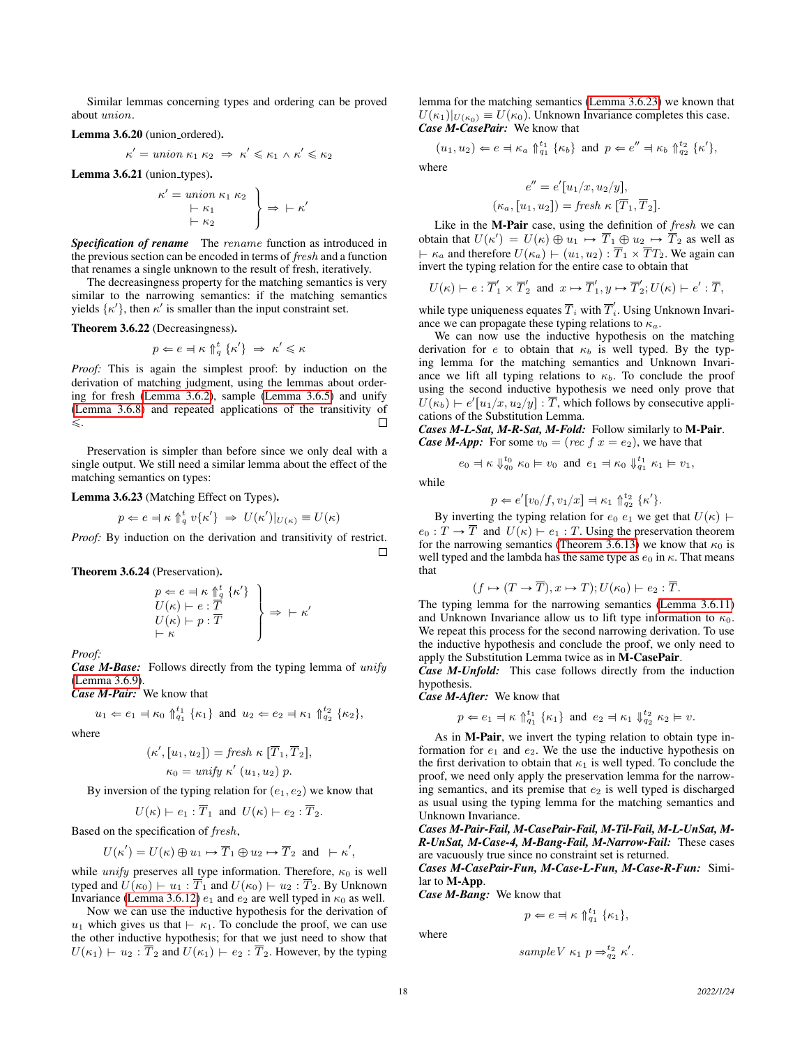Similar lemmas concerning types and ordering can be proved about union.

#### Lemma 3.6.20 (union\_ordered).

$$
\kappa' = union \; \kappa_1 \; \kappa_2 \; \Rightarrow \; \kappa' \leq \kappa_1 \; \wedge \; \kappa' \leq \kappa_2
$$

Lemma  $3.6.21$  (union\_types).

$$
\begin{array}{l}\n\kappa' = \text{union } \kappa_1 \ \kappa_2 \\
\vdash \kappa_1 \\
\vdash \kappa_2\n\end{array}\n\bigg\} \Rightarrow \vdash \kappa'
$$

*Specification of rename* The rename function as introduced in the previous section can be encoded in terms of fresh and a function that renames a single unknown to the result of fresh, iteratively.

The decreasingness property for the matching semantics is very similar to the narrowing semantics: if the matching semantics yields  $\{\kappa'\}$ , then  $\kappa'$  is smaller than the input constraint set.

#### Theorem 3.6.22 (Decreasingness).

$$
p \Leftarrow e \Rightarrow \kappa \uparrow_q^t {\{\kappa'\}} \Rightarrow \kappa' \leq \kappa
$$

*Proof:* This is again the simplest proof: by induction on the derivation of matching judgment, using the lemmas about ordering for fresh [\(Lemma 3.6.2\)](#page-11-2), sample [\(Lemma 3.6.5\)](#page-11-3) and unify [\(Lemma 3.6.8\)](#page-11-4) and repeated applications of the transitivity of  $\leq$ .  $\Box$ 

Preservation is simpler than before since we only deal with a single output. We still need a similar lemma about the effect of the matching semantics on types:

<span id="page-17-0"></span>Lemma 3.6.23 (Matching Effect on Types).

$$
p \Leftarrow e \Rightarrow \kappa \Uparrow_q^t v\{\kappa'\} \Rightarrow U(\kappa')|_{U(\kappa)} \equiv U(\kappa)
$$

*Proof:* By induction on the derivation and transitivity of restrict.  $\Box$ 

Theorem 3.6.24 (Preservation).

$$
\begin{array}{l}\np \Leftarrow e \Rightarrow \kappa \uparrow_q^t {\kappa' \brace \nU(\kappa) \vdash e : \overline{T} \\
U(\kappa) \vdash p : \overline{T} \\
\vdash \kappa\n\end{array}\n\right\} \Rightarrow \vdash \kappa'
$$

*Proof:*

where

*Case M-Base:* Follows directly from the typing lemma of unify [\(Lemma 3.6.9\)](#page-11-7).

*Case M-Pair:* We know that

$$
u_1 \leftarrow e_1 \Rightarrow \kappa_0 \uparrow_{q_1}^{t_1} {\kappa_1} \text{ and } u_2 \leftarrow e_2 \Rightarrow \kappa_1 \uparrow_{q_2}^{t_2} {\kappa_2},
$$

$$
(\kappa', [u_1, u_2]) = \text{fresh } \kappa \, [\overline{T}_1, \overline{T}_2],
$$
  

$$
\kappa_0 = \text{unify } \kappa' \, (u_1, u_2) \, p.
$$

By inversion of the typing relation for  $(e_1, e_2)$  we know that

$$
U(\kappa) \vdash e_1 : \overline{T}_1
$$
 and  $U(\kappa) \vdash e_2 : \overline{T}_2$ .

Based on the specification of fresh,

$$
U(\kappa') = U(\kappa) \oplus u_1 \mapsto \overline{T}_1 \oplus u_2 \mapsto \overline{T}_2 \text{ and } \vdash \kappa',
$$

while *unify* preserves all type information. Therefore,  $\kappa_0$  is well typed and  $U(\kappa_0) \vdash u_1 : \overline{T}_1$  and  $U(\kappa_0) \vdash u_2 : \overline{T}_2$ . By Unknown Invariance [\(Lemma 3.6.12\)](#page-12-0)  $e_1$  and  $e_2$  are well typed in  $\kappa_0$  as well.

Now we can use the inductive hypothesis for the derivation of  $u_1$  which gives us that  $\vdash \kappa_1$ . To conclude the proof, we can use the other inductive hypothesis; for that we just need to show that  $U(\kappa_1) \vdash u_2 : \overline{T}_2$  and  $U(\kappa_1) \vdash e_2 : \overline{T}_2$ . However, by the typing lemma for the matching semantics [\(Lemma 3.6.23\)](#page-17-0) we known that  $U(\kappa_1)|_{U(\kappa_0)} \equiv U(\kappa_0)$ . Unknown Invariance completes this case. *Case M-CasePair:* We know that

$$
(u_1, u_2) \Leftarrow e \Rightarrow \kappa_a \uparrow_{q_1}^{t_1} {\kappa_b} \text{ and } p \Leftarrow e'' \Rightarrow \kappa_b \uparrow_{q_2}^{t_2} {\kappa'}\},
$$

where

$$
e'' = e'[u_1/x, u_2/y],
$$
  

$$
(\kappa_a, [u_1, u_2]) = \text{fresh } \kappa \, [\overline{T}_1, \overline{T}_2].
$$

Like in the M-Pair case, using the definition of fresh we can obtain that  $U(\kappa') = U(\kappa) \oplus u_1 \mapsto \overline{T}_1 \oplus u_2 \mapsto \overline{T}_2$  as well as  $\vdash \kappa_a$  and therefore  $U(\kappa_a) \vdash (u_1, u_2) : \overline{T}_1 \times \overline{T}_2$ . We again can invert the typing relation for the entire case to obtain that

$$
U(\kappa) \vdash e : \overline{T}'_1 \times \overline{T}'_2
$$
 and  $x \mapsto \overline{T}'_1, y \mapsto \overline{T}'_2; U(\kappa) \vdash e' : \overline{T}$ ,

while type uniqueness equates  $\overline{T}_i$  with  $\overline{T}_i'$ . Using Unknown Invariance we can propagate these typing relations to  $\kappa_a$ .

We can now use the inductive hypothesis on the matching derivation for e to obtain that  $\kappa_b$  is well typed. By the typing lemma for the matching semantics and Unknown Invariance we lift all typing relations to  $\kappa_b$ . To conclude the proof using the second inductive hypothesis we need only prove that  $U(\kappa_b) \vdash e'[u_1/x, u_2/y] : \overline{T}$ , which follows by consecutive applications of the Substitution Lemma.

*Cases M-L-Sat, M-R-Sat, M-Fold:* Follow similarly to M-Pair. *Case M-App:* For some  $v_0 = (rec \, f \, x = e_2)$ , we have that

$$
e_0 \stackrel{\cdot}{=} \kappa \Downarrow_{q_0}^{t_0} \kappa_0 \models v_0 \text{ and } e_1 \stackrel{\cdot}{=} \kappa_0 \Downarrow_{q_1}^{t_1} \kappa_1 \models v_1,
$$

while

$$
p \Leftarrow e'[v_0/f, v_1/x] \models \kappa_1 \Uparrow_{q_2}^{t_2} {\kappa'}.
$$

By inverting the typing relation for  $e_0$   $e_1$  we get that  $U(\kappa)$   $\vdash$  $e_0 : T \to \overline{T}$  and  $U(\kappa) \vdash e_1 : T$ . Using the preservation theorem for the narrowing semantics [\(Theorem 3.6.13\)](#page-12-1) we know that  $\kappa_0$  is well typed and the lambda has the same type as  $e_0$  in  $\kappa$ . That means that

$$
(f \mapsto (T \to \overline{T}), x \mapsto T); U(\kappa_0) \vdash e_2 : \overline{T}.
$$

The typing lemma for the narrowing semantics [\(Lemma 3.6.11\)](#page-11-5) and Unknown Invariance allow us to lift type information to  $\kappa_0$ . We repeat this process for the second narrowing derivation. To use the inductive hypothesis and conclude the proof, we only need to apply the Substitution Lemma twice as in M-CasePair.

*Case M-Unfold:* This case follows directly from the induction hypothesis.

*Case M-After:* We know that

$$
p \Leftarrow e_1 \Rightarrow \kappa \Uparrow_{q_1}^{t_1} {\kappa_1}
$$
 and  $e_2 \Rightarrow \kappa_1 \Downarrow_{q_2}^{t_2} \kappa_2 \models v$ .

As in M-Pair, we invert the typing relation to obtain type information for  $e_1$  and  $e_2$ . We the use the inductive hypothesis on the first derivation to obtain that  $\kappa_1$  is well typed. To conclude the proof, we need only apply the preservation lemma for the narrowing semantics, and its premise that  $e_2$  is well typed is discharged as usual using the typing lemma for the matching semantics and Unknown Invariance.

*Cases M-Pair-Fail, M-CasePair-Fail, M-Til-Fail, M-L-UnSat, M-R-UnSat, M-Case-4, M-Bang-Fail, M-Narrow-Fail:* These cases are vacuously true since no constraint set is returned.

*Cases M-CasePair-Fun, M-Case-L-Fun, M-Case-R-Fun:* Similar to M-App.

*Case M-Bang:* We know that

$$
p \Leftarrow e \Rightarrow \kappa \Uparrow_{q_1}^{t_1} {\kappa_1},
$$

$$
sampleV \ \kappa_1 \ p \Rightarrow_{q_2}^{t_2} \kappa'.
$$

where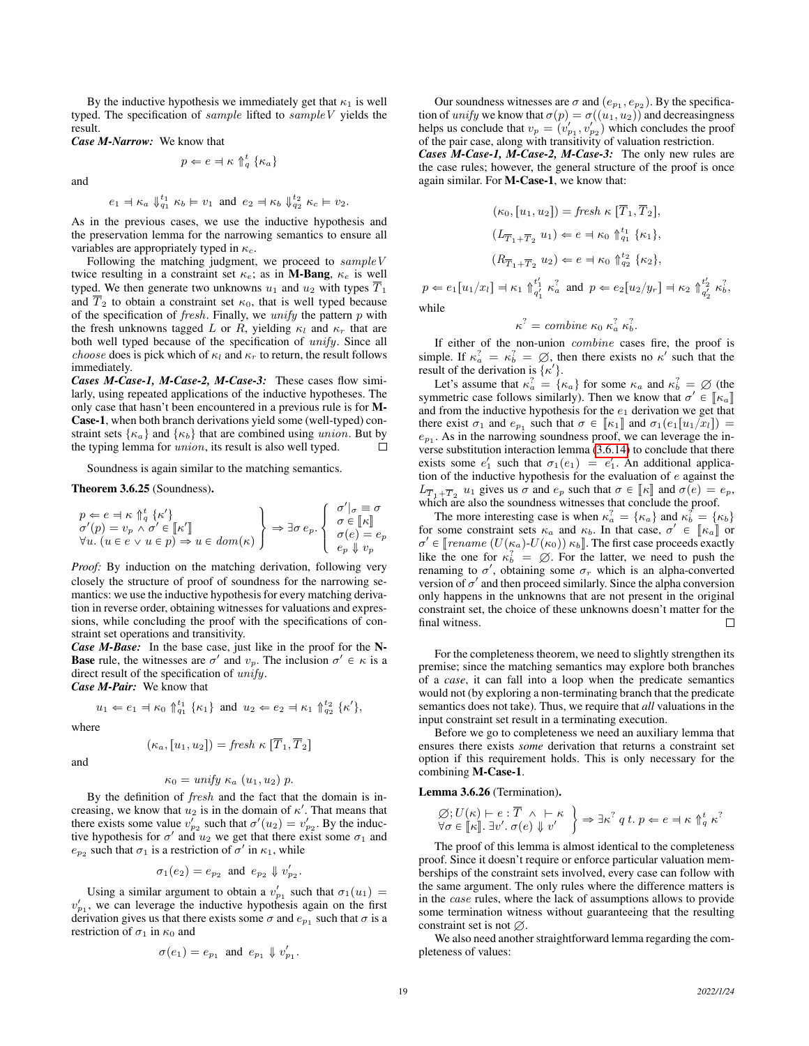By the inductive hypothesis we immediately get that  $\kappa_1$  is well typed. The specification of sample lifted to sample  $V$  yields the result.

*Case M-Narrow:* We know that

$$
p \Leftarrow e \Rightarrow \kappa \Uparrow_q^t {\kappa_a}
$$

and

$$
e_1 \stackrel{\doteq}{\rightarrow} \kappa_a \Downarrow_{q_1}^{t_1} \kappa_b \stackrel{\doteq}{\succ} v_1 \text{ and } e_2 \stackrel{\doteq}{\rightarrow} \kappa_b \Downarrow_{q_2}^{t_2} \kappa_c \stackrel{\doteq}{\succ} v_2.
$$

As in the previous cases, we use the inductive hypothesis and the preservation lemma for the narrowing semantics to ensure all variables are appropriately typed in  $\kappa_c$ .

Following the matching judgment, we proceed to  $sampleV$ twice resulting in a constraint set  $\kappa_e$ ; as in **M-Bang**,  $\kappa_e$  is well typed. We then generate two unknowns  $u_1$  and  $u_2$  with types  $\overline{T}_1$ and  $\overline{T}_2$  to obtain a constraint set  $\kappa_0$ , that is well typed because of the specification of  ${\it fresh}$ . Finally, we *unify* the pattern  $p$  with the fresh unknowns tagged L or R, yielding  $\kappa_l$  and  $\kappa_r$  that are both well typed because of the specification of unify. Since all *choose* does is pick which of  $\kappa_l$  and  $\kappa_r$  to return, the result follows immediately.

*Cases M-Case-1, M-Case-2, M-Case-3:* These cases flow similarly, using repeated applications of the inductive hypotheses. The only case that hasn't been encountered in a previous rule is for M-Case-1, when both branch derivations yield some (well-typed) constraint sets  $\{\kappa_a\}$  and  $\{\kappa_b\}$  that are combined using *union*. But by the typing lemma for union, its result is also well typed. П

Soundness is again similar to the matching semantics.

Theorem 3.6.25 (Soundness).

$$
\left.\begin{array}{l} p \Leftarrow e \Rightarrow \kappa \Uparrow^t_q \{\kappa'\} \\ \sigma'(p) = v_p \wedge \sigma' \in \llbracket \kappa' \rrbracket \\ \forall u. \, (u \in e \vee u \in p) \Rightarrow u \in \mathit{dom}(\kappa) \end{array}\right\} \Rightarrow \exists \sigma \, e_p. \left\{ \begin{array}{l} \sigma'|_\sigma \equiv \sigma \\ \sigma \in \llbracket \kappa \rrbracket \\ \sigma(e) = e_p \\ e_p \Downarrow v_p \end{array}\right.
$$

*Proof:* By induction on the matching derivation, following very closely the structure of proof of soundness for the narrowing semantics: we use the inductive hypothesis for every matching derivation in reverse order, obtaining witnesses for valuations and expressions, while concluding the proof with the specifications of constraint set operations and transitivity.

*Case M-Base:* In the base case, just like in the proof for the N-**Base** rule, the witnesses are  $\sigma'$  and  $v_p$ . The inclusion  $\sigma' \in \kappa$  is a direct result of the specification of unify. *Case M-Pair:* We know that

 $u_1 \Leftarrow e_1 \Rightarrow \kappa_0 \parallel_{q_1}^{t_1} {\kappa_1} \text{ and } u_2 \Leftarrow e_2 \Rightarrow \kappa_1 \parallel_{q_2}^{t_2} {\kappa'_1},$ 

where

$$
(\kappa_a, [u_1, u_2]) = \text{fresh } \kappa \left[ \overline{T}_1, \overline{T}_2 \right]
$$

and

$$
f_{\rm{max}}
$$

$$
\kappa_0 = \text{unify } \kappa_a \ (u_1, u_2) \ p.
$$

By the definition of fresh and the fact that the domain is increasing, we know that  $u_2$  is in the domain of  $\kappa'$ . That means that there exists some value  $v'_{p_2}$  such that  $\sigma'(u_2) = v'_{p_2}$ . By the inductive hypothesis for  $\sigma'$  and  $u_2$  we get that there exist some  $\sigma_1$  and  $e_{p_2}$  such that  $\sigma_1$  is a restriction of  $\sigma'$  in  $\kappa_1$ , while

$$
\sigma_1(e_2)=e_{p_2} \text{ and } e_{p_2} \Downarrow v'_{p_2}.
$$

Using a similar argument to obtain a  $v'_{p_1}$  such that  $\sigma_1(u_1)$  =  $v'_{p_1}$ , we can leverage the inductive hypothesis again on the first derivation gives us that there exists some  $\sigma$  and  $e_{p_1}$  such that  $\sigma$  is a restriction of  $\sigma_1$  in  $\kappa_0$  and

$$
\sigma(e_1) = e_{p_1} \text{ and } e_{p_1} \Downarrow v'_{p_1}.
$$

Our soundness witnesses are  $\sigma$  and  $(e_{p_1}, e_{p_2})$ . By the specification of unify we know that  $\sigma(p) = \sigma((u_1, u_2))$  and decreasingness helps us conclude that  $v_p = \overline{(v'_{p_1}, v'_{p_2})}$  which concludes the proof of the pair case, along with transitivity of valuation restriction.

*Cases M-Case-1, M-Case-2, M-Case-3:* The only new rules are the case rules; however, the general structure of the proof is once again similar. For M-Case-1, we know that:

$$
(\kappa_0, [u_1, u_2]) = \text{fresh } \kappa [\overline{T}_1, \overline{T}_2],
$$
  

$$
(L_{\overline{T}_1 + \overline{T}_2} u_1) \Leftarrow e \Rightarrow \kappa_0 \Uparrow_{q_1}^{t_1} {\kappa_1},
$$
  

$$
(R_{\overline{T}_1 + \overline{T}_2} u_2) \Leftarrow e \Rightarrow \kappa_0 \Uparrow_{q_2}^{t_2} {\kappa_2},
$$

 $p \Leftarrow e_1[u_1/x_l] \Rightarrow \kappa_1 \uparrow_{q'_1}^{t'_1} \kappa_a^?$  and  $p \Leftarrow e_2[u_2/y_r] \Rightarrow \kappa_2 \uparrow_{q'_2}^{t'_2} \kappa_b^?$ while

$$
\kappa^? = combine \kappa_0 \kappa_a^? \kappa_b^?.
$$

If either of the non-union combine cases fire, the proof is simple. If  $\kappa_a^? = \kappa_b^? = \emptyset$ , then there exists no  $\kappa'$  such that the result of the derivation is  $\{\kappa'\}.$ 

Let's assume that  $\kappa_a^? = {\kappa_a}$  for some  $\kappa_a$  and  $\kappa_b^? = \emptyset$  (the symmetric case follows similarly). Then we know that  $\sigma' \in [\![\kappa_a]\!]$ <br>and from the inductive hypothesis for the explication we get that and from the inductive hypothesis for the  $e_1$  derivation we get that there exist  $\sigma_1$  and  $e_{p_1}$  such that  $\sigma \in [\![ \kappa_1 ] \!]$  and  $\sigma_1(e_1[u_1/x_1]) =$ <br> $e$  As in the parrowing soundness proof, we can leverage the in $e_{p_1}$ . As in the narrowing soundness proof, we can leverage the inverse substitution interaction lemma [\(3.6.14\)](#page-13-3) to conclude that there exists some  $e'_1$  such that  $\sigma_1(e_1) = e'_1$ . An additional application of the inductive hypothesis for the evaluation of  $e$  against the  $L_{\overline{T}_1+\overline{T}_2} u_1$  gives us  $\sigma$  and  $e_p$  such that  $\sigma \in [\kappa]$  and  $\sigma(e) = e_p$ ,<br>which are also the soundness witnesses that conclude the proof which are also the soundness witnesses that conclude the proof.

The more interesting case is when  $\kappa_a^? = {\kappa_a}$  and  $\kappa_b^? = {\kappa_b}$ for some constraint sets  $\kappa_a$  and  $\kappa_b$ . In that case,  $\sigma' \in [\![\kappa_a]\!]$  or  $\sigma' \in [\![\kappa_a]\!]$  or  $\sigma' \in [\text{rename } (U(\kappa_a) \cdot U(\kappa_0)) \kappa_b]$ . The first case proceeds exactly like the one for  $\kappa_b^2 = \emptyset$ . For the latter, we need to push the renaming to  $\sigma'$ , obtaining some  $\sigma_r$  which is an alpha-converted version of  $\sigma'$  and then proceed similarly. Since the alpha conversion only happens in the unknowns that are not present in the original constraint set, the choice of these unknowns doesn't matter for the final witness.  $\Box$ 

For the completeness theorem, we need to slightly strengthen its premise; since the matching semantics may explore both branches of a *case*, it can fall into a loop when the predicate semantics would not (by exploring a non-terminating branch that the predicate semantics does not take). Thus, we require that *all* valuations in the input constraint set result in a terminating execution.

Before we go to completeness we need an auxiliary lemma that ensures there exists *some* derivation that returns a constraint set option if this requirement holds. This is only necessary for the combining M-Case-1.

<span id="page-18-0"></span>Lemma 3.6.26 (Termination).

$$
\varnothing; U(\kappa) \vdash e : \overline{T} \wedge \vdash \kappa \\ \forall \sigma \in [\![\kappa]\!], \exists v'. \ \sigma(e) \Downarrow v' \ \ \bigg} \Rightarrow \exists \kappa^? \ q \ t. \ p \Leftarrow e \Rightarrow \kappa \Uparrow_q^t \kappa^?
$$

The proof of this lemma is almost identical to the completeness proof. Since it doesn't require or enforce particular valuation memberships of the constraint sets involved, every case can follow with the same argument. The only rules where the difference matters is in the case rules, where the lack of assumptions allows to provide some termination witness without guaranteeing that the resulting constraint set is not  $\varnothing$ .

We also need another straightforward lemma regarding the completeness of values: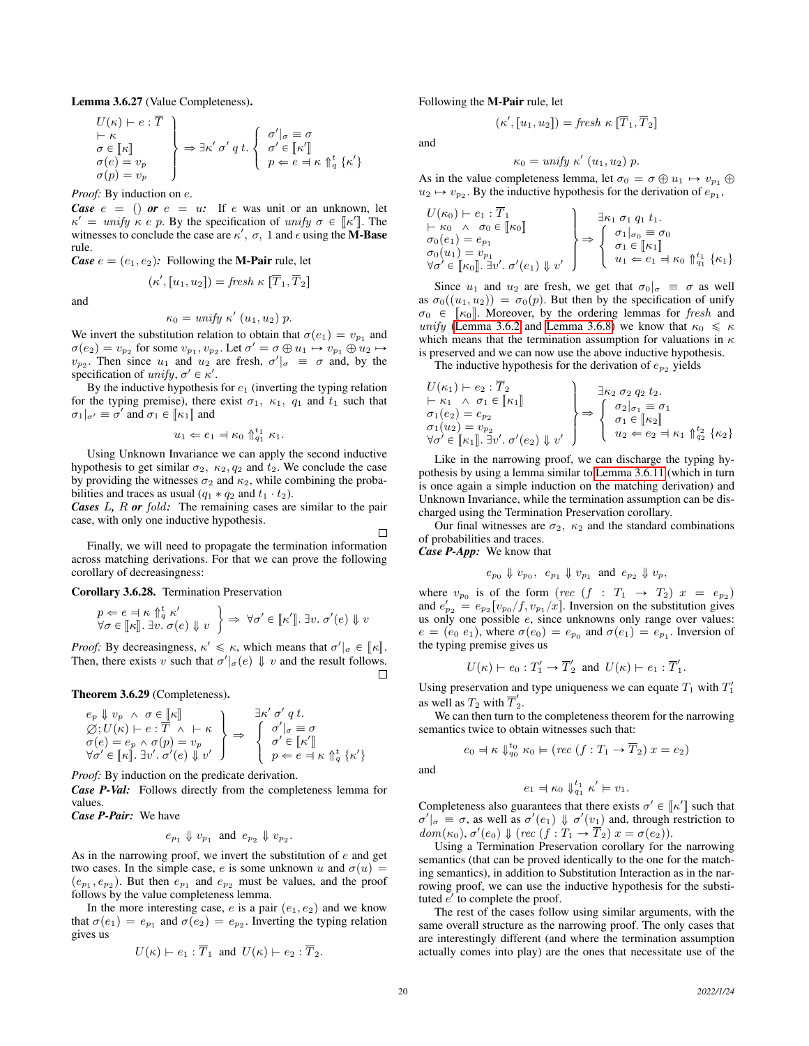Lemma 3.6.27 (Value Completeness).

$$
\left\{\n \begin{array}{l}\n U(\kappa) \vdash e : \overline{T} \\
 \vdash \kappa \\
 \sigma \in [\kappa] \\
 \sigma(e) = v_p \\
 \sigma(p) = v_p\n \end{array}\n \right\}\n \Rightarrow \exists \kappa' \sigma' \ q \ t.\n \left\{\n \begin{array}{l}\n \sigma' \vert_{\sigma} \equiv \sigma \\
 \sigma' \in [\kappa''] \\
 \sigma' \in [\kappa''] \\
 p \Leftarrow e \equiv \kappa \ \Uparrow^t_q \ \{\kappa'\}\n \end{array}\n \right.
$$

*Proof:* By induction on e.

*Case*  $e = ()$  *or*  $e = u$ : If e was unit or an unknown, let  $\kappa' = \text{unify } \kappa \ e \ p$ . By the specification of  $\text{unify } \sigma \in [\![\kappa']\!]$ . The witnesses to conclude the case are  $\kappa' \ \sigma \ 1$  and  $\kappa$  using the **M-Base** witnesses to conclude the case are  $\kappa'$ ,  $\sigma$ , 1 and  $\epsilon$  using the **M-Base** rule.

*Case*  $e = (e_1, e_2)$ : Following the **M-Pair** rule, let

$$
(\kappa', [u_1, u_2]) = \text{fresh } \kappa \, [\overline{T}_1, \overline{T}_2]
$$

and

$$
\kappa_0 = \text{unify } \kappa' \ (u_1, u_2) \ p.
$$

We invert the substitution relation to obtain that  $\sigma(e_1) = v_{p_1}$  and  $\sigma(e_2) = v_{p_2}$  for some  $v_{p_1}, v_{p_2}$ . Let  $\sigma' = \sigma \oplus u_1 \mapsto v_{p_1} \oplus u_2 \mapsto$  $v_{p_2}$ . Then since  $u_1$  and  $u_2$  are fresh,  $\sigma' \vert_{\sigma} \equiv \sigma$  and, by the specification of  $unify, \sigma' \in \kappa'.$ 

By the inductive hypothesis for  $e_1$  (inverting the typing relation for the typing premise), there exist  $\sigma_1$ ,  $\kappa_1$ ,  $q_1$  and  $t_1$  such that  $\sigma_1|_{\sigma'} \equiv \sigma'$  and  $\sigma_1 \in [\![\kappa_1]\!]$  and

$$
u_1 \Leftarrow e_1 \Rightarrow \kappa_0 \Uparrow_{q_1}^{t_1} \kappa_1.
$$

Using Unknown Invariance we can apply the second inductive hypothesis to get similar  $\sigma_2$ ,  $\kappa_2$ ,  $q_2$  and  $t_2$ . We conclude the case by providing the witnesses  $\sigma_2$  and  $\kappa_2$ , while combining the probabilities and traces as usual ( $q_1 * q_2$  and  $t_1 \cdot t_2$ ).

*Cases* L*,* R *or* fold*:* The remaining cases are similar to the pair case, with only one inductive hypothesis.

Finally, we will need to propagate the termination information across matching derivations. For that we can prove the following corollary of decreasingness:

**Corollary 3.6.28.** Termination Preservation

$$
\begin{array}{l}\np \Leftarrow e \Rightarrow \kappa \Uparrow_q^t \kappa' \\
\forall \sigma \in [\![\kappa]\!]. \exists v. \ \sigma(e) \Downarrow v\n\end{array} \Rightarrow \forall \sigma' \in [\![\kappa']\!]. \ \exists v. \ \sigma'(e) \Downarrow v
$$

*Proof:* By decreasingness,  $\kappa' \leq \kappa$ , which means that  $\sigma' |_{\sigma} \in [\![\kappa]\!]$ .<br>Then, there exists a such that  $\sigma' |_{\sigma} (\alpha) |_{\sigma}$  and the result follows Then, there exists v such that  $\sigma' |_{\sigma}(e) \Downarrow v$  and the result follows.

#### Theorem 3.6.29 (Completeness).

$$
\begin{array}{l}\n e_p \Downarrow v_p \ \wedge \ \sigma \in [\![\kappa]\!] \\
 \varnothing; U(\kappa) \vdash e : \overline{T} \ \wedge \ \vdash \kappa \\
 \sigma(e) = e_p \ \wedge \ \sigma(p) = v_p \\
 \forall \sigma' \in [\![\kappa]\!]. \ \exists v'. \ \sigma'(e) \Downarrow v'\n\end{array}\n\Rightarrow\n\begin{array}{l}\n \exists \kappa' \ \sigma' \ q \ t.\n\end{array}\n\Rightarrow\n\begin{array}{l}\n \sigma'|_{\sigma} \equiv \sigma \\
 \sigma' \in [\![\kappa']\!] \\
 p \Leftarrow e \ \Rightarrow \kappa \ \Uparrow^t_q \ \{\kappa'\}\n\end{array}
$$

*Proof:* By induction on the predicate derivation.

*Case P-Val:* Follows directly from the completeness lemma for values.

*Case P-Pair:* We have

$$
e_{p_1} \Downarrow v_{p_1} \text{ and } e_{p_2} \Downarrow v_{p_2}.
$$

As in the narrowing proof, we invert the substitution of e and get two cases. In the simple case, e is some unknown u and  $\sigma(u)$  =  $(e_{p_1}, e_{p_2})$ . But then  $e_{p_1}$  and  $e_{p_2}$  must be values, and the proof follows by the value completeness lemma.

In the more interesting case,  $e$  is a pair  $(e_1, e_2)$  and we know that  $\sigma(e_1) = e_{p_1}$  and  $\sigma(e_2) = e_{p_2}$ . Inverting the typing relation gives us

$$
U(\kappa) \vdash e_1 : T_1
$$
 and  $U(\kappa) \vdash e_2 : T_2$ .

Following the M-Pair rule, let

$$
(\kappa', [u_1, u_2]) = \text{fresh } \kappa \, [\overline{T}_1, \overline{T}_2]
$$

and

$$
\kappa_0 = \text{unify } \kappa' \ (u_1, u_2) \ p.
$$

As in the value completeness lemma, let  $\sigma_0 = \sigma \oplus u_1 \mapsto v_{p_1} \oplus$  $u_2 \mapsto v_{p_2}$ . By the inductive hypothesis for the derivation of  $e_{p_1}$ ,

$$
U(\kappa_0) \vdash e_1 : \overline{T}_1
$$
  
\n
$$
\vdash \kappa_0 \land \sigma_0 \in [\![\kappa_0]\!]
$$
  
\n
$$
\sigma_0(e_1) = e_{p_1}
$$
  
\n
$$
\sigma_0(u_1) = v_{p_1}
$$
  
\n
$$
\forall \sigma' \in [\![\kappa_0]\!]
$$
  
\n
$$
\exists \kappa_1 \sigma_1 q_1 t_1.
$$
  
\n
$$
\sigma_1 q_1 t_1.
$$
  
\n
$$
\sigma_1 e_{p_1} = \sigma_0
$$
  
\n
$$
\sigma_1 \in [\![\kappa_1]\!]
$$
  
\n
$$
u_1 \Leftarrow e_1 \Rightarrow \kappa_0 \uparrow_{q_1}^{t_1} {\kappa_1}
$$

Since  $u_1$  and  $u_2$  are fresh, we get that  $\sigma_0|_{\sigma} \equiv \sigma$  as well as  $\sigma_0((u_1, u_2)) = \sigma_0(p)$ . But then by the specification of unify  $\sigma_0 \in [\kappa_0]$ . Moreover, by the ordering lemmas for fresh and unify [\(Lemma 3.6.2](#page-11-2) and [Lemma 3.6.8\)](#page-11-4) we know that  $\kappa_0 \le \kappa$ which means that the termination assumption for valuations in  $\kappa$ is preserved and we can now use the above inductive hypothesis.

The inductive hypothesis for the derivation of  $e_{p_2}$  yields

$$
U(\kappa_1) \vdash e_2 : \overline{T}_2
$$
  
\n
$$
\vdash \kappa_1 \land \sigma_1 \in [\![\kappa_1]\!]
$$
  
\n
$$
\sigma_1(e_2) = e_{p_2}
$$
  
\n
$$
\sigma_1(u_2) = v_{p_2}
$$
  
\n
$$
\forall \sigma' \in [\![\kappa_1]\!], \exists v', \sigma'(e_2) \Downarrow v' \quad \end{aligned} \bigg\} \Rightarrow \begin{cases} \exists \kappa_2 \sigma_2 q_2 t_2. \\ \sigma_2 | \sigma_1 \equiv \sigma_1 \\ \sigma_1 \in [\![\kappa_2]\!] \\ u_2 \Leftarrow e_2 \equiv \kappa_1 \uparrow_{q_2}^{t_2} {\kappa_2}
$$

Like in the narrowing proof, we can discharge the typing hypothesis by using a lemma similar to [Lemma 3.6.11](#page-11-5) (which in turn is once again a simple induction on the matching derivation) and Unknown Invariance, while the termination assumption can be discharged using the Termination Preservation corollary.

Our final witnesses are  $\sigma_2$ ,  $\kappa_2$  and the standard combinations of probabilities and traces.

*Case P-App:* We know that

$$
e_{p_0}\Downarrow v_{p_0},\ \ e_{p_1}\Downarrow v_{p_1}\ \ \text{and}\ \ e_{p_2}\Downarrow v_p,
$$

where  $v_{p_0}$  is of the form (rec  $(f : T_1 \rightarrow T_2)$ )  $x = e_{p_2}$ ) and  $e'_{p_2} = e_{p_2} [v_{p_0}/f, v_{p_1}/x]$ . Inversion on the substitution gives us only one possible e, since unknowns only range over values:  $e = (e_0 \ e_1)$ , where  $\sigma(e_0) = e_{p_0}$  and  $\sigma(e_1) = e_{p_1}$ . Inversion of the typing premise gives us

$$
U(\kappa) \vdash e_0 : T'_1 \to \overline{T}'_2
$$
 and  $U(\kappa) \vdash e_1 : \overline{T}'_1$ .

Using preservation and type uniqueness we can equate  $T_1$  with  $T_1'$ as well as  $T_2$  with  $\overline{T}_2'$ .

We can then turn to the completeness theorem for the narrowing semantics twice to obtain witnesses such that:

$$
e_0 \to \kappa \Downarrow_{q_0}^{t_0} \kappa_0 \models (rec \ (f : T_1 \to \overline{T}_2) \ x = e_2)
$$

and

 $\Box$ 

$$
e_1 \rightrightarrows \kappa_0 \Downarrow_{q_1}^{t_1} \kappa' \models v_1.
$$

Completeness also guarantees that there exists  $\sigma' \in [\![\kappa']\!]$  such that  $\sigma' = \sigma$  as well as  $\sigma'(e_1) \parallel \sigma'(e_2)$  and through restriction to  $\sigma'|\sigma \equiv \sigma$ , as well as  $\sigma'(e_1) \Downarrow \sigma'(v_1)$  and, through restriction to  $dom(\kappa_0), \sigma'(e_0) \Downarrow (rec (f : T_1 \rightarrow \overline{T}_2) x = \sigma(e_2)).$ 

Using a Termination Preservation corollary for the narrowing semantics (that can be proved identically to the one for the matching semantics), in addition to Substitution Interaction as in the narrowing proof, we can use the inductive hypothesis for the substituted  $e'$  to complete the proof.

The rest of the cases follow using similar arguments, with the same overall structure as the narrowing proof. The only cases that are interestingly different (and where the termination assumption actually comes into play) are the ones that necessitate use of the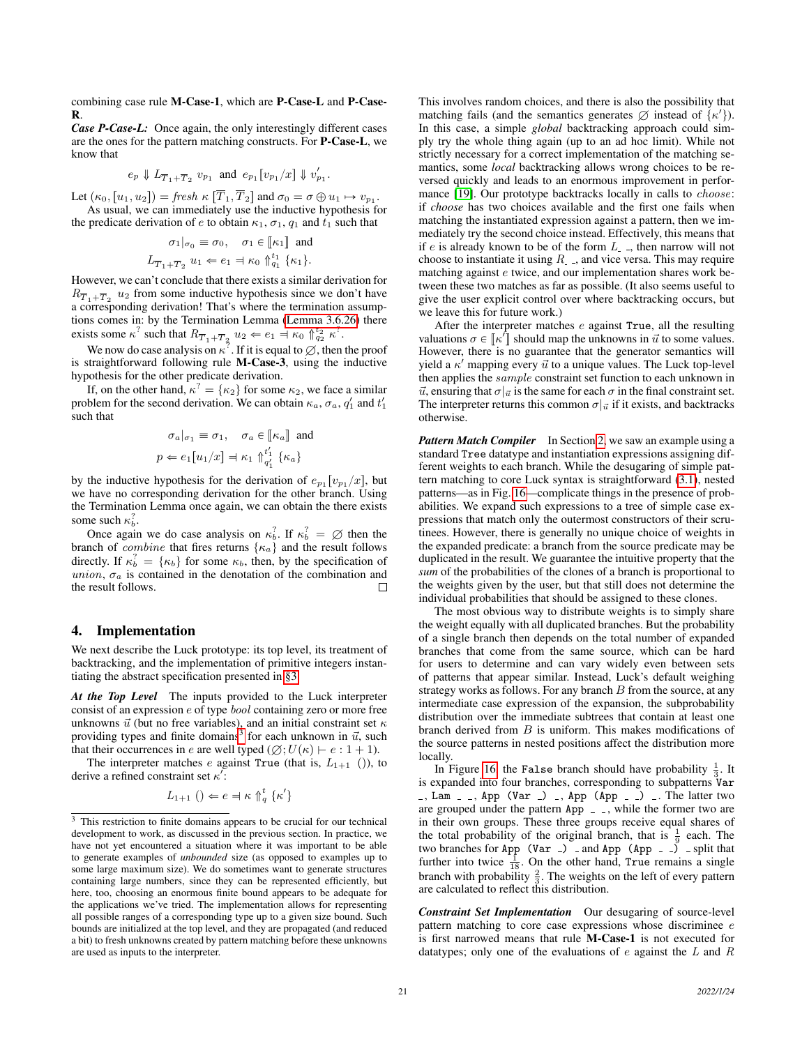combining case rule M-Case-1, which are P-Case-L and P-Case-R.

*Case P-Case-L:* Once again, the only interestingly different cases are the ones for the pattern matching constructs. For P-Case-L, we know that

$$
e_p\Downarrow L_{\overline{T}_1+\overline{T}_2}\ v_{p_1}\ \ \text{and}\ \ e_{p_1}[v_{p_1}/x]\Downarrow v'_{p_1}.
$$

Let  $(\kappa_0, [u_1, u_2]) = \text{fresh } \kappa [T_1, T_2]$  and  $\sigma_0 = \sigma \oplus u_1 \mapsto v_{p_1}$ . As usual, we can immediately use the inductive hypothesis for

the predicate derivation of e to obtain  $\kappa_1$ ,  $\sigma_1$ ,  $q_1$  and  $t_1$  such that

$$
\sigma_1|_{\sigma_0} \equiv \sigma_0, \quad \sigma_1 \in [\![\kappa_1]\!]\text{ and}
$$

$$
L_{\overline{T}_1 + \overline{T}_2} u_1 \Leftarrow e_1 \preceq \kappa_0 \Uparrow_{q_1}^{t_1} {\kappa_1}.
$$

However, we can't conclude that there exists a similar derivation for  $R_{\overline{T}_1 + \overline{T}_2}$  u<sub>2</sub> from some inductive hypothesis since we don't have a corresponding derivation! That's where the termination assumptions comes in: by the Termination Lemma [\(Lemma 3.6.26\)](#page-18-0) there exists some  $\kappa^?$  such that  $R_{\overline{T}_1+\overline{T}_2}$   $u_2 \Leftarrow e_1 \Rightarrow \kappa_0 \parallel_{q_2}^{t_2} \kappa^?$ .

We now do case analysis on  $\kappa^?$ . If it is equal to  $\emptyset$ , then the proof is straightforward following rule M-Case-3, using the inductive hypothesis for the other predicate derivation.

If, on the other hand,  $\kappa^2 = {\kappa_2}$  for some  $\kappa_2$ , we face a similar problem for the second derivation. We can obtain  $\kappa_a$ ,  $\sigma_a$ ,  $q'_1$  and  $t'_1$ such that

$$
\sigma_a|_{\sigma_1} \equiv \sigma_1, \quad \sigma_a \in [\![\kappa_a]\!]
$$
 and  

$$
p \Leftarrow e_1[u_1/x] \equiv \kappa_1 \Uparrow_{q'_1}^{t'_1} {\kappa_a}
$$

by the inductive hypothesis for the derivation of  $e_{p_1}[v_{p_1}/x]$ , but we have no corresponding derivation for the other branch. Using the Termination Lemma once again, we can obtain the there exists some such  $\kappa_b^?$ .

Once again we do case analysis on  $\kappa_b^?$ . If  $\kappa_b^? = \emptyset$  then the branch of *combine* that fires returns  $\{\kappa_a\}$  and the result follows directly. If  $\kappa_b^? = {\kappa_b}$  for some  $\kappa_b$ , then, by the specification of union,  $\sigma_a$  is contained in the denotation of the combination and the result follows. П

## <span id="page-20-0"></span>4. Implementation

We next describe the Luck prototype: its top level, its treatment of backtracking, and the implementation of primitive integers instantiating the abstract specification presented in [§3.](#page-3-0)

<span id="page-20-1"></span>*At the Top Level* The inputs provided to the Luck interpreter consist of an expression e of type bool containing zero or more free unknowns  $\vec{u}$  (but no free variables), and an initial constraint set  $\kappa$ providing types and finite domains<sup>[3](#page-20-2)</sup> for each unknown in  $\vec{u}$ , such that their occurrences in e are well typed ( $\emptyset$ ;  $U(\kappa) \vdash e : 1 + 1$ ).

The interpreter matches e against True (that is,  $L_{1+1}$  ()), to derive a refined constraint set  $\kappa'$ :

$$
L_{1+1} () \Leftarrow e \Rightarrow \kappa \uparrow_q^t {\kappa'}
$$

This involves random choices, and there is also the possibility that matching fails (and the semantics generates  $\varnothing$  instead of  $\{\kappa'\}$ ). In this case, a simple *global* backtracking approach could simply try the whole thing again (up to an ad hoc limit). While not strictly necessary for a correct implementation of the matching semantics, some *local* backtracking allows wrong choices to be reversed quickly and leads to an enormous improvement in performance [\[19\]](#page-26-21). Our prototype backtracks locally in calls to choose: if *choose* has two choices available and the first one fails when matching the instantiated expression against a pattern, then we immediately try the second choice instead. Effectively, this means that if  $e$  is already known to be of the form  $L_{-}$ , then narrow will not choose to instantiate it using  $R_{-}$ , and vice versa. This may require matching against e twice, and our implementation shares work between these two matches as far as possible. (It also seems useful to give the user explicit control over where backtracking occurs, but we leave this for future work.)

After the interpreter matches e against True, all the resulting valuations  $\sigma \in [\![\kappa'\!]$  should map the unknowns in  $\vec{u}$  to some values.<br>However, there is no quarantee that the generator semantics will However, there is no guarantee that the generator semantics will yield a  $\kappa'$  mapping every  $\vec{u}$  to a unique values. The Luck top-level then applies the sample constraint set function to each unknown in  $\vec{u}$ , ensuring that  $\sigma|\vec{u}$  is the same for each  $\sigma$  in the final constraint set. The interpreter returns this common  $\sigma|_{\vec{u}}$  if it exists, and backtracks otherwise.

*Pattern Match Compiler* In Section [2,](#page-1-1) we saw an example using a standard Tree datatype and instantiation expressions assigning different weights to each branch. While the desugaring of simple pattern matching to core Luck syntax is straightforward [\(3.1\)](#page-3-1), nested patterns—as in Fig. [16—](#page-21-1)complicate things in the presence of probabilities. We expand such expressions to a tree of simple case expressions that match only the outermost constructors of their scrutinees. However, there is generally no unique choice of weights in the expanded predicate: a branch from the source predicate may be duplicated in the result. We guarantee the intuitive property that the *sum* of the probabilities of the clones of a branch is proportional to the weights given by the user, but that still does not determine the individual probabilities that should be assigned to these clones.

The most obvious way to distribute weights is to simply share the weight equally with all duplicated branches. But the probability of a single branch then depends on the total number of expanded branches that come from the same source, which can be hard for users to determine and can vary widely even between sets of patterns that appear similar. Instead, Luck's default weighing strategy works as follows. For any branch  $B$  from the source, at any intermediate case expression of the expansion, the subprobability distribution over the immediate subtrees that contain at least one branch derived from  $B$  is uniform. This makes modifications of the source patterns in nested positions affect the distribution more locally.

In Figure [16,](#page-21-1) the False branch should have probability  $\frac{1}{3}$ . It is expanded into four branches, corresponding to subpatterns Var  $\Box$ , Lam  $\Box$ , App (Var  $\Box$ )  $\Box$ , App (App  $\Box$ )  $\Box$ . The latter two are grouped under the pattern App  $\overline{z}$ , while the former two are in their own groups. These three groups receive equal shares of the total probability of the original branch, that is  $\frac{1}{9}$  each. The two branches for App (Var  $\Box$ ) and App (App  $\Box$ ) split that further into twice  $\frac{1}{18}$ . On the other hand, True remains a single branch with probability  $\frac{2}{3}$ . The weights on the left of every pattern are calculated to reflect this distribution.

*Constraint Set Implementation* Our desugaring of source-level pattern matching to core case expressions whose discriminee e is first narrowed means that rule M-Case-1 is not executed for datatypes; only one of the evaluations of  $e$  against the  $L$  and  $R$ 

<span id="page-20-2"></span> $\frac{3}{3}$  This restriction to finite domains appears to be crucial for our technical development to work, as discussed in the previous section. In practice, we have not yet encountered a situation where it was important to be able to generate examples of *unbounded* size (as opposed to examples up to some large maximum size). We do sometimes want to generate structures containing large numbers, since they can be represented efficiently, but here, too, choosing an enormous finite bound appears to be adequate for the applications we've tried. The implementation allows for representing all possible ranges of a corresponding type up to a given size bound. Such bounds are initialized at the top level, and they are propagated (and reduced a bit) to fresh unknowns created by pattern matching before these unknowns are used as inputs to the interpreter.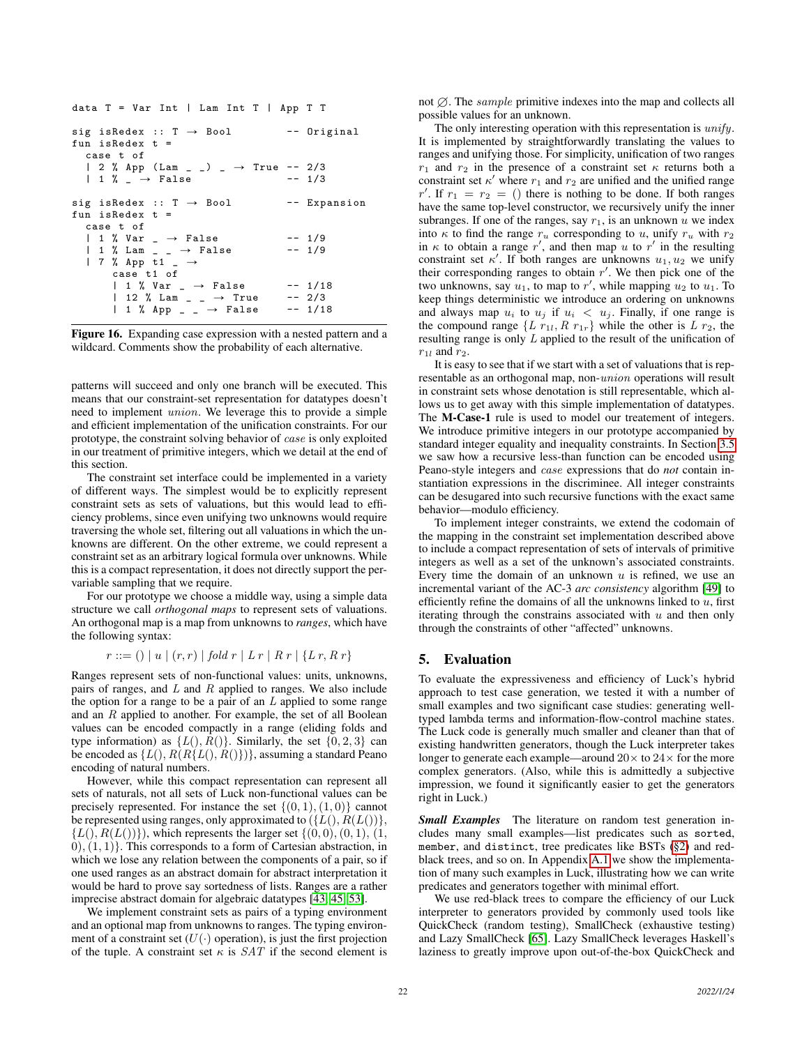```
data T = Var Int | Lam Int T | App T T
sig isRedex :: T \rightarrow Bool -- Original
fun isRedex t =case t of
  | 2 % App ( Lam _ _ ) _ Ñ True -- 2/3
  | 1 % \Box \rightarrow False
sig isRedex :: T \rightarrow Bool -- Expansion
fun isRedex t =case t of
  | 1 % Var \rightarrow False -- 1/9
  | 1 % Lam \Box \rightarrow False -- 1/9
  | 7 % App t1 \rightarrowcase t1 of
       \vert 1 % Var \vert \rightarrow False -- 1/18
       | 12 % Lam \angle \rightarrow True -- 2/3
       | 1 % App \angle \rightarrow False -- 1/18
```
<span id="page-21-1"></span>Figure 16. Expanding case expression with a nested pattern and a wildcard. Comments show the probability of each alternative.

patterns will succeed and only one branch will be executed. This means that our constraint-set representation for datatypes doesn't need to implement union. We leverage this to provide a simple and efficient implementation of the unification constraints. For our prototype, the constraint solving behavior of case is only exploited in our treatment of primitive integers, which we detail at the end of this section.

The constraint set interface could be implemented in a variety of different ways. The simplest would be to explicitly represent constraint sets as sets of valuations, but this would lead to efficiency problems, since even unifying two unknowns would require traversing the whole set, filtering out all valuations in which the unknowns are different. On the other extreme, we could represent a constraint set as an arbitrary logical formula over unknowns. While this is a compact representation, it does not directly support the pervariable sampling that we require.

For our prototype we choose a middle way, using a simple data structure we call *orthogonal maps* to represent sets of valuations. An orthogonal map is a map from unknowns to *ranges*, which have the following syntax:

$$
r ::= () | u | (r,r) | fold r | L r | R r | {L r, R r}
$$

Ranges represent sets of non-functional values: units, unknowns, pairs of ranges, and  $L$  and  $R$  applied to ranges. We also include the option for a range to be a pair of an  $L$  applied to some range and an  $R$  applied to another. For example, the set of all Boolean values can be encoded compactly in a range (eliding folds and type information) as  $\{L(), R()\}\$ . Similarly, the set  $\{0, 2, 3\}$  can be encoded as  $\{L(), R(R\{L(), R() \})\}$ , assuming a standard Peano encoding of natural numbers.

However, while this compact representation can represent all sets of naturals, not all sets of Luck non-functional values can be precisely represented. For instance the set  $\{(0, 1), (1, 0)\}$  cannot be represented using ranges, only approximated to  $({L}, R(L))$ ,  $\{L(1), R(L(1))\}\)$ , which represents the larger set  $\{(0, 0), (0, 1), (1, 1)\}$  $(0, (1, 1))$ . This corresponds to a form of Cartesian abstraction, in which we lose any relation between the components of a pair, so if one used ranges as an abstract domain for abstract interpretation it would be hard to prove say sortedness of lists. Ranges are a rather imprecise abstract domain for algebraic datatypes [\[43,](#page-26-22) [45,](#page-26-23) [53\]](#page-26-24).

We implement constraint sets as pairs of a typing environment and an optional map from unknowns to ranges. The typing environment of a constraint set  $(U(\cdot))$  operation), is just the first projection of the tuple. A constraint set  $\kappa$  is  $SAT$  if the second element is not  $\emptyset$ . The *sample* primitive indexes into the map and collects all possible values for an unknown.

The only interesting operation with this representation is *unify*. It is implemented by straightforwardly translating the values to ranges and unifying those. For simplicity, unification of two ranges  $r_1$  and  $r_2$  in the presence of a constraint set  $\kappa$  returns both a constraint set  $\kappa'$  where  $r_1$  and  $r_2$  are unified and the unified range r'. If  $r_1 = r_2 = ()$  there is nothing to be done. If both ranges have the same top-level constructor, we recursively unify the inner subranges. If one of the ranges, say  $r_1$ , is an unknown u we index into  $\kappa$  to find the range  $r_u$  corresponding to u, unify  $r_u$  with  $r_2$ in  $\kappa$  to obtain a range r', and then map u to r' in the resulting constraint set  $\kappa'$ . If both ranges are unknowns  $u_1, u_2$  we unify their corresponding ranges to obtain  $r'$ . We then pick one of the two unknowns, say  $u_1$ , to map to r', while mapping  $u_2$  to  $u_1$ . To keep things deterministic we introduce an ordering on unknowns and always map  $u_i$  to  $u_j$  if  $u_i < u_j$ . Finally, if one range is the compound range  $\{L \, r_{1l}, R \, r_{1r}\}$  while the other is  $L \, r_2$ , the resulting range is only L applied to the result of the unification of  $r_{11}$  and  $r_2$ .

It is easy to see that if we start with a set of valuations that is representable as an orthogonal map, non-*union* operations will result in constraint sets whose denotation is still representable, which allows us to get away with this simple implementation of datatypes. The M-Case-1 rule is used to model our treatement of integers. We introduce primitive integers in our prototype accompanied by standard integer equality and inequality constraints. In Section [3.5](#page-9-0) we saw how a recursive less-than function can be encoded using Peano-style integers and case expressions that do *not* contain instantiation expressions in the discriminee. All integer constraints can be desugared into such recursive functions with the exact same behavior—modulo efficiency.

To implement integer constraints, we extend the codomain of the mapping in the constraint set implementation described above to include a compact representation of sets of intervals of primitive integers as well as a set of the unknown's associated constraints. Every time the domain of an unknown  $u$  is refined, we use an incremental variant of the AC-3 *arc consistency* algorithm [\[49\]](#page-26-25) to efficiently refine the domains of all the unknowns linked to  $u$ , first iterating through the constrains associated with  $u$  and then only through the constraints of other "affected" unknowns.

#### <span id="page-21-0"></span>5. Evaluation

To evaluate the expressiveness and efficiency of Luck's hybrid approach to test case generation, we tested it with a number of small examples and two significant case studies: generating welltyped lambda terms and information-flow-control machine states. The Luck code is generally much smaller and cleaner than that of existing handwritten generators, though the Luck interpreter takes longer to generate each example—around  $20 \times$  to  $24 \times$  for the more complex generators. (Also, while this is admittedly a subjective impression, we found it significantly easier to get the generators right in Luck.)

*Small Examples* The literature on random test generation includes many small examples—list predicates such as sorted, member, and distinct, tree predicates like BSTs [\(§2\)](#page-1-1) and redblack trees, and so on. In Appendix [A.1](#page-25-12) we show the implementation of many such examples in Luck, illustrating how we can write predicates and generators together with minimal effort.

We use red-black trees to compare the efficiency of our Luck interpreter to generators provided by commonly used tools like QuickCheck (random testing), SmallCheck (exhaustive testing) and Lazy SmallCheck [\[65\]](#page-27-9). Lazy SmallCheck leverages Haskell's laziness to greatly improve upon out-of-the-box QuickCheck and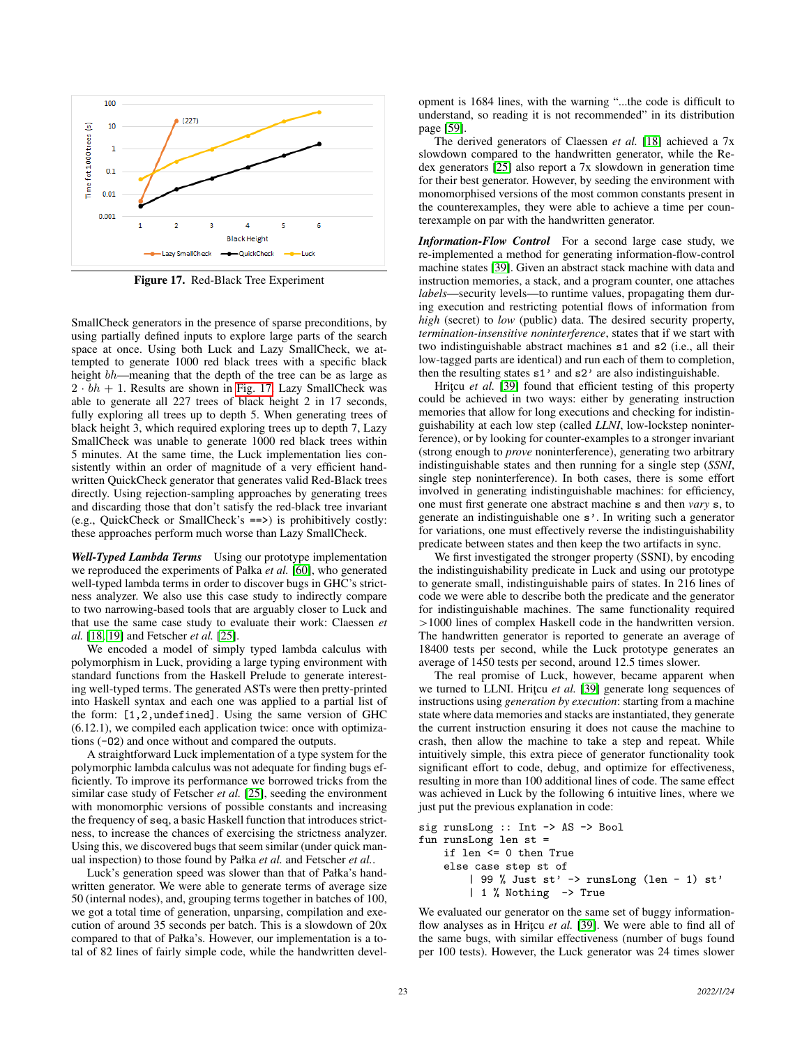

<span id="page-22-0"></span>Figure 17. Red-Black Tree Experiment

SmallCheck generators in the presence of sparse preconditions, by using partially defined inputs to explore large parts of the search space at once. Using both Luck and Lazy SmallCheck, we attempted to generate 1000 red black trees with a specific black height bh—meaning that the depth of the tree can be as large as  $2 \cdot bh + 1$ . Results are shown in [Fig. 17.](#page-22-0) Lazy SmallCheck was able to generate all 227 trees of black height 2 in 17 seconds, fully exploring all trees up to depth 5. When generating trees of black height 3, which required exploring trees up to depth 7, Lazy SmallCheck was unable to generate 1000 red black trees within 5 minutes. At the same time, the Luck implementation lies consistently within an order of magnitude of a very efficient handwritten QuickCheck generator that generates valid Red-Black trees directly. Using rejection-sampling approaches by generating trees and discarding those that don't satisfy the red-black tree invariant (e.g., QuickCheck or SmallCheck's ==>) is prohibitively costly: these approaches perform much worse than Lazy SmallCheck.

*Well-Typed Lambda Terms* Using our prototype implementation we reproduced the experiments of Pałka *et al.* [\[60\]](#page-27-1), who generated well-typed lambda terms in order to discover bugs in GHC's strictness analyzer. We also use this case study to indirectly compare to two narrowing-based tools that are arguably closer to Luck and that use the same case study to evaluate their work: Claessen *et al.* [\[18,](#page-25-5) [19\]](#page-26-21) and Fetscher *et al.* [\[25\]](#page-26-8).

We encoded a model of simply typed lambda calculus with polymorphism in Luck, providing a large typing environment with standard functions from the Haskell Prelude to generate interesting well-typed terms. The generated ASTs were then pretty-printed into Haskell syntax and each one was applied to a partial list of the form: [1,2,undefined]. Using the same version of GHC (6.12.1), we compiled each application twice: once with optimizations (-O2) and once without and compared the outputs.

A straightforward Luck implementation of a type system for the polymorphic lambda calculus was not adequate for finding bugs efficiently. To improve its performance we borrowed tricks from the similar case study of Fetscher *et al.* [\[25\]](#page-26-8), seeding the environment with monomorphic versions of possible constants and increasing the frequency of seq, a basic Haskell function that introduces strictness, to increase the chances of exercising the strictness analyzer. Using this, we discovered bugs that seem similar (under quick manual inspection) to those found by Pałka *et al.* and Fetscher *et al.*.

Luck's generation speed was slower than that of Pałka's handwritten generator. We were able to generate terms of average size 50 (internal nodes), and, grouping terms together in batches of 100, we got a total time of generation, unparsing, compilation and execution of around 35 seconds per batch. This is a slowdown of 20x compared to that of Pałka's. However, our implementation is a total of 82 lines of fairly simple code, while the handwritten development is 1684 lines, with the warning "...the code is difficult to understand, so reading it is not recommended" in its distribution page [\[59\]](#page-26-26).

The derived generators of Claessen *et al.* [\[18\]](#page-25-5) achieved a 7x slowdown compared to the handwritten generator, while the Redex generators [\[25\]](#page-26-8) also report a 7x slowdown in generation time for their best generator. However, by seeding the environment with monomorphised versions of the most common constants present in the counterexamples, they were able to achieve a time per counterexample on par with the handwritten generator.

*Information-Flow Control* For a second large case study, we re-implemented a method for generating information-flow-control machine states [\[39\]](#page-26-7). Given an abstract stack machine with data and instruction memories, a stack, and a program counter, one attaches *labels*—security levels—to runtime values, propagating them during execution and restricting potential flows of information from *high* (secret) to *low* (public) data. The desired security property, *termination-insensitive noninterference*, states that if we start with two indistinguishable abstract machines s1 and s2 (i.e., all their low-tagged parts are identical) and run each of them to completion, then the resulting states s1' and s2' are also indistinguishable.

Hrit<sub>cu</sub> et al. [\[39\]](#page-26-7) found that efficient testing of this property could be achieved in two ways: either by generating instruction memories that allow for long executions and checking for indistinguishability at each low step (called *LLNI*, low-lockstep noninterference), or by looking for counter-examples to a stronger invariant (strong enough to *prove* noninterference), generating two arbitrary indistinguishable states and then running for a single step (*SSNI*, single step noninterference). In both cases, there is some effort involved in generating indistinguishable machines: for efficiency, one must first generate one abstract machine s and then *vary* s, to generate an indistinguishable one s'. In writing such a generator for variations, one must effectively reverse the indistinguishability predicate between states and then keep the two artifacts in sync.

We first investigated the stronger property (SSNI), by encoding the indistinguishability predicate in Luck and using our prototype to generate small, indistinguishable pairs of states. In 216 lines of code we were able to describe both the predicate and the generator for indistinguishable machines. The same functionality required  $>1000$  lines of complex Haskell code in the handwritten version. The handwritten generator is reported to generate an average of 18400 tests per second, while the Luck prototype generates an average of 1450 tests per second, around 12.5 times slower.

The real promise of Luck, however, became apparent when we turned to LLNI. Hrit<sub>cu</sub> et al. [\[39\]](#page-26-7) generate long sequences of instructions using *generation by execution*: starting from a machine state where data memories and stacks are instantiated, they generate the current instruction ensuring it does not cause the machine to crash, then allow the machine to take a step and repeat. While intuitively simple, this extra piece of generator functionality took significant effort to code, debug, and optimize for effectiveness, resulting in more than 100 additional lines of code. The same effect was achieved in Luck by the following 6 intuitive lines, where we just put the previous explanation in code:

```
sig runsLong :: Int -> AS -> Bool
fun runsLong len st =
    if len <= 0 then True
    else case step st of
        | 99 % Just st' -> runsLong (len - 1) st'
        | 1 % Nothing -> True
```
We evaluated our generator on the same set of buggy information-flow analyses as in Hrit<sub>cu</sub> et al. [\[39\]](#page-26-7). We were able to find all of the same bugs, with similar effectiveness (number of bugs found per 100 tests). However, the Luck generator was 24 times slower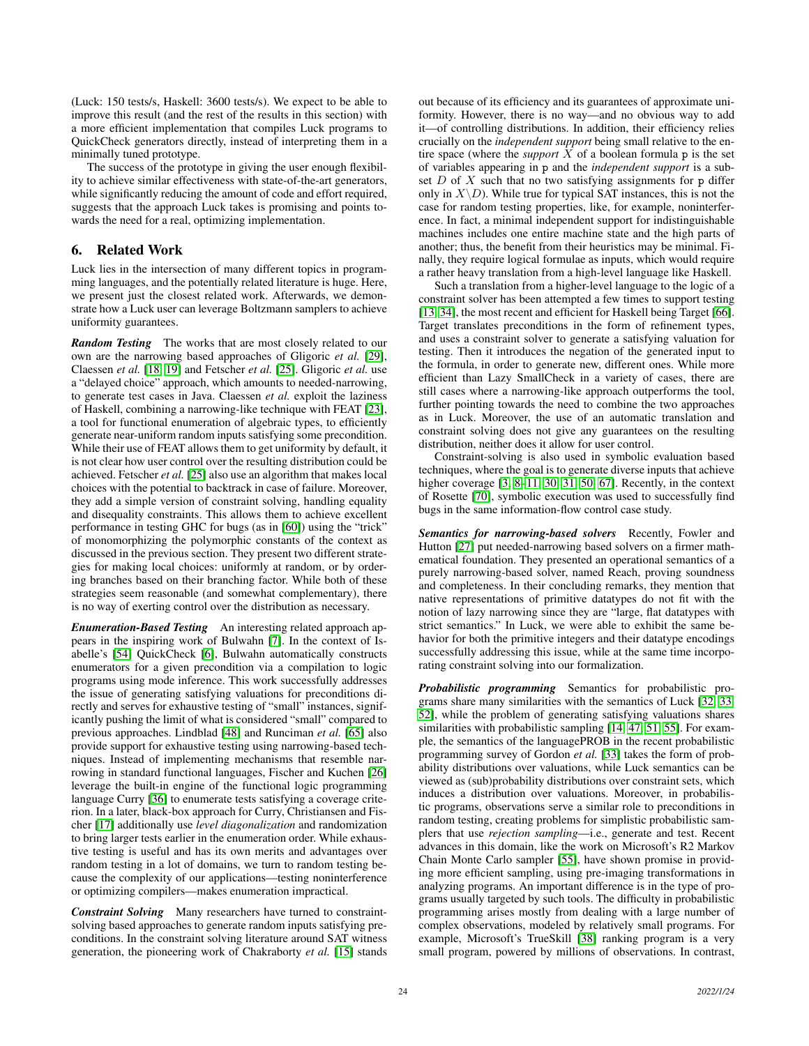(Luck: 150 tests/s, Haskell: 3600 tests/s). We expect to be able to improve this result (and the rest of the results in this section) with a more efficient implementation that compiles Luck programs to QuickCheck generators directly, instead of interpreting them in a minimally tuned prototype.

The success of the prototype in giving the user enough flexibility to achieve similar effectiveness with state-of-the-art generators, while significantly reducing the amount of code and effort required, suggests that the approach Luck takes is promising and points towards the need for a real, optimizing implementation.

## <span id="page-23-0"></span>6. Related Work

Luck lies in the intersection of many different topics in programming languages, and the potentially related literature is huge. Here, we present just the closest related work. Afterwards, we demonstrate how a Luck user can leverage Boltzmann samplers to achieve uniformity guarantees.

*Random Testing* The works that are most closely related to our own are the narrowing based approaches of Gligoric *et al.* [\[29\]](#page-26-12), Claessen *et al.* [\[18,](#page-25-5) [19\]](#page-26-21) and Fetscher *et al.* [\[25\]](#page-26-8). Gligoric *et al.* use a "delayed choice" approach, which amounts to needed-narrowing, to generate test cases in Java. Claessen *et al.* exploit the laziness of Haskell, combining a narrowing-like technique with FEAT [\[23\]](#page-26-27), a tool for functional enumeration of algebraic types, to efficiently generate near-uniform random inputs satisfying some precondition. While their use of FEAT allows them to get uniformity by default, it is not clear how user control over the resulting distribution could be achieved. Fetscher *et al.* [\[25\]](#page-26-8) also use an algorithm that makes local choices with the potential to backtrack in case of failure. Moreover, they add a simple version of constraint solving, handling equality and disequality constraints. This allows them to achieve excellent performance in testing GHC for bugs (as in [\[60\]](#page-27-1)) using the "trick" of monomorphizing the polymorphic constants of the context as discussed in the previous section. They present two different strategies for making local choices: uniformly at random, or by ordering branches based on their branching factor. While both of these strategies seem reasonable (and somewhat complementary), there is no way of exerting control over the distribution as necessary.

*Enumeration-Based Testing* An interesting related approach appears in the inspiring work of Bulwahn [\[7\]](#page-25-13). In the context of Isabelle's [\[54\]](#page-26-28) QuickCheck [\[6\]](#page-25-1), Bulwahn automatically constructs enumerators for a given precondition via a compilation to logic programs using mode inference. This work successfully addresses the issue of generating satisfying valuations for preconditions directly and serves for exhaustive testing of "small" instances, significantly pushing the limit of what is considered "small" compared to previous approaches. Lindblad [\[48\]](#page-26-2) and Runciman *et al.* [\[65\]](#page-27-9) also provide support for exhaustive testing using narrowing-based techniques. Instead of implementing mechanisms that resemble narrowing in standard functional languages, Fischer and Kuchen [\[26\]](#page-26-11) leverage the built-in engine of the functional logic programming language Curry [\[36\]](#page-26-29) to enumerate tests satisfying a coverage criterion. In a later, black-box approach for Curry, Christiansen and Fischer [\[17\]](#page-25-4) additionally use *level diagonalization* and randomization to bring larger tests earlier in the enumeration order. While exhaustive testing is useful and has its own merits and advantages over random testing in a lot of domains, we turn to random testing because the complexity of our applications—testing noninterference or optimizing compilers—makes enumeration impractical.

*Constraint Solving* Many researchers have turned to constraintsolving based approaches to generate random inputs satisfying preconditions. In the constraint solving literature around SAT witness generation, the pioneering work of Chakraborty *et al.* [\[15\]](#page-25-9) stands out because of its efficiency and its guarantees of approximate uniformity. However, there is no way—and no obvious way to add it—of controlling distributions. In addition, their efficiency relies crucially on the *independent support* being small relative to the entire space (where the *support*  $X$  of a boolean formula  $p$  is the set of variables appearing in p and the *independent support* is a subset  $D$  of  $X$  such that no two satisfying assignments for p differ only in  $X\backslash D$ ). While true for typical SAT instances, this is not the case for random testing properties, like, for example, noninterference. In fact, a minimal independent support for indistinguishable machines includes one entire machine state and the high parts of another; thus, the benefit from their heuristics may be minimal. Finally, they require logical formulae as inputs, which would require a rather heavy translation from a high-level language like Haskell.

Such a translation from a higher-level language to the logic of a constraint solver has been attempted a few times to support testing [\[13,](#page-25-6) [34\]](#page-26-13), the most recent and efficient for Haskell being Target [\[66\]](#page-27-6). Target translates preconditions in the form of refinement types, and uses a constraint solver to generate a satisfying valuation for testing. Then it introduces the negation of the generated input to the formula, in order to generate new, different ones. While more efficient than Lazy SmallCheck in a variety of cases, there are still cases where a narrowing-like approach outperforms the tool, further pointing towards the need to combine the two approaches as in Luck. Moreover, the use of an automatic translation and constraint solving does not give any guarantees on the resulting distribution, neither does it allow for user control.

Constraint-solving is also used in symbolic evaluation based techniques, where the goal is to generate diverse inputs that achieve higher coverage [\[3,](#page-25-7) [8–](#page-25-14)[11,](#page-25-15) [30,](#page-26-15) [31,](#page-26-30) [50,](#page-26-31) [67\]](#page-27-7). Recently, in the context of Rosette [\[70\]](#page-27-8), symbolic execution was used to successfully find bugs in the same information-flow control case study.

*Semantics for narrowing-based solvers* Recently, Fowler and Hutton [\[27\]](#page-26-32) put needed-narrowing based solvers on a firmer mathematical foundation. They presented an operational semantics of a purely narrowing-based solver, named Reach, proving soundness and completeness. In their concluding remarks, they mention that native representations of primitive datatypes do not fit with the notion of lazy narrowing since they are "large, flat datatypes with strict semantics." In Luck, we were able to exhibit the same behavior for both the primitive integers and their datatype encodings successfully addressing this issue, while at the same time incorporating constraint solving into our formalization.

*Probabilistic programming* Semantics for probabilistic programs share many similarities with the semantics of Luck [\[32,](#page-26-33) [33,](#page-26-34) [52\]](#page-26-35), while the problem of generating satisfying valuations shares similarities with probabilistic sampling [\[14,](#page-25-16) [47,](#page-26-36) [51,](#page-26-37) [55\]](#page-26-38). For example, the semantics of the languagePROB in the recent probabilistic programming survey of Gordon *et al.* [\[33\]](#page-26-34) takes the form of probability distributions over valuations, while Luck semantics can be viewed as (sub)probability distributions over constraint sets, which induces a distribution over valuations. Moreover, in probabilistic programs, observations serve a similar role to preconditions in random testing, creating problems for simplistic probabilistic samplers that use *rejection sampling*—i.e., generate and test. Recent advances in this domain, like the work on Microsoft's R2 Markov Chain Monte Carlo sampler [\[55\]](#page-26-38), have shown promise in providing more efficient sampling, using pre-imaging transformations in analyzing programs. An important difference is in the type of programs usually targeted by such tools. The difficulty in probabilistic programming arises mostly from dealing with a large number of complex observations, modeled by relatively small programs. For example, Microsoft's TrueSkill [\[38\]](#page-26-39) ranking program is a very small program, powered by millions of observations. In contrast,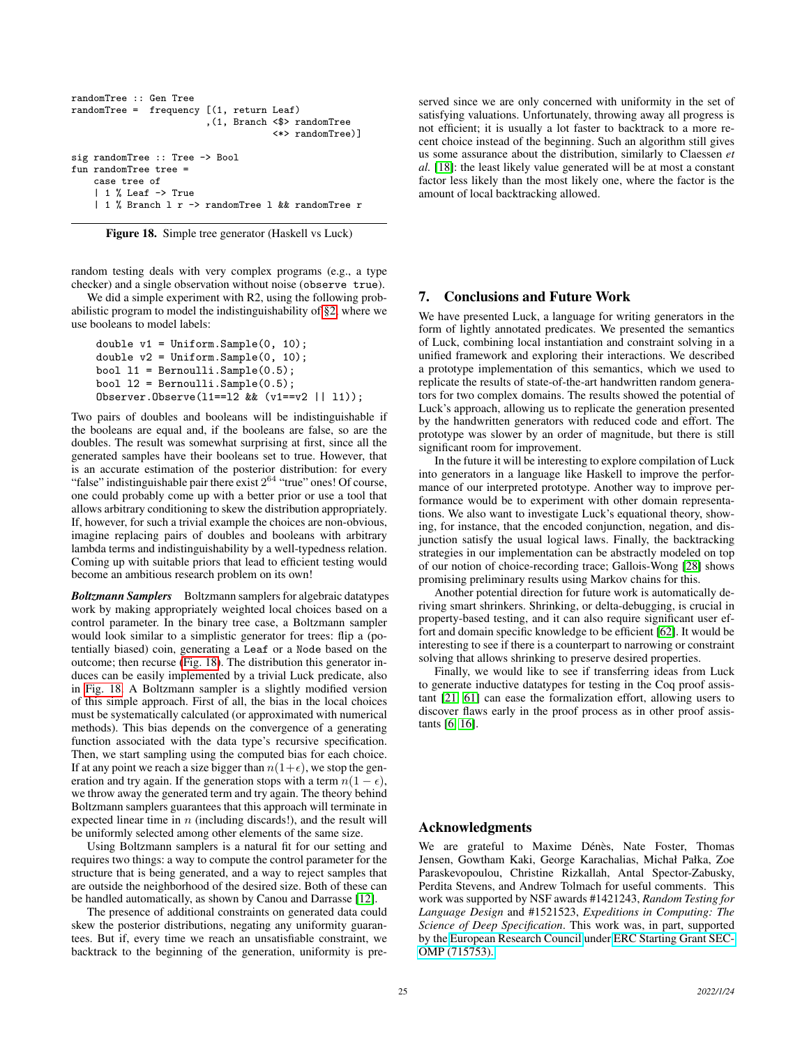```
randomTree :: Gen Tree
randomTree = frequency [(1, return Leaf)
                        ,(1, Branch <$> randomTree
                                    <*> randomTree)]
sig randomTree :: Tree -> Bool
fun randomTree tree =
    case tree of
    | 1 % Leaf -> True
    | 1 % Branch l r -> randomTree l && randomTree r
```
<span id="page-24-1"></span>Figure 18. Simple tree generator (Haskell vs Luck)

random testing deals with very complex programs (e.g., a type checker) and a single observation without noise (observe true).

We did a simple experiment with R2, using the following probabilistic program to model the indistinguishability of [§2,](#page-1-1) where we use booleans to model labels:

```
double v1 = Uniform.Sample(0, 10);double v2 = Uniform.Sample(0, 10);bool 11 = Bernoulli.Sample(0.5);bool 12 = \text{Bernoulli.Sample}(0.5);
Observer.Observe(11 == 12 \& (v1 == v2 || 1));
```
Two pairs of doubles and booleans will be indistinguishable if the booleans are equal and, if the booleans are false, so are the doubles. The result was somewhat surprising at first, since all the generated samples have their booleans set to true. However, that is an accurate estimation of the posterior distribution: for every "false" indistinguishable pair there exist  $2^{64}$  "true" ones! Of course, one could probably come up with a better prior or use a tool that allows arbitrary conditioning to skew the distribution appropriately. If, however, for such a trivial example the choices are non-obvious, imagine replacing pairs of doubles and booleans with arbitrary lambda terms and indistinguishability by a well-typedness relation. Coming up with suitable priors that lead to efficient testing would become an ambitious research problem on its own!

*Boltzmann Samplers* Boltzmann samplers for algebraic datatypes work by making appropriately weighted local choices based on a control parameter. In the binary tree case, a Boltzmann sampler would look similar to a simplistic generator for trees: flip a (potentially biased) coin, generating a Leaf or a Node based on the outcome; then recurse [\(Fig. 18\)](#page-24-1). The distribution this generator induces can be easily implemented by a trivial Luck predicate, also in [Fig. 18.](#page-24-1) A Boltzmann sampler is a slightly modified version of this simple approach. First of all, the bias in the local choices must be systematically calculated (or approximated with numerical methods). This bias depends on the convergence of a generating function associated with the data type's recursive specification. Then, we start sampling using the computed bias for each choice. If at any point we reach a size bigger than  $n(1+\epsilon)$ , we stop the generation and try again. If the generation stops with a term  $n(1 - \epsilon)$ , we throw away the generated term and try again. The theory behind Boltzmann samplers guarantees that this approach will terminate in expected linear time in  $n$  (including discards!), and the result will be uniformly selected among other elements of the same size.

Using Boltzmann samplers is a natural fit for our setting and requires two things: a way to compute the control parameter for the structure that is being generated, and a way to reject samples that are outside the neighborhood of the desired size. Both of these can be handled automatically, as shown by Canou and Darrasse [\[12\]](#page-25-17).

The presence of additional constraints on generated data could skew the posterior distributions, negating any uniformity guarantees. But if, every time we reach an unsatisfiable constraint, we backtrack to the beginning of the generation, uniformity is pre-

served since we are only concerned with uniformity in the set of satisfying valuations. Unfortunately, throwing away all progress is not efficient; it is usually a lot faster to backtrack to a more recent choice instead of the beginning. Such an algorithm still gives us some assurance about the distribution, similarly to Claessen *et al.* [\[18\]](#page-25-5): the least likely value generated will be at most a constant factor less likely than the most likely one, where the factor is the amount of local backtracking allowed.

## <span id="page-24-0"></span>7. Conclusions and Future Work

We have presented Luck, a language for writing generators in the form of lightly annotated predicates. We presented the semantics of Luck, combining local instantiation and constraint solving in a unified framework and exploring their interactions. We described a prototype implementation of this semantics, which we used to replicate the results of state-of-the-art handwritten random generators for two complex domains. The results showed the potential of Luck's approach, allowing us to replicate the generation presented by the handwritten generators with reduced code and effort. The prototype was slower by an order of magnitude, but there is still significant room for improvement.

In the future it will be interesting to explore compilation of Luck into generators in a language like Haskell to improve the performance of our interpreted prototype. Another way to improve performance would be to experiment with other domain representations. We also want to investigate Luck's equational theory, showing, for instance, that the encoded conjunction, negation, and disjunction satisfy the usual logical laws. Finally, the backtracking strategies in our implementation can be abstractly modeled on top of our notion of choice-recording trace; Gallois-Wong [\[28\]](#page-26-20) shows promising preliminary results using Markov chains for this.

Another potential direction for future work is automatically deriving smart shrinkers. Shrinking, or delta-debugging, is crucial in property-based testing, and it can also require significant user effort and domain specific knowledge to be efficient [\[62\]](#page-27-10). It would be interesting to see if there is a counterpart to narrowing or constraint solving that allows shrinking to preserve desired properties.

Finally, we would like to see if transferring ideas from Luck to generate inductive datatypes for testing in the Coq proof assistant [\[21,](#page-26-40) [61\]](#page-27-0) can ease the formalization effort, allowing users to discover flaws early in the proof process as in other proof assistants [\[6,](#page-25-1) [16\]](#page-25-2).

#### Acknowledgments

We are grateful to Maxime Dénès, Nate Foster, Thomas Jensen, Gowtham Kaki, George Karachalias, Michał Pałka, Zoe Paraskevopoulou, Christine Rizkallah, Antal Spector-Zabusky, Perdita Stevens, and Andrew Tolmach for useful comments. This work was supported by NSF awards #1421243, *Random Testing for Language Design* and #1521523, *Expeditions in Computing: The Science of Deep Specification*. This work was, in part, supported by the [European Research Council](https://erc.europa.eu/) under [ERC Starting Grant SEC-](https://secure-compilation.github.io/)[OMP \(715753\).](https://secure-compilation.github.io/)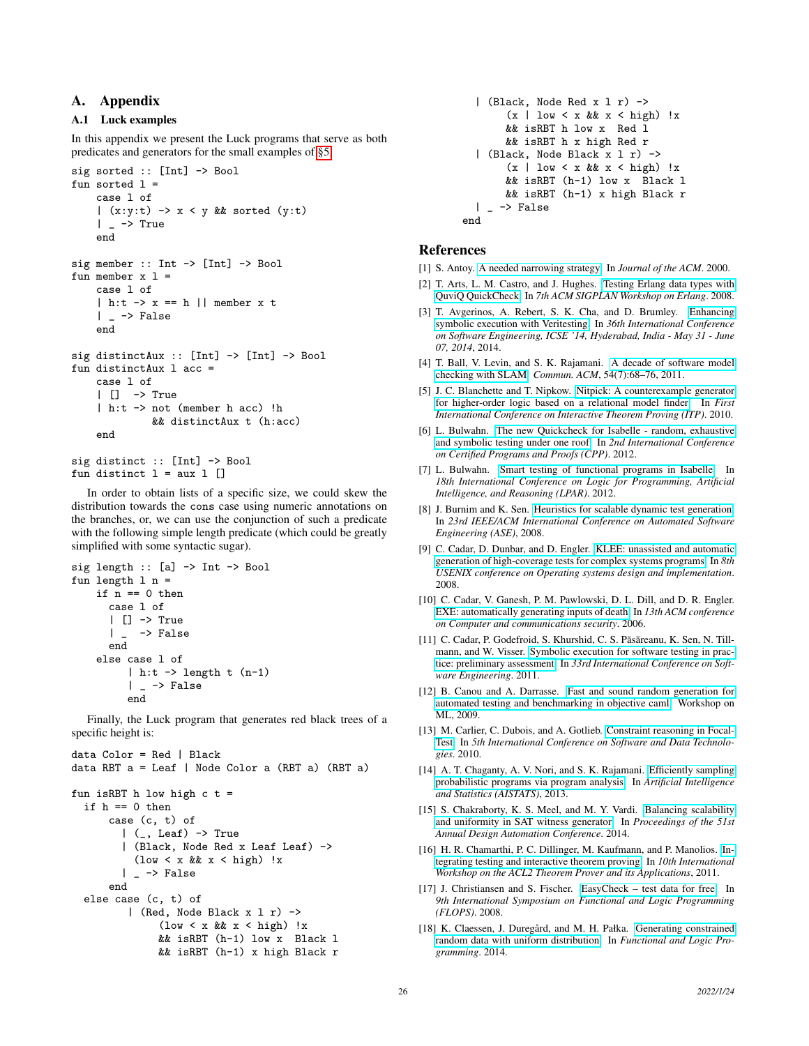## A. Appendix

#### <span id="page-25-12"></span>A.1 Luck examples

In this appendix we present the Luck programs that serve as both predicates and generators for the small examples of [§5.](#page-21-0)

```
sig sorted :: [Int] -> Bool
fun sorted l =case l of
    | (x:y:t) -> x < y && sorted (y:t)
    | _ -> True
    end
sig member :: Int -> [Int] -> Bool
fun member x 1 =case l of
    |h:t \rightarrow x == h|| member x t
    | - -> False
    end
sig distinctAux :: [Int] -> [Int] -> Bool
fun distinctAux l acc =
    case l of
    | [] -> True
    | h:t -> not (member h acc) !h
             && distinctAux t (h:acc)
    end
sig distinct :: [Int] -> Bool
fun distinct l = aux l []
```
In order to obtain lists of a specific size, we could skew the distribution towards the cons case using numeric annotations on the branches, or, we can use the conjunction of such a predicate with the following simple length predicate (which could be greatly simplified with some syntactic sugar).

```
sig length :: [a] -> Int -> Bool
fun length l n =
    if n == 0 then
      case l of
      | [] -> True
      | - -> False
      end
    else case l of
         | h:t \rightarrow length t (n-1)| - -> False
         end
```
Finally, the Luck program that generates red black trees of a specific height is:

```
data Color = Red | Black
data RBT a = Leaf | Node Color a (RBT a) (RBT a)
fun isRBT h low high c t =
  if h == 0 then
      case (c, t) of
        | (\Box, Leaf) \rightarrow True
        | (Black, Node Red x Leaf Leaf) ->
          (low < x & x < high) !x
        | \sim \sim False
      end
  else case (c, t) of
         | (Red, Node Black x 1 r) ->
               (low < x && x < high) !x
              && isRBT (h-1) low x Black l
              && isRBT (h-1) x high Black r
```

```
| (Black, Node Red x l r) ->
        (x \mid \text{low} < x \& x \times \text{high}) !x
        && isRBT h low x Red l
        && isRBT h x high Red r
  | (Black, Node Black x l r) ->
        (x \mid \text{low} < x \& x \times \text{high}) !x
        && isRBT (h-1) low x Black l
        && isRBT (h-1) x high Black r
  | - \rangle False
end
```
## References

- <span id="page-25-3"></span>[1] S. Antoy. [A needed narrowing strategy.](https://www.informatik.uni-kiel.de/~mh/papers/JACM00.pdf) In *Journal of the ACM*. 2000.
- <span id="page-25-0"></span>[2] T. Arts, L. M. Castro, and J. Hughes. [Testing Erlang data types with](http://doi.acm.org/10.1145/1411273.1411275) [QuviQ QuickCheck.](http://doi.acm.org/10.1145/1411273.1411275) In *7th ACM SIGPLAN Workshop on Erlang*. 2008.
- <span id="page-25-7"></span>[3] T. Avgerinos, A. Rebert, S. K. Cha, and D. Brumley. [Enhancing](http://doi.acm.org/10.1145/2568225.2568293) [symbolic execution with Veritesting.](http://doi.acm.org/10.1145/2568225.2568293) In *36th International Conference on Software Engineering, ICSE '14, Hyderabad, India - May 31 - June 07, 2014*, 2014.
- <span id="page-25-10"></span>[4] T. Ball, V. Levin, and S. K. Rajamani. [A decade of software model](http://www.utd.edu/~kxh060100/cs6301fa14/p68-ball.pdf) [checking with SLAM.](http://www.utd.edu/~kxh060100/cs6301fa14/p68-ball.pdf) *Commun. ACM*, 54(7):68–76, 2011.
- <span id="page-25-11"></span>[5] J. C. Blanchette and T. Nipkow. [Nitpick: A counterexample generator](http://link.springer.com/chapter/10.1007%2F978-3-642-14052-5_11) [for higher-order logic based on a relational model finder.](http://link.springer.com/chapter/10.1007%2F978-3-642-14052-5_11) In *First International Conference on Interactive Theorem Proving (ITP)*. 2010.
- <span id="page-25-1"></span>[6] L. Bulwahn. [The new Quickcheck for Isabelle - random, exhaustive](https://www.irisa.fr/celtique/genet/ACF/BiblioIsabelle/quickcheckNew.pdf) [and symbolic testing under one roof.](https://www.irisa.fr/celtique/genet/ACF/BiblioIsabelle/quickcheckNew.pdf) In *2nd International Conference on Certified Programs and Proofs (CPP)*. 2012.
- <span id="page-25-13"></span>[7] L. Bulwahn. [Smart testing of functional programs in Isabelle.](http://citeseerx.ist.psu.edu/viewdoc/download?doi=10.1.1.229.1307&rep=rep1&type=pdf) In *18th International Conference on Logic for Programming, Artificial Intelligence, and Reasoning (LPAR)*. 2012.
- <span id="page-25-14"></span>[8] J. Burnim and K. Sen. [Heuristics for scalable dynamic test generation.](http://jburnim.github.com/pubs/BurnimSen-ASE08.pdf) In *23rd IEEE/ACM International Conference on Automated Software Engineering (ASE)*, 2008.
- <span id="page-25-8"></span>[9] C. Cadar, D. Dunbar, and D. Engler. [KLEE: unassisted and automatic](http://dl.acm.org/citation.cfm?id=1855741.1855756) [generation of high-coverage tests for complex systems programs.](http://dl.acm.org/citation.cfm?id=1855741.1855756) In *8th USENIX conference on Operating systems design and implementation*. 2008.
- [10] C. Cadar, V. Ganesh, P. M. Pawlowski, D. L. Dill, and D. R. Engler. [EXE: automatically generating inputs of death.](http://www.stanford.edu/~engler/exe-ccs-06.pdf) In *13th ACM conference on Computer and communications security*. 2006.
- <span id="page-25-15"></span>[11] C. Cadar, P. Godefroid, S. Khurshid, C. S. Păsăreanu, K. Sen, N. Tillmann, and W. Visser. [Symbolic execution for software testing in prac](http://research.microsoft.com/en-us/um/people/pg/public_psfiles/icse2011.pdf)[tice: preliminary assessment.](http://research.microsoft.com/en-us/um/people/pg/public_psfiles/icse2011.pdf) In *33rd International Conference on Software Engineering*. 2011.
- <span id="page-25-17"></span>[12] B. Canou and A. Darrasse. [Fast and sound random generation for](http://web.mit.edu/~ezyang/Public/p61-canou.pdf) [automated testing and benchmarking in objective caml.](http://web.mit.edu/~ezyang/Public/p61-canou.pdf) Workshop on ML, 2009.
- <span id="page-25-6"></span>[13] M. Carlier, C. Dubois, and A. Gotlieb. [Constraint reasoning in Focal-](http://hal.inria.fr/CNRS/hal-00699233)[Test.](http://hal.inria.fr/CNRS/hal-00699233) In *5th International Conference on Software and Data Technologies*. 2010.
- <span id="page-25-16"></span>[14] A. T. Chaganty, A. V. Nori, and S. K. Rajamani. [Efficiently sampling](http://research.microsoft.com/apps/pubs/default.aspx?id=183833) [probabilistic programs via program analysis.](http://research.microsoft.com/apps/pubs/default.aspx?id=183833) In *Artificial Intelligence and Statistics (AISTATS)*, 2013.
- <span id="page-25-9"></span>[15] S. Chakraborty, K. S. Meel, and M. Y. Vardi. [Balancing scalability](http://doi.acm.org/10.1145/2593069.2593097) [and uniformity in SAT witness generator.](http://doi.acm.org/10.1145/2593069.2593097) In *Proceedings of the 51st Annual Design Automation Conference*. 2014.
- <span id="page-25-2"></span>[16] H. R. Chamarthi, P. C. Dillinger, M. Kaufmann, and P. Manolios. [In](http://arxiv.org/abs/1105.4394)[tegrating testing and interactive theorem proving.](http://arxiv.org/abs/1105.4394) In *10th International Workshop on the ACL2 Theorem Prover and its Applications*, 2011.
- <span id="page-25-4"></span>[17] J. Christiansen and S. Fischer. [EasyCheck – test data for free.](http://www-ps.informatik.uni-kiel.de/~sebf/data/pub/flops08.pdf) In *9th International Symposium on Functional and Logic Programming (FLOPS)*. 2008.
- <span id="page-25-5"></span>[18] K. Claessen, J. Duregård, and M. H. Pałka. [Generating constrained](http://publications.lib.chalmers.se/records/fulltext/195847/local_195847.pdf) [random data with uniform distribution.](http://publications.lib.chalmers.se/records/fulltext/195847/local_195847.pdf) In *Functional and Logic Programming*. 2014.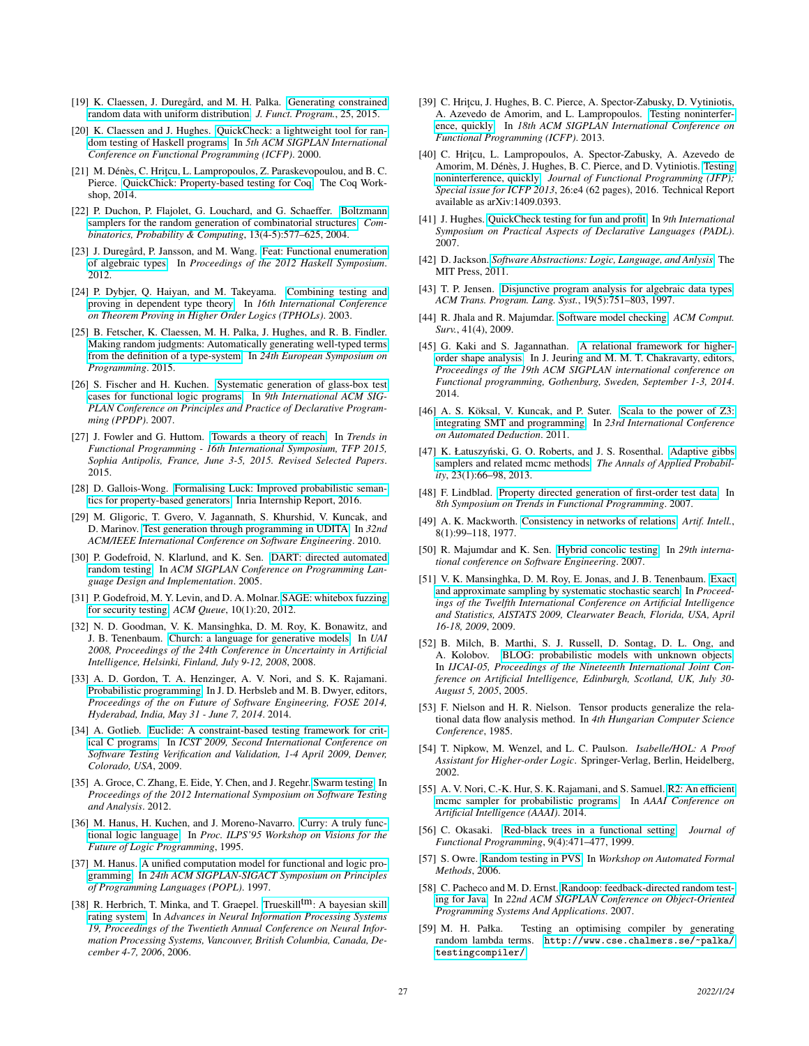- <span id="page-26-21"></span>[19] K. Claessen, J. Duregård, and M. H. Palka. [Generating constrained](http://dx.doi.org/10.1017/S0956796815000143) [random data with uniform distribution.](http://dx.doi.org/10.1017/S0956796815000143) *J. Funct. Program.*, 25, 2015.
- <span id="page-26-0"></span>[20] K. Claessen and J. Hughes. [QuickCheck: a lightweight tool for ran](http://www.eecs.northwestern.edu/~robby/courses/395-495-2009-fall/quick.pdf)[dom testing of Haskell programs.](http://www.eecs.northwestern.edu/~robby/courses/395-495-2009-fall/quick.pdf) In *5th ACM SIGPLAN International Conference on Functional Programming (ICFP)*. 2000.
- <span id="page-26-40"></span>[21] M. Dénès, C. Hritçu, L. Lampropoulos, Z. Paraskevopoulou, and B. C. Pierce. [QuickChick: Property-based testing for Coq.](http://prosecco.gforge.inria.fr/personal/hritcu/talks/coq6_submission_4.pdf) The Coq Workshop, 2014.
- <span id="page-26-19"></span>[22] P. Duchon, P. Flajolet, G. Louchard, and G. Schaeffer. [Boltzmann](http://dx.doi.org/10.1017/S0963548304006315) [samplers for the random generation of combinatorial structures.](http://dx.doi.org/10.1017/S0963548304006315) *Combinatorics, Probability & Computing*, 13(4-5):577–625, 2004.
- <span id="page-26-27"></span>[23] J. Duregård, P. Jansson, and M. Wang. [Feat: Functional enumeration](http://doi.acm.org/10.1145/2364506.2364515) [of algebraic types.](http://doi.acm.org/10.1145/2364506.2364515) In *Proceedings of the 2012 Haskell Symposium*. 2012.
- <span id="page-26-4"></span>[24] P. Dybjer, Q. Haiyan, and M. Takeyama. [Combining testing and](http://www.cse.chalmers.se/~peterd/papers/Testing_Proving.pdf) [proving in dependent type theory.](http://www.cse.chalmers.se/~peterd/papers/Testing_Proving.pdf) In *16th International Conference on Theorem Proving in Higher Order Logics (TPHOLs)*. 2003.
- <span id="page-26-8"></span>[25] B. Fetscher, K. Claessen, M. H. Palka, J. Hughes, and R. B. Findler. [Making random judgments: Automatically generating well-typed terms](http://users.eecs.northwestern.edu/~baf111/random-judgments/) [from the definition of a type-system.](http://users.eecs.northwestern.edu/~baf111/random-judgments/) In *24th European Symposium on Programming*. 2015.
- <span id="page-26-11"></span>[26] S. Fischer and H. Kuchen. [Systematic generation of glass-box test](http://www-ps.informatik.uni-kiel.de/~sebf/pub/ppdp07.html) [cases for functional logic programs.](http://www-ps.informatik.uni-kiel.de/~sebf/pub/ppdp07.html) In *9th International ACM SIG-PLAN Conference on Principles and Practice of Declarative Programming (PPDP)*. 2007.
- <span id="page-26-32"></span>[27] J. Fowler and G. Huttom. [Towards a theory of reach.](http://www.cs.nott.ac.uk/~pszgmh/reach.pdf) In *Trends in Functional Programming - 16th International Symposium, TFP 2015, Sophia Antipolis, France, June 3-5, 2015. Revised Selected Papers*. 2015.
- <span id="page-26-20"></span>[28] D. Gallois-Wong. [Formalising Luck: Improved probabilistic seman](http://prosecco.gforge.inria.fr/personal/hritcu/students/diane/report.pdf)[tics for property-based generators.](http://prosecco.gforge.inria.fr/personal/hritcu/students/diane/report.pdf) Inria Internship Report, 2016.
- <span id="page-26-12"></span>[29] M. Gligoric, T. Gvero, V. Jagannath, S. Khurshid, V. Kuncak, and D. Marinov. [Test generation through programming in UDITA.](http://lara.epfl.ch/~kuncak/papers/GligoricETAL10TestGenerationthroughProgramminginUDITA.pdf) In *32nd ACM/IEEE International Conference on Software Engineering*. 2010.
- <span id="page-26-15"></span>[30] P. Godefroid, N. Klarlund, and K. Sen. [DART: directed automated](http://research.microsoft.com/en-us/um/people/pg/public_psfiles/pldi2005.pdf) [random testing.](http://research.microsoft.com/en-us/um/people/pg/public_psfiles/pldi2005.pdf) In *ACM SIGPLAN Conference on Programming Language Design and Implementation*. 2005.
- <span id="page-26-30"></span>[31] P. Godefroid, M. Y. Levin, and D. A. Molnar. [SAGE: whitebox fuzzing](http://doi.acm.org/10.1145/2090147.2094081) [for security testing.](http://doi.acm.org/10.1145/2090147.2094081) *ACM Queue*, 10(1):20, 2012.
- <span id="page-26-33"></span>[32] N. D. Goodman, V. K. Mansinghka, D. M. Roy, K. Bonawitz, and J. B. Tenenbaum. [Church: a language for generative models.](http://uai.sis.pitt.edu/displayArticleDetails.jsp?mmnu=1&smnu=2&article_id=1346&proceeding_id=24) In *UAI 2008, Proceedings of the 24th Conference in Uncertainty in Artificial Intelligence, Helsinki, Finland, July 9-12, 2008*, 2008.
- <span id="page-26-34"></span>[33] A. D. Gordon, T. A. Henzinger, A. V. Nori, and S. K. Rajamani. [Probabilistic programming.](http://research.microsoft.com/apps/pubs/default.aspx?id=208585) In J. D. Herbsleb and M. B. Dwyer, editors, *Proceedings of the on Future of Software Engineering, FOSE 2014, Hyderabad, India, May 31 - June 7, 2014*. 2014.
- <span id="page-26-13"></span>[34] A. Gotlieb. [Euclide: A constraint-based testing framework for crit](http://dx.doi.org/10.1109/ICST.2009.10)[ical C programs.](http://dx.doi.org/10.1109/ICST.2009.10) In *ICST 2009, Second International Conference on Software Testing Verification and Validation, 1-4 April 2009, Denver, Colorado, USA*, 2009.
- <span id="page-26-6"></span>[35] A. Groce, C. Zhang, E. Eide, Y. Chen, and J. Regehr. [Swarm testing.](http://doi.acm.org/10.1145/2338965.2336763) In *Proceedings of the 2012 International Symposium on Software Testing and Analysis*. 2012.
- <span id="page-26-29"></span>[36] M. Hanus, H. Kuchen, and J. Moreno-Navarro. [Curry: A truly func](http://www.math.rug.nl/~piter/KR/hanus95curry.pdf)[tional logic language.](http://www.math.rug.nl/~piter/KR/hanus95curry.pdf) In *Proc. ILPS'95 Workshop on Visions for the Future of Logic Programming*, 1995.
- <span id="page-26-10"></span>[37] M. Hanus. [A unified computation model for functional and logic pro](http://www.informatik.uni-kiel.de/~mh/papers/POPL97.pdf)[gramming.](http://www.informatik.uni-kiel.de/~mh/papers/POPL97.pdf) In *24th ACM SIGPLAN-SIGACT Symposium on Principles of Programming Languages (POPL)*. 1997.
- <span id="page-26-39"></span>[38] R. Herbrich, T. Minka, and T. Graepel. Trueskill<sup>tm</sup>: A bayesian skill [rating system.](http://papers.nips.cc/paper/3079-trueskilltm-a-bayesian-skill-rating-system) In *Advances in Neural Information Processing Systems 19, Proceedings of the Twentieth Annual Conference on Neural Information Processing Systems, Vancouver, British Columbia, Canada, December 4-7, 2006*, 2006.
- <span id="page-26-7"></span>[39] C. Hritçu, J. Hughes, B. C. Pierce, A. Spector-Zabusky, D. Vytiniotis, A. Azevedo de Amorim, and L. Lampropoulos. [Testing noninterfer](http://prosecco.gforge.inria.fr/personal/hritcu/publications/testing-noninterference-icfp2013.pdf)[ence, quickly.](http://prosecco.gforge.inria.fr/personal/hritcu/publications/testing-noninterference-icfp2013.pdf) In *18th ACM SIGPLAN International Conference on Functional Programming (ICFP)*. 2013.
- <span id="page-26-9"></span>[40] C. Hritçu, L. Lampropoulos, A. Spector-Zabusky, A. Azevedo de Amorim, M. Dénès, J. Hughes, B. C. Pierce, and D. Vytiniotis. [Testing](http://arxiv.org/abs/1409.0393) [noninterference, quickly.](http://arxiv.org/abs/1409.0393) *Journal of Functional Programming (JFP); Special issue for ICFP 2013*, 26:e4 (62 pages), 2016. Technical Report available as arXiv:1409.0393.
- <span id="page-26-1"></span>[41] J. Hughes. [QuickCheck testing for fun and profit.](http://people.inf.elte.hu/center/fulltext.pdf) In *9th International Symposium on Practical Aspects of Declarative Languages (PADL)*. 2007.
- <span id="page-26-16"></span>[42] D. Jackson. *[Software Abstractions: Logic, Language, and Anlysis](http://alloy.mit.edu/alloy/book.html)*. The MIT Press, 2011.
- <span id="page-26-22"></span>[43] T. P. Jensen. [Disjunctive program analysis for algebraic data types.](http://citeseerx.ist.psu.edu/viewdoc/download?doi=10.1.1.79.2719&rep=rep1&type=pdf) *ACM Trans. Program. Lang. Syst.*, 19(5):751–803, 1997.
- <span id="page-26-17"></span>[44] R. Jhala and R. Majumdar. [Software model checking.](http://www.cs.colostate.edu/~france/CS614/Readings/Readings2011/Model-checking-Survey-a21-jhala.pdf) *ACM Comput. Surv.*, 41(4), 2009.
- <span id="page-26-23"></span>[45] G. Kaki and S. Jagannathan. [A relational framework for higher](http://doi.acm.org/10.1145/2628136.2628159)[order shape analysis.](http://doi.acm.org/10.1145/2628136.2628159) In J. Jeuring and M. M. T. Chakravarty, editors, *Proceedings of the 19th ACM SIGPLAN international conference on Functional programming, Gothenburg, Sweden, September 1-3, 2014*. 2014.
- <span id="page-26-14"></span>[46] A. S. Köksal, V. Kuncak, and P. Suter. [Scala to the power of Z3:](http://lara.epfl.ch/~psuter/articles/KoksalETAL11ScalaToThePowerOfZ3.pdf) [integrating SMT and programming.](http://lara.epfl.ch/~psuter/articles/KoksalETAL11ScalaToThePowerOfZ3.pdf) In *23rd International Conference on Automated Deduction*. 2011.
- <span id="page-26-36"></span>[47] K. Łatuszyński, G. O. Roberts, and J. S. Rosenthal. [Adaptive gibbs](http://dx.doi.org/10.1214/11-AAP806) [samplers and related mcmc methods.](http://dx.doi.org/10.1214/11-AAP806) *The Annals of Applied Probability*, 23(1):66–98, 2013.
- <span id="page-26-2"></span>[48] F. Lindblad. [Property directed generation of first-order test data.](http://citeseerx.ist.psu.edu/viewdoc/download?doi=10.1.1.116.2439&rep=rep1&type=pdf) In *8th Symposium on Trends in Functional Programming*. 2007.
- <span id="page-26-25"></span>[49] A. K. Mackworth. [Consistency in networks of relations.](http://dx.doi.org/10.1016/0004-3702(77)90007-8) *Artif. Intell.*, 8(1):99–118, 1977.
- <span id="page-26-31"></span>[50] R. Majumdar and K. Sen. [Hybrid concolic testing.](http://spl.cs.berkeley.edu/~ksen/papers/hybrid.pdf) In *29th international conference on Software Engineering*. 2007.
- <span id="page-26-37"></span>[51] V. K. Mansinghka, D. M. Roy, E. Jonas, and J. B. Tenenbaum. [Exact](http://www.jmlr.org/proceedings/papers/v5/mansinghka09a.html) [and approximate sampling by systematic stochastic search.](http://www.jmlr.org/proceedings/papers/v5/mansinghka09a.html) In *Proceedings of the Twelfth International Conference on Artificial Intelligence and Statistics, AISTATS 2009, Clearwater Beach, Florida, USA, April 16-18, 2009*, 2009.
- <span id="page-26-35"></span>[52] B. Milch, B. Marthi, S. J. Russell, D. Sontag, D. L. Ong, and A. Kolobov. [BLOG: probabilistic models with unknown objects.](http://www.ijcai.org/papers/1546.pdf) In *IJCAI-05, Proceedings of the Nineteenth International Joint Conference on Artificial Intelligence, Edinburgh, Scotland, UK, July 30- August 5, 2005*, 2005.
- <span id="page-26-24"></span>[53] F. Nielson and H. R. Nielson. Tensor products generalize the relational data flow analysis method. In *4th Hungarian Computer Science Conference*, 1985.
- <span id="page-26-28"></span>[54] T. Nipkow, M. Wenzel, and L. C. Paulson. *Isabelle/HOL: A Proof Assistant for Higher-order Logic*. Springer-Verlag, Berlin, Heidelberg, 2002.
- <span id="page-26-38"></span>[55] A. V. Nori, C.-K. Hur, S. K. Rajamani, and S. Samuel. [R2: An efficient](http://research.microsoft.com/apps/pubs/default.aspx?id=211941) [mcmc sampler for probabilistic programs.](http://research.microsoft.com/apps/pubs/default.aspx?id=211941) In *AAAI Conference on Artificial Intelligence (AAAI)*. 2014.
- <span id="page-26-18"></span>[56] C. Okasaki. [Red-black trees in a functional setting.](http://journals.cambridge.org/action/displayAbstract?aid=44273) *Journal of Functional Programming*, 9(4):471–477, 1999.
- <span id="page-26-5"></span>[57] S. Owre. [Random testing in PVS.](http://fm.csl.sri.com/AFM06/papers/5-Owre.pdf) In *Workshop on Automated Formal Methods*, 2006.
- <span id="page-26-3"></span>[58] C. Pacheco and M. D. Ernst. [Randoop: feedback-directed random test](http://people.csail.mit.edu/cpacheco/publications/randoopjava.pdf)[ing for Java.](http://people.csail.mit.edu/cpacheco/publications/randoopjava.pdf) In *22nd ACM SIGPLAN Conference on Object-Oriented Programming Systems And Applications*. 2007.
- <span id="page-26-26"></span>[59] M. H. Pałka. Testing an optimising compiler by generating random lambda terms. [http://www.cse.chalmers.se/~palka/](http://www.cse.chalmers.se/~palka/testingcompiler/) [testingcompiler/](http://www.cse.chalmers.se/~palka/testingcompiler/).